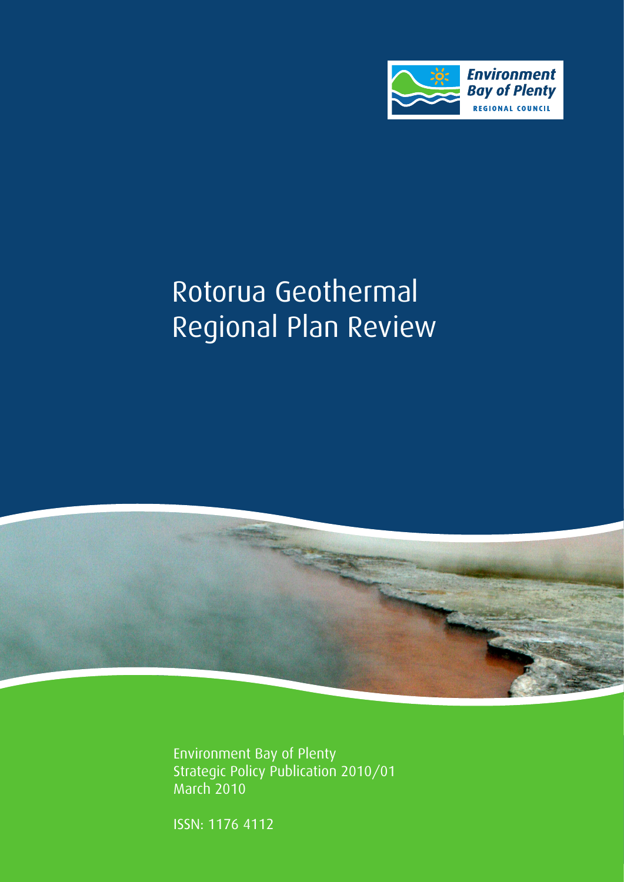

# Rotorua Geothermal Regional Plan Review



Environment Bay of Plenty Strategic Policy Publication 2010/01 March 2010

ISSN: 1176 4112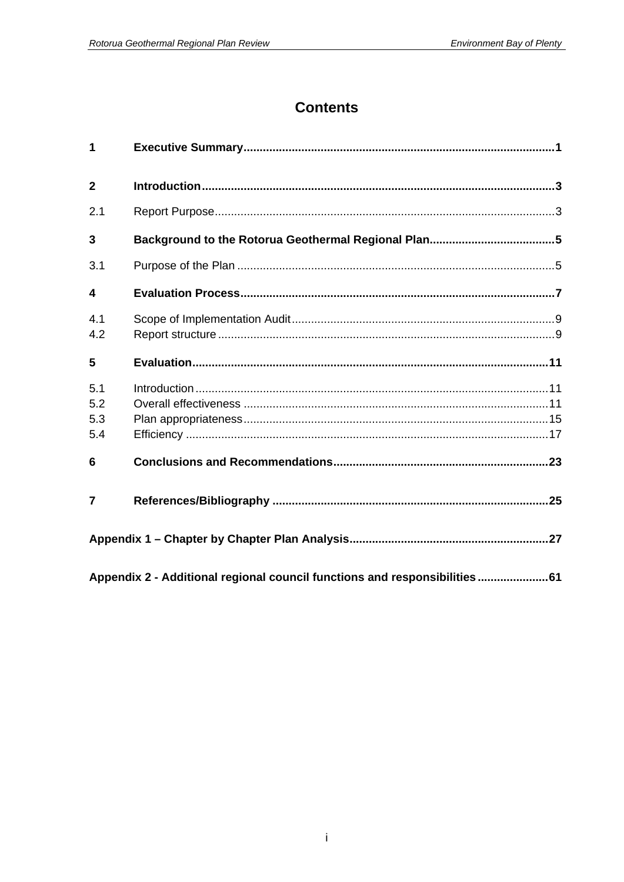## **Contents**

| 1                        |                                                                           |  |
|--------------------------|---------------------------------------------------------------------------|--|
| $\overline{2}$           |                                                                           |  |
| 2.1                      |                                                                           |  |
| 3                        |                                                                           |  |
| 3.1                      |                                                                           |  |
| 4                        |                                                                           |  |
| 4.1<br>4.2               |                                                                           |  |
| 5                        |                                                                           |  |
| 5.1<br>5.2<br>5.3<br>5.4 |                                                                           |  |
| 6                        |                                                                           |  |
| 7                        |                                                                           |  |
|                          |                                                                           |  |
|                          | Appendix 2 - Additional regional council functions and responsibilities61 |  |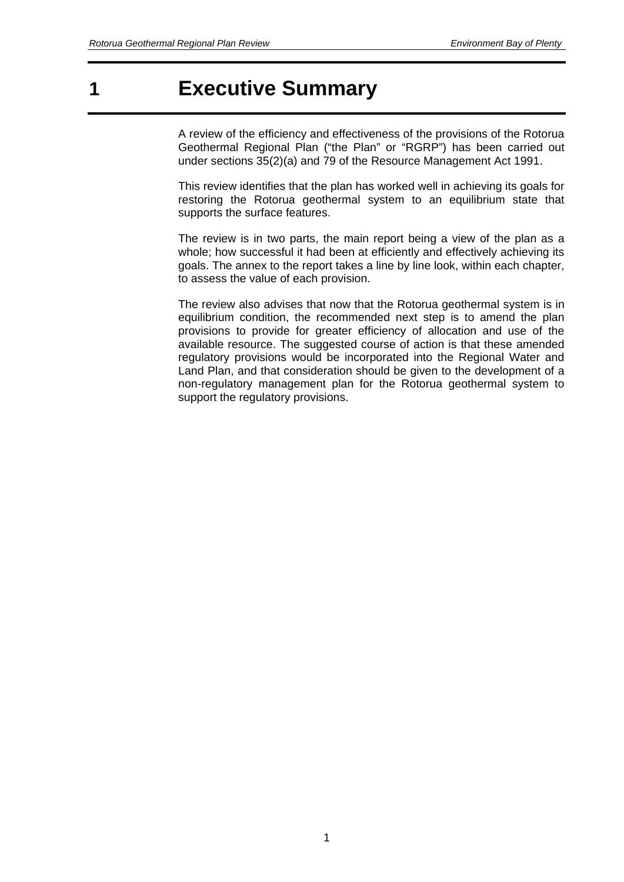# **1 Executive Summary**

A review of the efficiency and effectiveness of the provisions of the Rotorua Geothermal Regional Plan ("the Plan" or "RGRP") has been carried out under sections 35(2)(a) and 79 of the Resource Management Act 1991.

This review identifies that the plan has worked well in achieving its goals for restoring the Rotorua geothermal system to an equilibrium state that supports the surface features.

The review is in two parts, the main report being a view of the plan as a whole; how successful it had been at efficiently and effectively achieving its goals. The annex to the report takes a line by line look, within each chapter, to assess the value of each provision.

The review also advises that now that the Rotorua geothermal system is in equilibrium condition, the recommended next step is to amend the plan provisions to provide for greater efficiency of allocation and use of the available resource. The suggested course of action is that these amended regulatory provisions would be incorporated into the Regional Water and Land Plan, and that consideration should be given to the development of a non-regulatory management plan for the Rotorua geothermal system to support the regulatory provisions.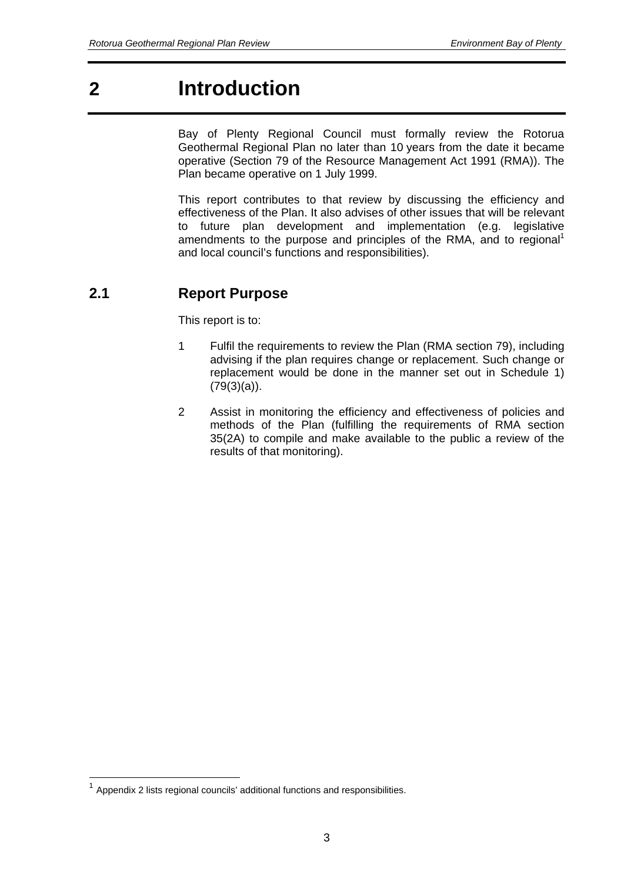# **2 Introduction**

Bay of Plenty Regional Council must formally review the Rotorua Geothermal Regional Plan no later than 10 years from the date it became operative (Section 79 of the Resource Management Act 1991 (RMA)). The Plan became operative on 1 July 1999.

This report contributes to that review by discussing the efficiency and effectiveness of the Plan. It also advises of other issues that will be relevant to future plan development and implementation (e.g. legislative amendments to the purpose and principles of the RMA, and to regional<sup>1</sup> and local council's functions and responsibilities).

## **2.1 Report Purpose**

This report is to:

- 1 Fulfil the requirements to review the Plan (RMA section 79), including advising if the plan requires change or replacement. Such change or replacement would be done in the manner set out in Schedule 1)  $(79(3)(a))$ .
- 2 Assist in monitoring the efficiency and effectiveness of policies and methods of the Plan (fulfilling the requirements of RMA section 35(2A) to compile and make available to the public a review of the results of that monitoring).

1

 $1$  Appendix 2 lists regional councils' additional functions and responsibilities.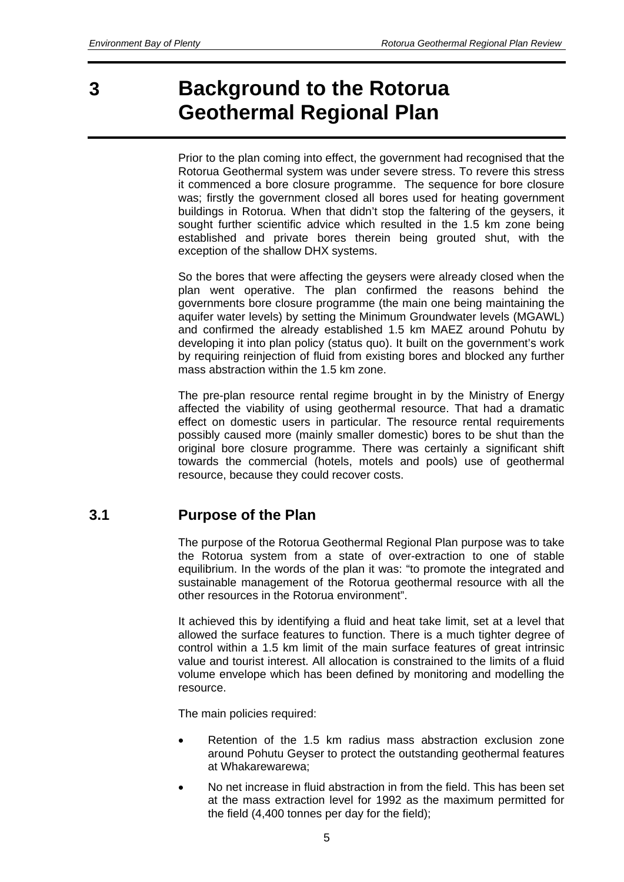# **3 Background to the Rotorua Geothermal Regional Plan**

Prior to the plan coming into effect, the government had recognised that the Rotorua Geothermal system was under severe stress. To revere this stress it commenced a bore closure programme. The sequence for bore closure was; firstly the government closed all bores used for heating government buildings in Rotorua. When that didn't stop the faltering of the geysers, it sought further scientific advice which resulted in the 1.5 km zone being established and private bores therein being grouted shut, with the exception of the shallow DHX systems.

So the bores that were affecting the geysers were already closed when the plan went operative. The plan confirmed the reasons behind the governments bore closure programme (the main one being maintaining the aquifer water levels) by setting the Minimum Groundwater levels (MGAWL) and confirmed the already established 1.5 km MAEZ around Pohutu by developing it into plan policy (status quo). It built on the government's work by requiring reinjection of fluid from existing bores and blocked any further mass abstraction within the 1.5 km zone.

The pre-plan resource rental regime brought in by the Ministry of Energy affected the viability of using geothermal resource. That had a dramatic effect on domestic users in particular. The resource rental requirements possibly caused more (mainly smaller domestic) bores to be shut than the original bore closure programme. There was certainly a significant shift towards the commercial (hotels, motels and pools) use of geothermal resource, because they could recover costs.

### **3.1 Purpose of the Plan**

The purpose of the Rotorua Geothermal Regional Plan purpose was to take the Rotorua system from a state of over-extraction to one of stable equilibrium. In the words of the plan it was: "to promote the integrated and sustainable management of the Rotorua geothermal resource with all the other resources in the Rotorua environment".

It achieved this by identifying a fluid and heat take limit, set at a level that allowed the surface features to function. There is a much tighter degree of control within a 1.5 km limit of the main surface features of great intrinsic value and tourist interest. All allocation is constrained to the limits of a fluid volume envelope which has been defined by monitoring and modelling the resource.

The main policies required:

- Retention of the 1.5 km radius mass abstraction exclusion zone around Pohutu Geyser to protect the outstanding geothermal features at Whakarewarewa;
- No net increase in fluid abstraction in from the field. This has been set at the mass extraction level for 1992 as the maximum permitted for the field (4,400 tonnes per day for the field);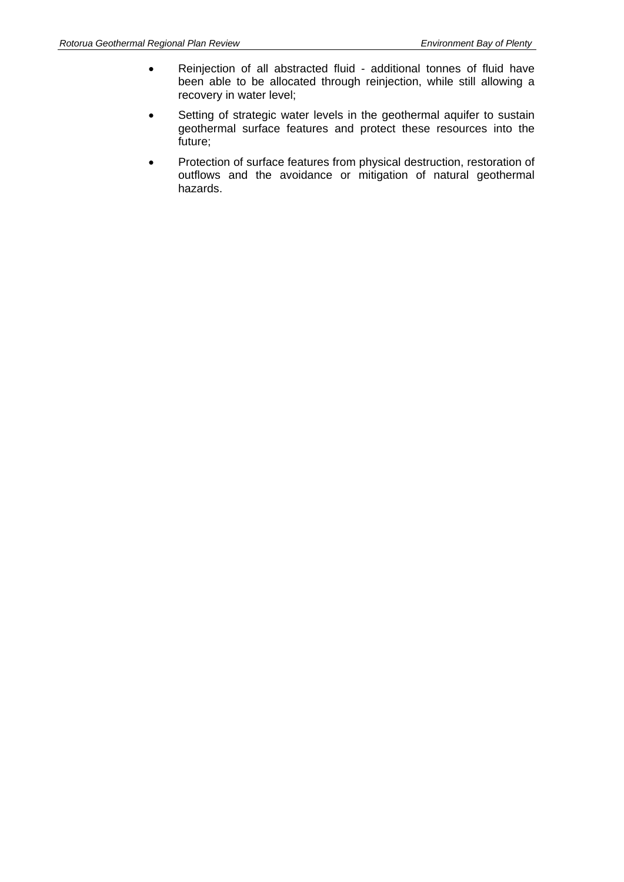- Reinjection of all abstracted fluid additional tonnes of fluid have been able to be allocated through reinjection, while still allowing a recovery in water level;
- Setting of strategic water levels in the geothermal aquifer to sustain geothermal surface features and protect these resources into the future;
- Protection of surface features from physical destruction, restoration of outflows and the avoidance or mitigation of natural geothermal hazards.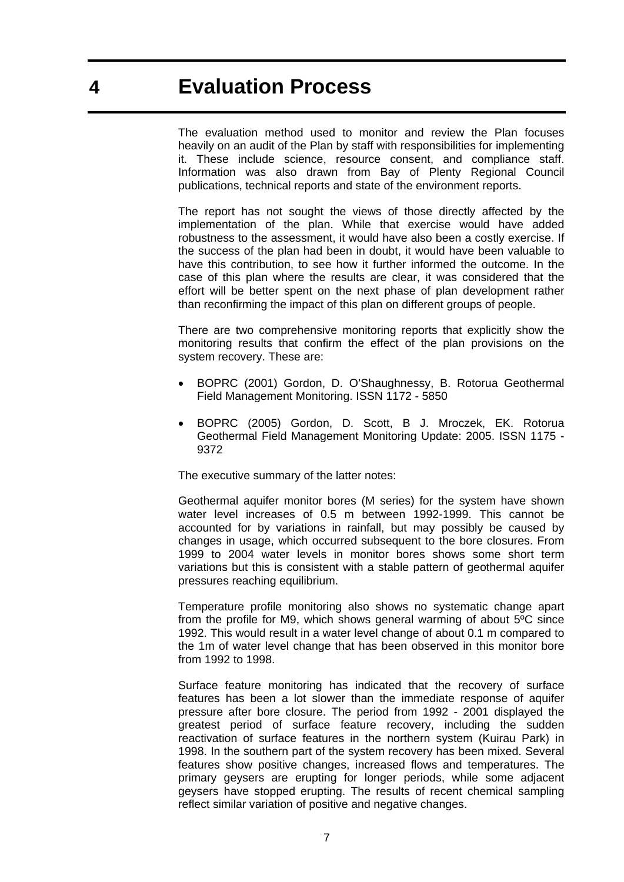The evaluation method used to monitor and review the Plan focuses heavily on an audit of the Plan by staff with responsibilities for implementing it. These include science, resource consent, and compliance staff. Information was also drawn from Bay of Plenty Regional Council publications, technical reports and state of the environment reports.

The report has not sought the views of those directly affected by the implementation of the plan. While that exercise would have added robustness to the assessment, it would have also been a costly exercise. If the success of the plan had been in doubt, it would have been valuable to have this contribution, to see how it further informed the outcome. In the case of this plan where the results are clear, it was considered that the effort will be better spent on the next phase of plan development rather than reconfirming the impact of this plan on different groups of people.

There are two comprehensive monitoring reports that explicitly show the monitoring results that confirm the effect of the plan provisions on the system recovery. These are:

- BOPRC (2001) Gordon, D. O'Shaughnessy, B. Rotorua Geothermal Field Management Monitoring. ISSN 1172 - 5850
- BOPRC (2005) Gordon, D. Scott, B J. Mroczek, EK. Rotorua Geothermal Field Management Monitoring Update: 2005. ISSN 1175 - 9372

The executive summary of the latter notes:

Geothermal aquifer monitor bores (M series) for the system have shown water level increases of 0.5 m between 1992-1999. This cannot be accounted for by variations in rainfall, but may possibly be caused by changes in usage, which occurred subsequent to the bore closures. From 1999 to 2004 water levels in monitor bores shows some short term variations but this is consistent with a stable pattern of geothermal aquifer pressures reaching equilibrium.

Temperature profile monitoring also shows no systematic change apart from the profile for M9, which shows general warming of about 5ºC since 1992. This would result in a water level change of about 0.1 m compared to the 1m of water level change that has been observed in this monitor bore from 1992 to 1998.

Surface feature monitoring has indicated that the recovery of surface features has been a lot slower than the immediate response of aquifer pressure after bore closure. The period from 1992 - 2001 displayed the greatest period of surface feature recovery, including the sudden reactivation of surface features in the northern system (Kuirau Park) in 1998. In the southern part of the system recovery has been mixed. Several features show positive changes, increased flows and temperatures. The primary geysers are erupting for longer periods, while some adjacent geysers have stopped erupting. The results of recent chemical sampling reflect similar variation of positive and negative changes.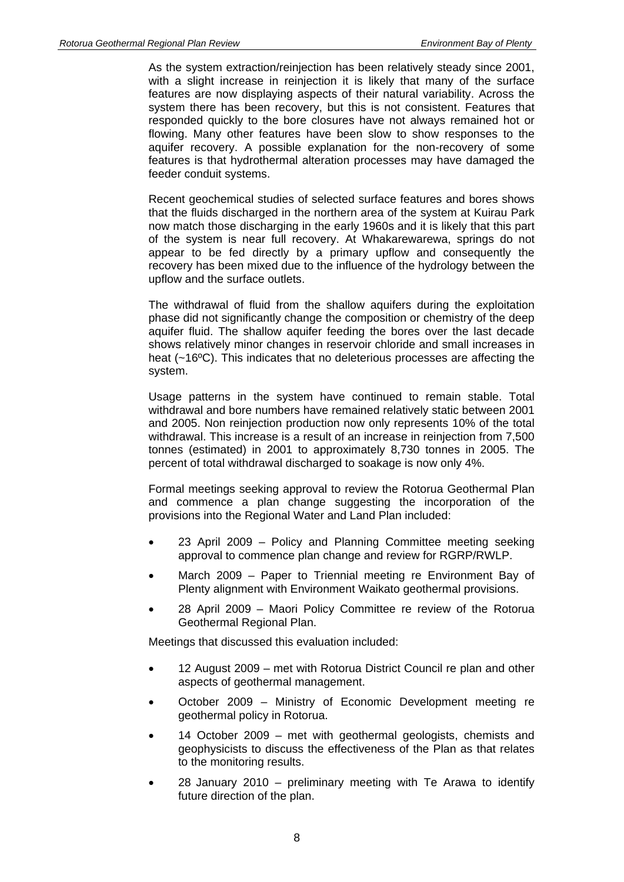As the system extraction/reinjection has been relatively steady since 2001, with a slight increase in reinjection it is likely that many of the surface features are now displaying aspects of their natural variability. Across the system there has been recovery, but this is not consistent. Features that responded quickly to the bore closures have not always remained hot or flowing. Many other features have been slow to show responses to the aquifer recovery. A possible explanation for the non-recovery of some features is that hydrothermal alteration processes may have damaged the feeder conduit systems.

Recent geochemical studies of selected surface features and bores shows that the fluids discharged in the northern area of the system at Kuirau Park now match those discharging in the early 1960s and it is likely that this part of the system is near full recovery. At Whakarewarewa, springs do not appear to be fed directly by a primary upflow and consequently the recovery has been mixed due to the influence of the hydrology between the upflow and the surface outlets.

The withdrawal of fluid from the shallow aquifers during the exploitation phase did not significantly change the composition or chemistry of the deep aquifer fluid. The shallow aquifer feeding the bores over the last decade shows relatively minor changes in reservoir chloride and small increases in heat (~16<sup>o</sup>C). This indicates that no deleterious processes are affecting the system.

Usage patterns in the system have continued to remain stable. Total withdrawal and bore numbers have remained relatively static between 2001 and 2005. Non reinjection production now only represents 10% of the total withdrawal. This increase is a result of an increase in reinjection from 7,500 tonnes (estimated) in 2001 to approximately 8,730 tonnes in 2005. The percent of total withdrawal discharged to soakage is now only 4%.

Formal meetings seeking approval to review the Rotorua Geothermal Plan and commence a plan change suggesting the incorporation of the provisions into the Regional Water and Land Plan included:

- 23 April 2009 Policy and Planning Committee meeting seeking approval to commence plan change and review for RGRP/RWLP.
- March 2009 Paper to Triennial meeting re Environment Bay of Plenty alignment with Environment Waikato geothermal provisions.
- 28 April 2009 Maori Policy Committee re review of the Rotorua Geothermal Regional Plan.

Meetings that discussed this evaluation included:

- 12 August 2009 met with Rotorua District Council re plan and other aspects of geothermal management.
- October 2009 Ministry of Economic Development meeting re geothermal policy in Rotorua.
- 14 October 2009 met with geothermal geologists, chemists and geophysicists to discuss the effectiveness of the Plan as that relates to the monitoring results.
- 28 January 2010 preliminary meeting with Te Arawa to identify future direction of the plan.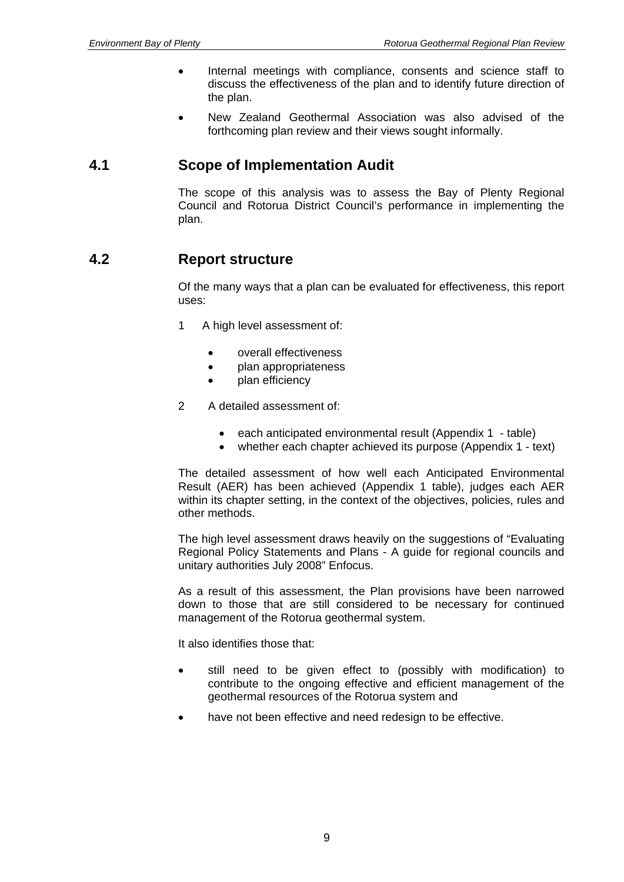- Internal meetings with compliance, consents and science staff to discuss the effectiveness of the plan and to identify future direction of the plan.
- New Zealand Geothermal Association was also advised of the forthcoming plan review and their views sought informally.

### **4.1 Scope of Implementation Audit**

The scope of this analysis was to assess the Bay of Plenty Regional Council and Rotorua District Council's performance in implementing the plan.

### **4.2 Report structure**

Of the many ways that a plan can be evaluated for effectiveness, this report uses:

- 1 A high level assessment of:
	- overall effectiveness
	- plan appropriateness
	- plan efficiency
- 2 A detailed assessment of:
	- each anticipated environmental result (Appendix 1 table)
	- whether each chapter achieved its purpose (Appendix 1 text)

The detailed assessment of how well each Anticipated Environmental Result (AER) has been achieved (Appendix 1 table), judges each AER within its chapter setting, in the context of the objectives, policies, rules and other methods.

The high level assessment draws heavily on the suggestions of "Evaluating Regional Policy Statements and Plans - A guide for regional councils and unitary authorities July 2008" Enfocus.

As a result of this assessment, the Plan provisions have been narrowed down to those that are still considered to be necessary for continued management of the Rotorua geothermal system.

It also identifies those that:

- still need to be given effect to (possibly with modification) to contribute to the ongoing effective and efficient management of the geothermal resources of the Rotorua system and
- have not been effective and need redesign to be effective.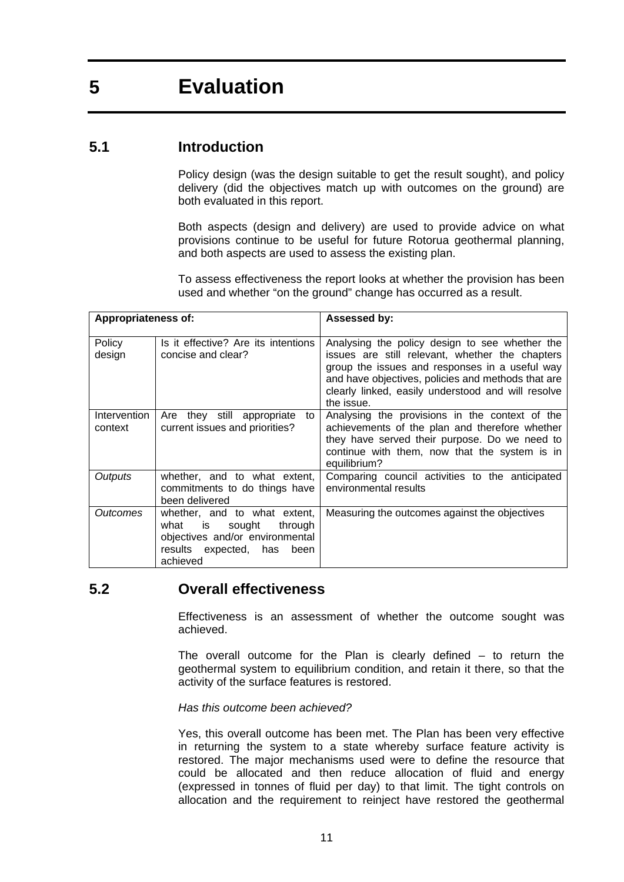# **5 Evaluation**

### **5.1 Introduction**

Policy design (was the design suitable to get the result sought), and policy delivery (did the objectives match up with outcomes on the ground) are both evaluated in this report.

Both aspects (design and delivery) are used to provide advice on what provisions continue to be useful for future Rotorua geothermal planning, and both aspects are used to assess the existing plan.

To assess effectiveness the report looks at whether the provision has been used and whether "on the ground" change has occurred as a result.

| Appropriateness of:     |                                                                                                                                                    | Assessed by:                                                                                                                                                                                                                                                                  |
|-------------------------|----------------------------------------------------------------------------------------------------------------------------------------------------|-------------------------------------------------------------------------------------------------------------------------------------------------------------------------------------------------------------------------------------------------------------------------------|
| Policy<br>design        | Is it effective? Are its intentions<br>concise and clear?                                                                                          | Analysing the policy design to see whether the<br>issues are still relevant, whether the chapters<br>group the issues and responses in a useful way<br>and have objectives, policies and methods that are<br>clearly linked, easily understood and will resolve<br>the issue. |
| Intervention<br>context | Are they still appropriate<br>to<br>current issues and priorities?                                                                                 | Analysing the provisions in the context of the<br>achievements of the plan and therefore whether<br>they have served their purpose. Do we need to<br>continue with them, now that the system is in<br>equilibrium?                                                            |
| Outputs                 | whether, and to what extent,<br>commitments to do things have<br>been delivered                                                                    | Comparing council activities to the anticipated<br>environmental results                                                                                                                                                                                                      |
| Outcomes                | whether, and to what extent,<br>sought<br>through<br>what<br>is is<br>objectives and/or environmental<br>results expected, has<br>been<br>achieved | Measuring the outcomes against the objectives                                                                                                                                                                                                                                 |

### **5.2 Overall effectiveness**

Effectiveness is an assessment of whether the outcome sought was achieved.

The overall outcome for the Plan is clearly defined – to return the geothermal system to equilibrium condition, and retain it there, so that the activity of the surface features is restored.

*Has this outcome been achieved?* 

Yes, this overall outcome has been met. The Plan has been very effective in returning the system to a state whereby surface feature activity is restored. The major mechanisms used were to define the resource that could be allocated and then reduce allocation of fluid and energy (expressed in tonnes of fluid per day) to that limit. The tight controls on allocation and the requirement to reinject have restored the geothermal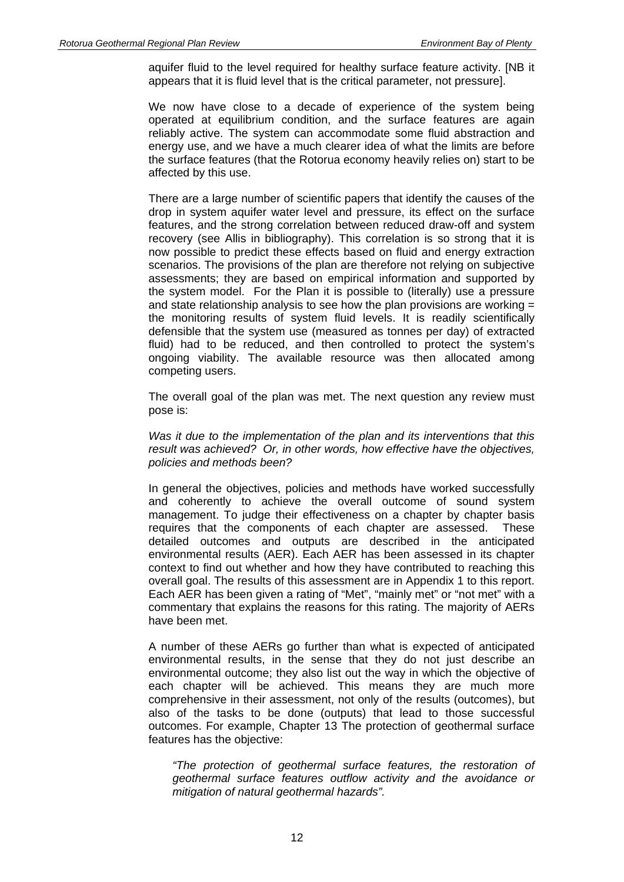aquifer fluid to the level required for healthy surface feature activity. [NB it appears that it is fluid level that is the critical parameter, not pressure].

We now have close to a decade of experience of the system being operated at equilibrium condition, and the surface features are again reliably active. The system can accommodate some fluid abstraction and energy use, and we have a much clearer idea of what the limits are before the surface features (that the Rotorua economy heavily relies on) start to be affected by this use.

There are a large number of scientific papers that identify the causes of the drop in system aquifer water level and pressure, its effect on the surface features, and the strong correlation between reduced draw-off and system recovery (see Allis in bibliography). This correlation is so strong that it is now possible to predict these effects based on fluid and energy extraction scenarios. The provisions of the plan are therefore not relying on subjective assessments; they are based on empirical information and supported by the system model. For the Plan it is possible to (literally) use a pressure and state relationship analysis to see how the plan provisions are working = the monitoring results of system fluid levels. It is readily scientifically defensible that the system use (measured as tonnes per day) of extracted fluid) had to be reduced, and then controlled to protect the system's ongoing viability. The available resource was then allocated among competing users.

The overall goal of the plan was met. The next question any review must pose is:

*Was it due to the implementation of the plan and its interventions that this result was achieved? Or, in other words, how effective have the objectives, policies and methods been?*

In general the objectives, policies and methods have worked successfully and coherently to achieve the overall outcome of sound system management. To judge their effectiveness on a chapter by chapter basis requires that the components of each chapter are assessed. These detailed outcomes and outputs are described in the anticipated environmental results (AER). Each AER has been assessed in its chapter context to find out whether and how they have contributed to reaching this overall goal. The results of this assessment are in Appendix 1 to this report. Each AER has been given a rating of "Met", "mainly met" or "not met" with a commentary that explains the reasons for this rating. The majority of AERs have been met.

A number of these AERs go further than what is expected of anticipated environmental results, in the sense that they do not just describe an environmental outcome; they also list out the way in which the objective of each chapter will be achieved. This means they are much more comprehensive in their assessment, not only of the results (outcomes), but also of the tasks to be done (outputs) that lead to those successful outcomes. For example, Chapter 13 The protection of geothermal surface features has the objective:

*"The protection of geothermal surface features, the restoration of geothermal surface features outflow activity and the avoidance or mitigation of natural geothermal hazards".*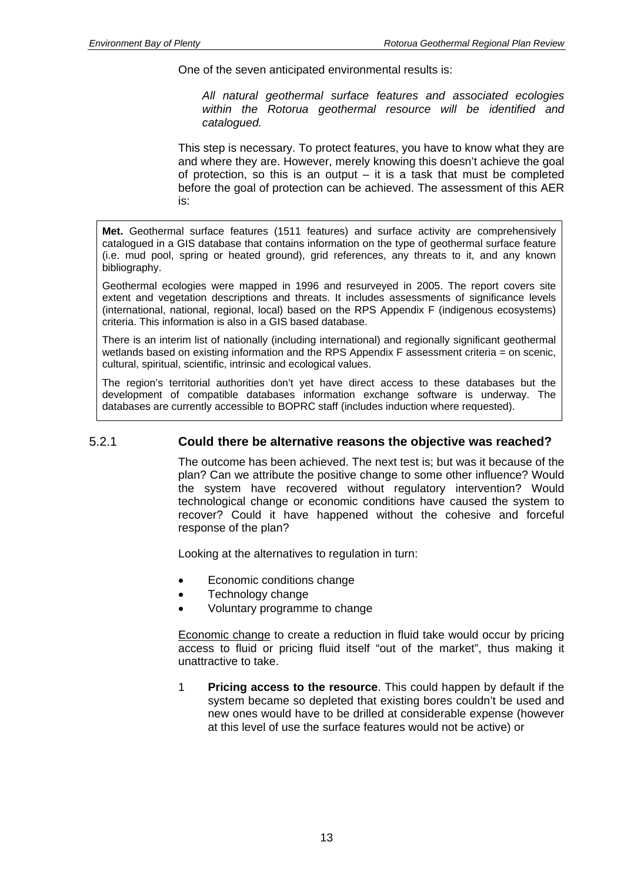One of the seven anticipated environmental results is:

*All natural geothermal surface features and associated ecologies within the Rotorua geothermal resource will be identified and catalogued.* 

This step is necessary. To protect features, you have to know what they are and where they are. However, merely knowing this doesn't achieve the goal of protection, so this is an output – it is a task that must be completed before the goal of protection can be achieved. The assessment of this AER is:

**Met.** Geothermal surface features (1511 features) and surface activity are comprehensively catalogued in a GIS database that contains information on the type of geothermal surface feature (i.e. mud pool, spring or heated ground), grid references, any threats to it, and any known bibliography.

Geothermal ecologies were mapped in 1996 and resurveyed in 2005. The report covers site extent and vegetation descriptions and threats. It includes assessments of significance levels (international, national, regional, local) based on the RPS Appendix F (indigenous ecosystems) criteria. This information is also in a GIS based database.

There is an interim list of nationally (including international) and regionally significant geothermal wetlands based on existing information and the RPS Appendix F assessment criteria = on scenic, cultural, spiritual, scientific, intrinsic and ecological values.

The region's territorial authorities don't yet have direct access to these databases but the development of compatible databases information exchange software is underway. The databases are currently accessible to BOPRC staff (includes induction where requested).

### 5.2.1 **Could there be alternative reasons the objective was reached?**

The outcome has been achieved. The next test is; but was it because of the plan? Can we attribute the positive change to some other influence? Would the system have recovered without regulatory intervention? Would technological change or economic conditions have caused the system to recover? Could it have happened without the cohesive and forceful response of the plan?

Looking at the alternatives to regulation in turn:

- Economic conditions change
- Technology change
- Voluntary programme to change

Economic change to create a reduction in fluid take would occur by pricing access to fluid or pricing fluid itself "out of the market", thus making it unattractive to take.

1 **Pricing access to the resource**. This could happen by default if the system became so depleted that existing bores couldn't be used and new ones would have to be drilled at considerable expense (however at this level of use the surface features would not be active) or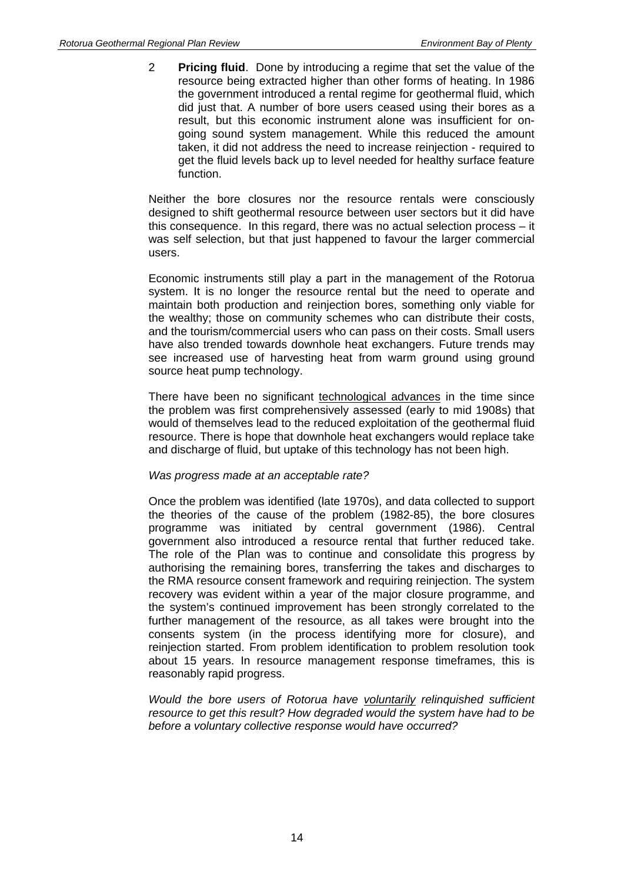2 **Pricing fluid**. Done by introducing a regime that set the value of the resource being extracted higher than other forms of heating. In 1986 the government introduced a rental regime for geothermal fluid, which did just that. A number of bore users ceased using their bores as a result, but this economic instrument alone was insufficient for ongoing sound system management. While this reduced the amount taken, it did not address the need to increase reinjection - required to get the fluid levels back up to level needed for healthy surface feature function.

Neither the bore closures nor the resource rentals were consciously designed to shift geothermal resource between user sectors but it did have this consequence. In this regard, there was no actual selection process – it was self selection, but that just happened to favour the larger commercial users.

Economic instruments still play a part in the management of the Rotorua system. It is no longer the resource rental but the need to operate and maintain both production and reinjection bores, something only viable for the wealthy; those on community schemes who can distribute their costs, and the tourism/commercial users who can pass on their costs. Small users have also trended towards downhole heat exchangers. Future trends may see increased use of harvesting heat from warm ground using ground source heat pump technology.

There have been no significant technological advances in the time since the problem was first comprehensively assessed (early to mid 1908s) that would of themselves lead to the reduced exploitation of the geothermal fluid resource. There is hope that downhole heat exchangers would replace take and discharge of fluid, but uptake of this technology has not been high.

#### *Was progress made at an acceptable rate?*

Once the problem was identified (late 1970s), and data collected to support the theories of the cause of the problem (1982-85), the bore closures programme was initiated by central government (1986). Central government also introduced a resource rental that further reduced take. The role of the Plan was to continue and consolidate this progress by authorising the remaining bores, transferring the takes and discharges to the RMA resource consent framework and requiring reinjection. The system recovery was evident within a year of the major closure programme, and the system's continued improvement has been strongly correlated to the further management of the resource, as all takes were brought into the consents system (in the process identifying more for closure), and reinjection started. From problem identification to problem resolution took about 15 years. In resource management response timeframes, this is reasonably rapid progress.

*Would the bore users of Rotorua have voluntarily relinquished sufficient resource to get this result? How degraded would the system have had to be before a voluntary collective response would have occurred?*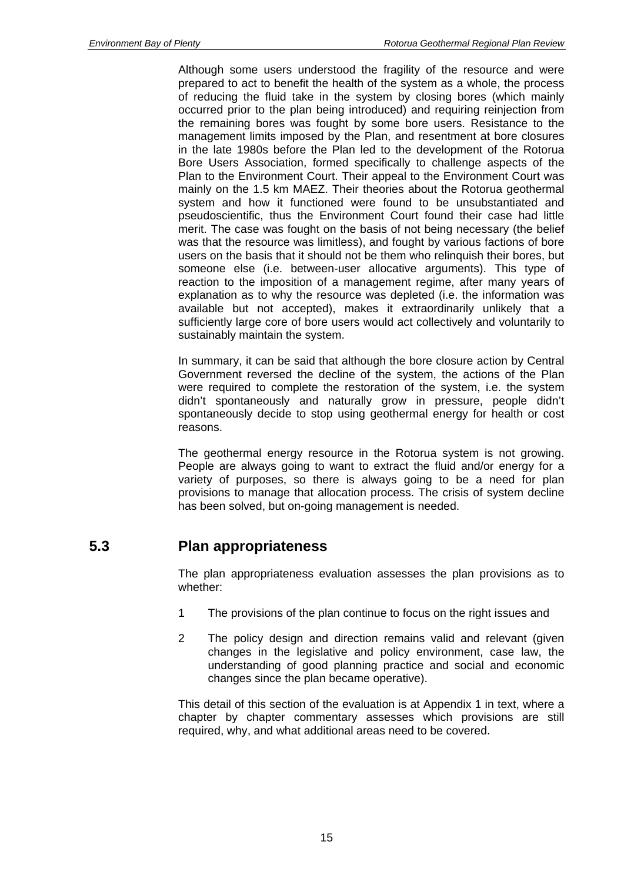Although some users understood the fragility of the resource and were prepared to act to benefit the health of the system as a whole, the process of reducing the fluid take in the system by closing bores (which mainly occurred prior to the plan being introduced) and requiring reinjection from the remaining bores was fought by some bore users. Resistance to the management limits imposed by the Plan, and resentment at bore closures in the late 1980s before the Plan led to the development of the Rotorua Bore Users Association, formed specifically to challenge aspects of the Plan to the Environment Court. Their appeal to the Environment Court was mainly on the 1.5 km MAEZ. Their theories about the Rotorua geothermal system and how it functioned were found to be unsubstantiated and pseudoscientific, thus the Environment Court found their case had little merit. The case was fought on the basis of not being necessary (the belief was that the resource was limitless), and fought by various factions of bore users on the basis that it should not be them who relinquish their bores, but someone else (i.e. between-user allocative arguments). This type of reaction to the imposition of a management regime, after many years of explanation as to why the resource was depleted (i.e. the information was available but not accepted), makes it extraordinarily unlikely that a sufficiently large core of bore users would act collectively and voluntarily to sustainably maintain the system.

In summary, it can be said that although the bore closure action by Central Government reversed the decline of the system, the actions of the Plan were required to complete the restoration of the system, i.e. the system didn't spontaneously and naturally grow in pressure, people didn't spontaneously decide to stop using geothermal energy for health or cost reasons.

The geothermal energy resource in the Rotorua system is not growing. People are always going to want to extract the fluid and/or energy for a variety of purposes, so there is always going to be a need for plan provisions to manage that allocation process. The crisis of system decline has been solved, but on-going management is needed.

### **5.3 Plan appropriateness**

The plan appropriateness evaluation assesses the plan provisions as to whether:

- 1 The provisions of the plan continue to focus on the right issues and
- 2 The policy design and direction remains valid and relevant (given changes in the legislative and policy environment, case law, the understanding of good planning practice and social and economic changes since the plan became operative).

This detail of this section of the evaluation is at Appendix 1 in text, where a chapter by chapter commentary assesses which provisions are still required, why, and what additional areas need to be covered.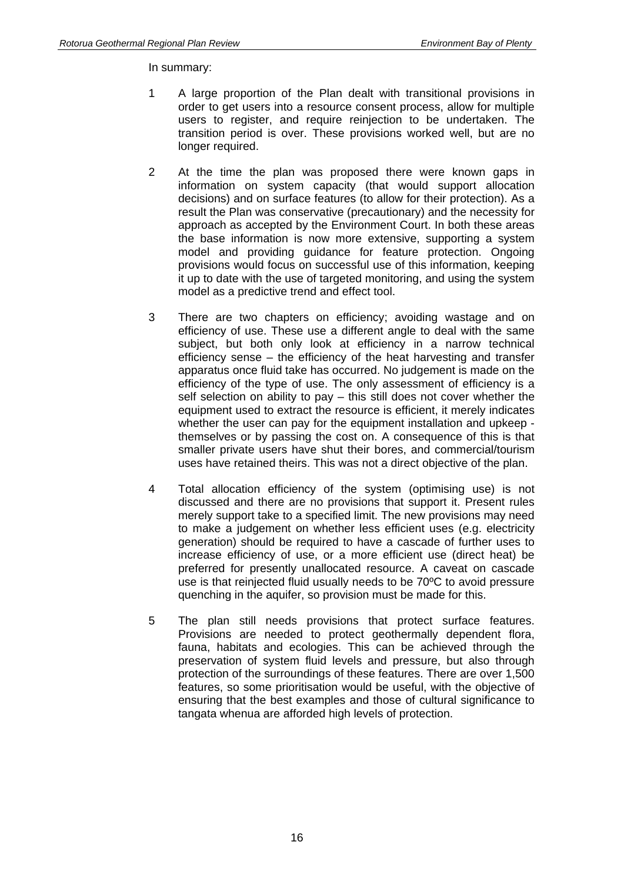In summary:

- 1 A large proportion of the Plan dealt with transitional provisions in order to get users into a resource consent process, allow for multiple users to register, and require reinjection to be undertaken. The transition period is over. These provisions worked well, but are no longer required.
- 2 At the time the plan was proposed there were known gaps in information on system capacity (that would support allocation decisions) and on surface features (to allow for their protection). As a result the Plan was conservative (precautionary) and the necessity for approach as accepted by the Environment Court. In both these areas the base information is now more extensive, supporting a system model and providing guidance for feature protection. Ongoing provisions would focus on successful use of this information, keeping it up to date with the use of targeted monitoring, and using the system model as a predictive trend and effect tool.
- 3 There are two chapters on efficiency; avoiding wastage and on efficiency of use. These use a different angle to deal with the same subject, but both only look at efficiency in a narrow technical efficiency sense – the efficiency of the heat harvesting and transfer apparatus once fluid take has occurred. No judgement is made on the efficiency of the type of use. The only assessment of efficiency is a self selection on ability to pay – this still does not cover whether the equipment used to extract the resource is efficient, it merely indicates whether the user can pay for the equipment installation and upkeep themselves or by passing the cost on. A consequence of this is that smaller private users have shut their bores, and commercial/tourism uses have retained theirs. This was not a direct objective of the plan.
- 4 Total allocation efficiency of the system (optimising use) is not discussed and there are no provisions that support it. Present rules merely support take to a specified limit. The new provisions may need to make a judgement on whether less efficient uses (e.g. electricity generation) should be required to have a cascade of further uses to increase efficiency of use, or a more efficient use (direct heat) be preferred for presently unallocated resource. A caveat on cascade use is that reinjected fluid usually needs to be 70ºC to avoid pressure quenching in the aquifer, so provision must be made for this.
- 5 The plan still needs provisions that protect surface features. Provisions are needed to protect geothermally dependent flora, fauna, habitats and ecologies. This can be achieved through the preservation of system fluid levels and pressure, but also through protection of the surroundings of these features. There are over 1,500 features, so some prioritisation would be useful, with the objective of ensuring that the best examples and those of cultural significance to tangata whenua are afforded high levels of protection.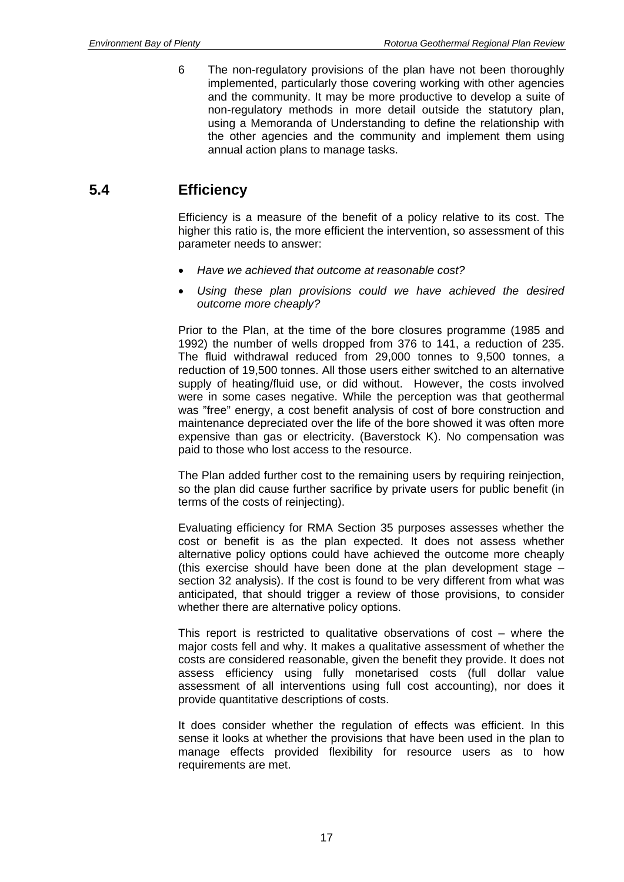6 The non-regulatory provisions of the plan have not been thoroughly implemented, particularly those covering working with other agencies and the community. It may be more productive to develop a suite of non-regulatory methods in more detail outside the statutory plan, using a Memoranda of Understanding to define the relationship with the other agencies and the community and implement them using annual action plans to manage tasks.

### **5.4 Efficiency**

Efficiency is a measure of the benefit of a policy relative to its cost. The higher this ratio is, the more efficient the intervention, so assessment of this parameter needs to answer:

- *Have we achieved that outcome at reasonable cost?*
- *Using these plan provisions could we have achieved the desired outcome more cheaply?*

Prior to the Plan, at the time of the bore closures programme (1985 and 1992) the number of wells dropped from 376 to 141, a reduction of 235. The fluid withdrawal reduced from 29,000 tonnes to 9,500 tonnes, a reduction of 19,500 tonnes. All those users either switched to an alternative supply of heating/fluid use, or did without. However, the costs involved were in some cases negative. While the perception was that geothermal was "free" energy, a cost benefit analysis of cost of bore construction and maintenance depreciated over the life of the bore showed it was often more expensive than gas or electricity. (Baverstock K). No compensation was paid to those who lost access to the resource.

The Plan added further cost to the remaining users by requiring reinjection, so the plan did cause further sacrifice by private users for public benefit (in terms of the costs of reinjecting).

Evaluating efficiency for RMA Section 35 purposes assesses whether the cost or benefit is as the plan expected. It does not assess whether alternative policy options could have achieved the outcome more cheaply (this exercise should have been done at the plan development stage – section 32 analysis). If the cost is found to be very different from what was anticipated, that should trigger a review of those provisions, to consider whether there are alternative policy options.

This report is restricted to qualitative observations of cost – where the major costs fell and why. It makes a qualitative assessment of whether the costs are considered reasonable, given the benefit they provide. It does not assess efficiency using fully monetarised costs (full dollar value assessment of all interventions using full cost accounting), nor does it provide quantitative descriptions of costs.

It does consider whether the regulation of effects was efficient. In this sense it looks at whether the provisions that have been used in the plan to manage effects provided flexibility for resource users as to how requirements are met.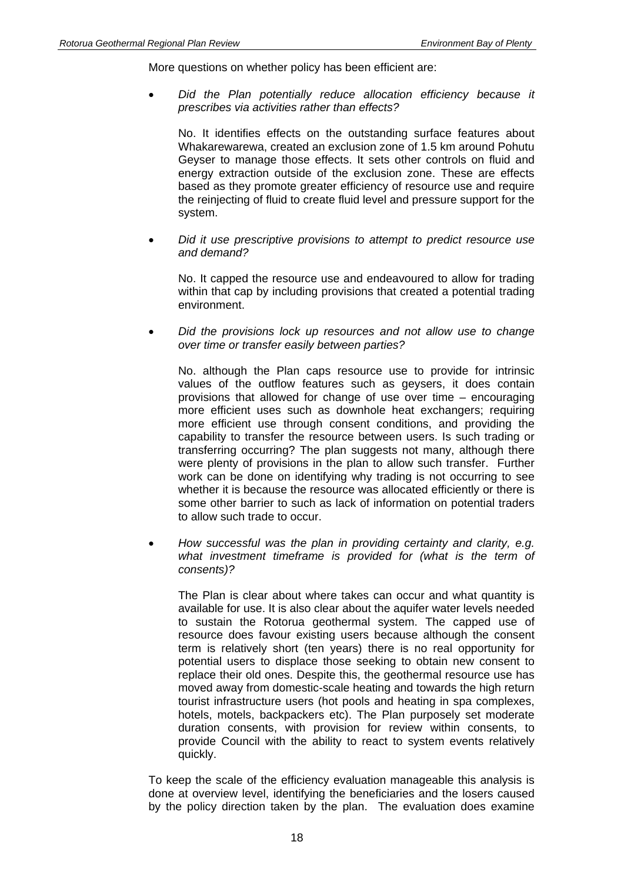More questions on whether policy has been efficient are:

• *Did the Plan potentially reduce allocation efficiency because it prescribes via activities rather than effects?* 

No. It identifies effects on the outstanding surface features about Whakarewarewa, created an exclusion zone of 1.5 km around Pohutu Geyser to manage those effects. It sets other controls on fluid and energy extraction outside of the exclusion zone. These are effects based as they promote greater efficiency of resource use and require the reinjecting of fluid to create fluid level and pressure support for the system.

• *Did it use prescriptive provisions to attempt to predict resource use and demand?* 

No. It capped the resource use and endeavoured to allow for trading within that cap by including provisions that created a potential trading environment.

• *Did the provisions lock up resources and not allow use to change over time or transfer easily between parties?* 

No. although the Plan caps resource use to provide for intrinsic values of the outflow features such as geysers, it does contain provisions that allowed for change of use over time – encouraging more efficient uses such as downhole heat exchangers; requiring more efficient use through consent conditions, and providing the capability to transfer the resource between users. Is such trading or transferring occurring? The plan suggests not many, although there were plenty of provisions in the plan to allow such transfer. Further work can be done on identifying why trading is not occurring to see whether it is because the resource was allocated efficiently or there is some other barrier to such as lack of information on potential traders to allow such trade to occur.

• *How successful was the plan in providing certainty and clarity, e.g. what investment timeframe is provided for (what is the term of consents)?* 

The Plan is clear about where takes can occur and what quantity is available for use. It is also clear about the aquifer water levels needed to sustain the Rotorua geothermal system. The capped use of resource does favour existing users because although the consent term is relatively short (ten years) there is no real opportunity for potential users to displace those seeking to obtain new consent to replace their old ones. Despite this, the geothermal resource use has moved away from domestic-scale heating and towards the high return tourist infrastructure users (hot pools and heating in spa complexes, hotels, motels, backpackers etc). The Plan purposely set moderate duration consents, with provision for review within consents, to provide Council with the ability to react to system events relatively quickly.

To keep the scale of the efficiency evaluation manageable this analysis is done at overview level, identifying the beneficiaries and the losers caused by the policy direction taken by the plan. The evaluation does examine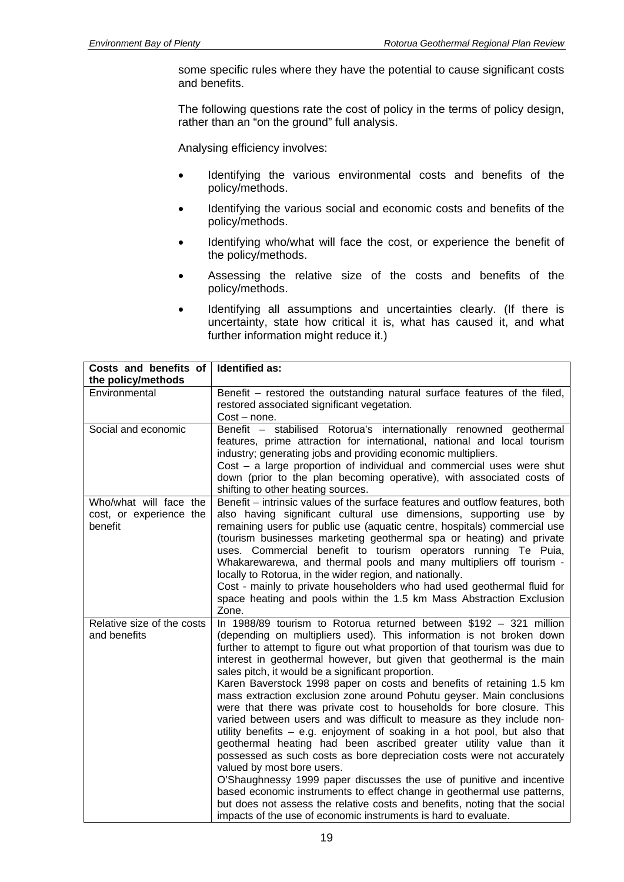some specific rules where they have the potential to cause significant costs and benefits.

The following questions rate the cost of policy in the terms of policy design, rather than an "on the ground" full analysis.

Analysing efficiency involves:

- Identifying the various environmental costs and benefits of the policy/methods.
- Identifying the various social and economic costs and benefits of the policy/methods.
- Identifying who/what will face the cost, or experience the benefit of the policy/methods.
- Assessing the relative size of the costs and benefits of the policy/methods.
- Identifying all assumptions and uncertainties clearly. (If there is uncertainty, state how critical it is, what has caused it, and what further information might reduce it.)

| Costs and benefits of                                        | Identified as:                                                                                                                                                                                                                                                                                                                                                                                                                                                                                                                                                                                                                                                                                                                                                                                                                                                                                                                                                                                                                                                                                                                                                                                                                |  |  |
|--------------------------------------------------------------|-------------------------------------------------------------------------------------------------------------------------------------------------------------------------------------------------------------------------------------------------------------------------------------------------------------------------------------------------------------------------------------------------------------------------------------------------------------------------------------------------------------------------------------------------------------------------------------------------------------------------------------------------------------------------------------------------------------------------------------------------------------------------------------------------------------------------------------------------------------------------------------------------------------------------------------------------------------------------------------------------------------------------------------------------------------------------------------------------------------------------------------------------------------------------------------------------------------------------------|--|--|
| the policy/methods                                           |                                                                                                                                                                                                                                                                                                                                                                                                                                                                                                                                                                                                                                                                                                                                                                                                                                                                                                                                                                                                                                                                                                                                                                                                                               |  |  |
| Environmental                                                | Benefit – restored the outstanding natural surface features of the filed,<br>restored associated significant vegetation.<br>$Cost - none.$                                                                                                                                                                                                                                                                                                                                                                                                                                                                                                                                                                                                                                                                                                                                                                                                                                                                                                                                                                                                                                                                                    |  |  |
| Social and economic                                          | Benefit - stabilised Rotorua's internationally renowned geothermal<br>features, prime attraction for international, national and local tourism<br>industry; generating jobs and providing economic multipliers.<br>$Cost - a$ large proportion of individual and commercial uses were shut<br>down (prior to the plan becoming operative), with associated costs of<br>shifting to other heating sources.                                                                                                                                                                                                                                                                                                                                                                                                                                                                                                                                                                                                                                                                                                                                                                                                                     |  |  |
| Who/what will face the<br>cost, or experience the<br>benefit | Benefit – intrinsic values of the surface features and outflow features, both<br>also having significant cultural use dimensions, supporting use by<br>remaining users for public use (aquatic centre, hospitals) commercial use<br>(tourism businesses marketing geothermal spa or heating) and private<br>uses. Commercial benefit to tourism operators running Te Puia,<br>Whakarewarewa, and thermal pools and many multipliers off tourism -<br>locally to Rotorua, in the wider region, and nationally.<br>Cost - mainly to private householders who had used geothermal fluid for<br>space heating and pools within the 1.5 km Mass Abstraction Exclusion<br>Zone.                                                                                                                                                                                                                                                                                                                                                                                                                                                                                                                                                     |  |  |
| Relative size of the costs<br>and benefits                   | In 1988/89 tourism to Rotorua returned between \$192 - 321 million<br>(depending on multipliers used). This information is not broken down<br>further to attempt to figure out what proportion of that tourism was due to<br>interest in geothermal however, but given that geothermal is the main<br>sales pitch, it would be a significant proportion.<br>Karen Baverstock 1998 paper on costs and benefits of retaining 1.5 km<br>mass extraction exclusion zone around Pohutu geyser. Main conclusions<br>were that there was private cost to households for bore closure. This<br>varied between users and was difficult to measure as they include non-<br>utility benefits - e.g. enjoyment of soaking in a hot pool, but also that<br>geothermal heating had been ascribed greater utility value than it<br>possessed as such costs as bore depreciation costs were not accurately<br>valued by most bore users.<br>O'Shaughnessy 1999 paper discusses the use of punitive and incentive<br>based economic instruments to effect change in geothermal use patterns,<br>but does not assess the relative costs and benefits, noting that the social<br>impacts of the use of economic instruments is hard to evaluate. |  |  |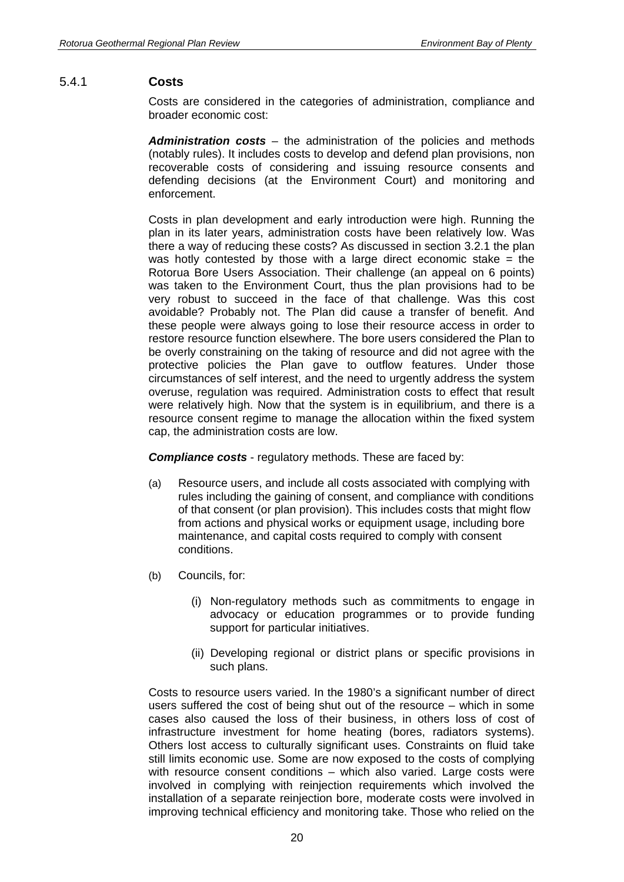#### 5.4.1 **Costs**

Costs are considered in the categories of administration, compliance and broader economic cost:

*Administration costs* – the administration of the policies and methods (notably rules). It includes costs to develop and defend plan provisions, non recoverable costs of considering and issuing resource consents and defending decisions (at the Environment Court) and monitoring and enforcement.

Costs in plan development and early introduction were high. Running the plan in its later years, administration costs have been relatively low. Was there a way of reducing these costs? As discussed in section 3.2.1 the plan was hotly contested by those with a large direct economic stake  $=$  the Rotorua Bore Users Association. Their challenge (an appeal on 6 points) was taken to the Environment Court, thus the plan provisions had to be very robust to succeed in the face of that challenge. Was this cost avoidable? Probably not. The Plan did cause a transfer of benefit. And these people were always going to lose their resource access in order to restore resource function elsewhere. The bore users considered the Plan to be overly constraining on the taking of resource and did not agree with the protective policies the Plan gave to outflow features. Under those circumstances of self interest, and the need to urgently address the system overuse, regulation was required. Administration costs to effect that result were relatively high. Now that the system is in equilibrium, and there is a resource consent regime to manage the allocation within the fixed system cap, the administration costs are low.

*Compliance costs* - regulatory methods. These are faced by:

- (a) Resource users, and include all costs associated with complying with rules including the gaining of consent, and compliance with conditions of that consent (or plan provision). This includes costs that might flow from actions and physical works or equipment usage, including bore maintenance, and capital costs required to comply with consent conditions.
- (b) Councils, for:
	- (i) Non-regulatory methods such as commitments to engage in advocacy or education programmes or to provide funding support for particular initiatives.
	- (ii) Developing regional or district plans or specific provisions in such plans.

Costs to resource users varied. In the 1980's a significant number of direct users suffered the cost of being shut out of the resource – which in some cases also caused the loss of their business, in others loss of cost of infrastructure investment for home heating (bores, radiators systems). Others lost access to culturally significant uses. Constraints on fluid take still limits economic use. Some are now exposed to the costs of complying with resource consent conditions – which also varied. Large costs were involved in complying with reinjection requirements which involved the installation of a separate reinjection bore, moderate costs were involved in improving technical efficiency and monitoring take. Those who relied on the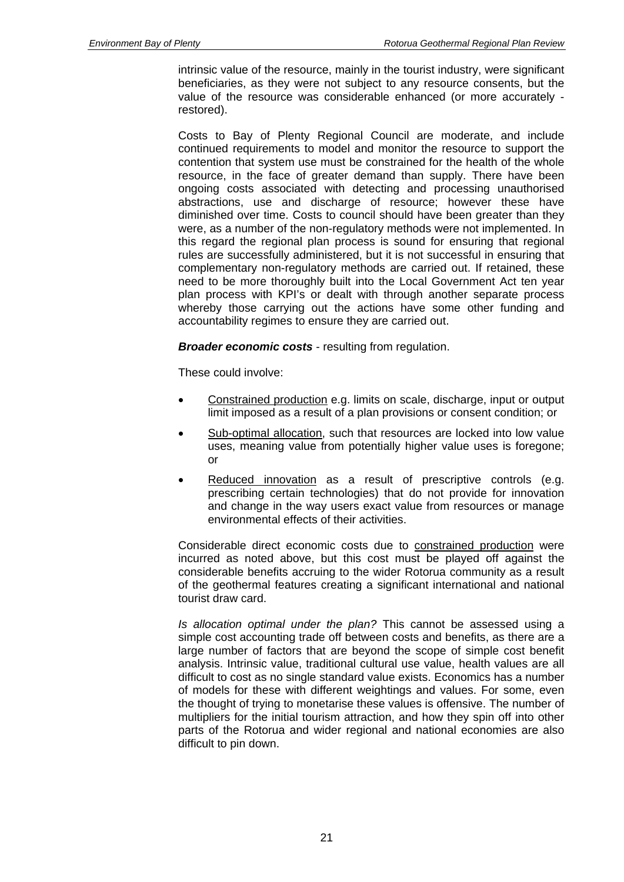intrinsic value of the resource, mainly in the tourist industry, were significant beneficiaries, as they were not subject to any resource consents, but the value of the resource was considerable enhanced (or more accurately restored).

Costs to Bay of Plenty Regional Council are moderate, and include continued requirements to model and monitor the resource to support the contention that system use must be constrained for the health of the whole resource, in the face of greater demand than supply. There have been ongoing costs associated with detecting and processing unauthorised abstractions, use and discharge of resource; however these have diminished over time. Costs to council should have been greater than they were, as a number of the non-regulatory methods were not implemented. In this regard the regional plan process is sound for ensuring that regional rules are successfully administered, but it is not successful in ensuring that complementary non-regulatory methods are carried out. If retained, these need to be more thoroughly built into the Local Government Act ten year plan process with KPI's or dealt with through another separate process whereby those carrying out the actions have some other funding and accountability regimes to ensure they are carried out.

*Broader economic costs* - resulting from regulation.

These could involve:

- Constrained production e.g. limits on scale, discharge, input or output limit imposed as a result of a plan provisions or consent condition; or
- Sub-optimal allocation, such that resources are locked into low value uses, meaning value from potentially higher value uses is foregone; or
- Reduced innovation as a result of prescriptive controls (e.g. prescribing certain technologies) that do not provide for innovation and change in the way users exact value from resources or manage environmental effects of their activities.

Considerable direct economic costs due to constrained production were incurred as noted above, but this cost must be played off against the considerable benefits accruing to the wider Rotorua community as a result of the geothermal features creating a significant international and national tourist draw card.

*Is allocation optimal under the plan?* This cannot be assessed using a simple cost accounting trade off between costs and benefits, as there are a large number of factors that are beyond the scope of simple cost benefit analysis. Intrinsic value, traditional cultural use value, health values are all difficult to cost as no single standard value exists. Economics has a number of models for these with different weightings and values. For some, even the thought of trying to monetarise these values is offensive. The number of multipliers for the initial tourism attraction, and how they spin off into other parts of the Rotorua and wider regional and national economies are also difficult to pin down.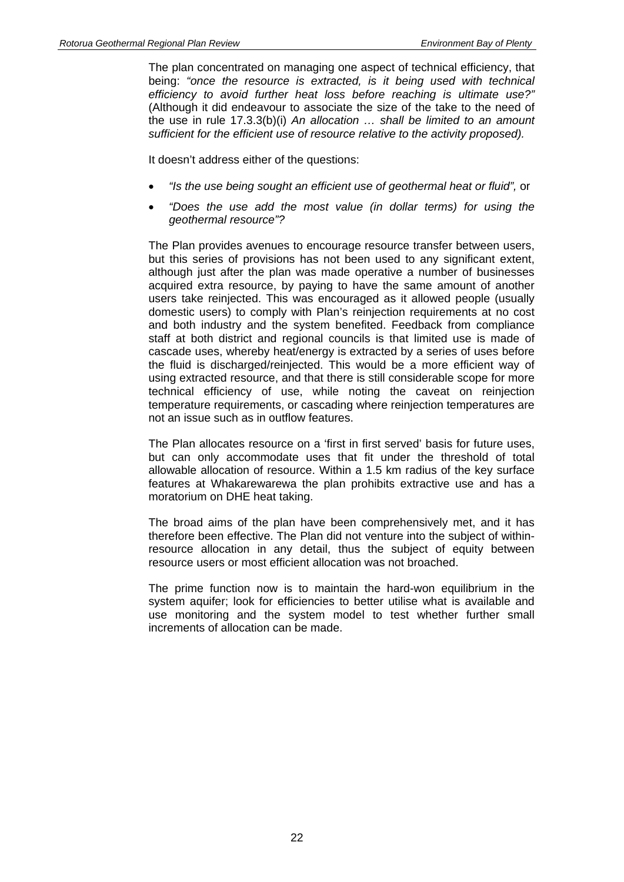The plan concentrated on managing one aspect of technical efficiency, that being: *"once the resource is extracted, is it being used with technical efficiency to avoid further heat loss before reaching is ultimate use?"* (Although it did endeavour to associate the size of the take to the need of the use in rule 17.3.3(b)(i) *An allocation … shall be limited to an amount sufficient for the efficient use of resource relative to the activity proposed).*

It doesn't address either of the questions:

- *"Is the use being sought an efficient use of geothermal heat or fluid",* or
- *"Does the use add the most value (in dollar terms) for using the geothermal resource"?*

The Plan provides avenues to encourage resource transfer between users, but this series of provisions has not been used to any significant extent, although just after the plan was made operative a number of businesses acquired extra resource, by paying to have the same amount of another users take reinjected. This was encouraged as it allowed people (usually domestic users) to comply with Plan's reinjection requirements at no cost and both industry and the system benefited. Feedback from compliance staff at both district and regional councils is that limited use is made of cascade uses, whereby heat/energy is extracted by a series of uses before the fluid is discharged/reinjected. This would be a more efficient way of using extracted resource, and that there is still considerable scope for more technical efficiency of use, while noting the caveat on reinjection temperature requirements, or cascading where reinjection temperatures are not an issue such as in outflow features.

The Plan allocates resource on a 'first in first served' basis for future uses, but can only accommodate uses that fit under the threshold of total allowable allocation of resource. Within a 1.5 km radius of the key surface features at Whakarewarewa the plan prohibits extractive use and has a moratorium on DHE heat taking.

The broad aims of the plan have been comprehensively met, and it has therefore been effective. The Plan did not venture into the subject of withinresource allocation in any detail, thus the subject of equity between resource users or most efficient allocation was not broached.

The prime function now is to maintain the hard-won equilibrium in the system aquifer; look for efficiencies to better utilise what is available and use monitoring and the system model to test whether further small increments of allocation can be made.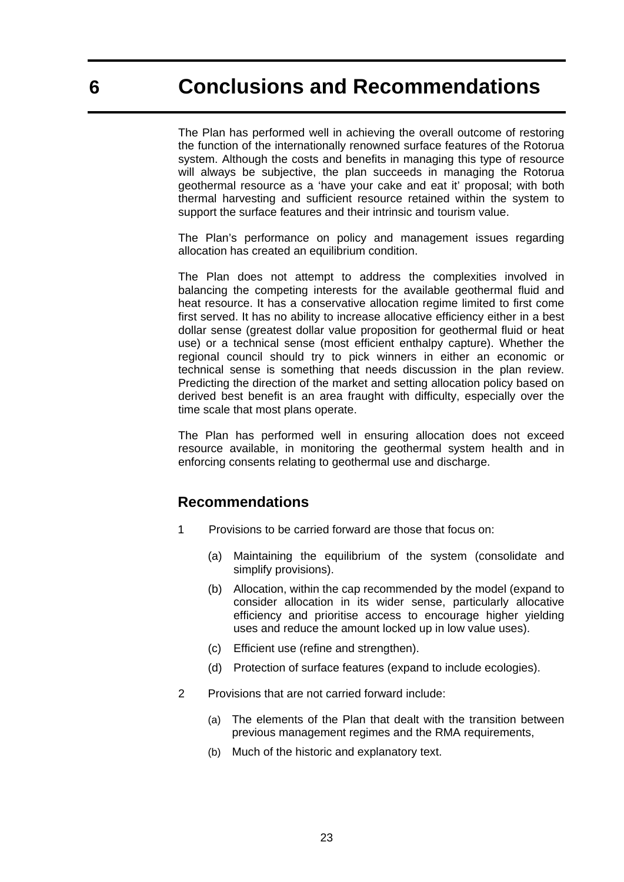The Plan has performed well in achieving the overall outcome of restoring the function of the internationally renowned surface features of the Rotorua system. Although the costs and benefits in managing this type of resource will always be subjective, the plan succeeds in managing the Rotorua geothermal resource as a 'have your cake and eat it' proposal; with both thermal harvesting and sufficient resource retained within the system to support the surface features and their intrinsic and tourism value.

The Plan's performance on policy and management issues regarding allocation has created an equilibrium condition.

The Plan does not attempt to address the complexities involved in balancing the competing interests for the available geothermal fluid and heat resource. It has a conservative allocation regime limited to first come first served. It has no ability to increase allocative efficiency either in a best dollar sense (greatest dollar value proposition for geothermal fluid or heat use) or a technical sense (most efficient enthalpy capture). Whether the regional council should try to pick winners in either an economic or technical sense is something that needs discussion in the plan review. Predicting the direction of the market and setting allocation policy based on derived best benefit is an area fraught with difficulty, especially over the time scale that most plans operate.

The Plan has performed well in ensuring allocation does not exceed resource available, in monitoring the geothermal system health and in enforcing consents relating to geothermal use and discharge.

### **Recommendations**

- 1 Provisions to be carried forward are those that focus on:
	- (a) Maintaining the equilibrium of the system (consolidate and simplify provisions).
	- (b) Allocation, within the cap recommended by the model (expand to consider allocation in its wider sense, particularly allocative efficiency and prioritise access to encourage higher yielding uses and reduce the amount locked up in low value uses).
	- (c) Efficient use (refine and strengthen).
	- (d) Protection of surface features (expand to include ecologies).
- 2 Provisions that are not carried forward include:
	- (a) The elements of the Plan that dealt with the transition between previous management regimes and the RMA requirements,
	- (b) Much of the historic and explanatory text.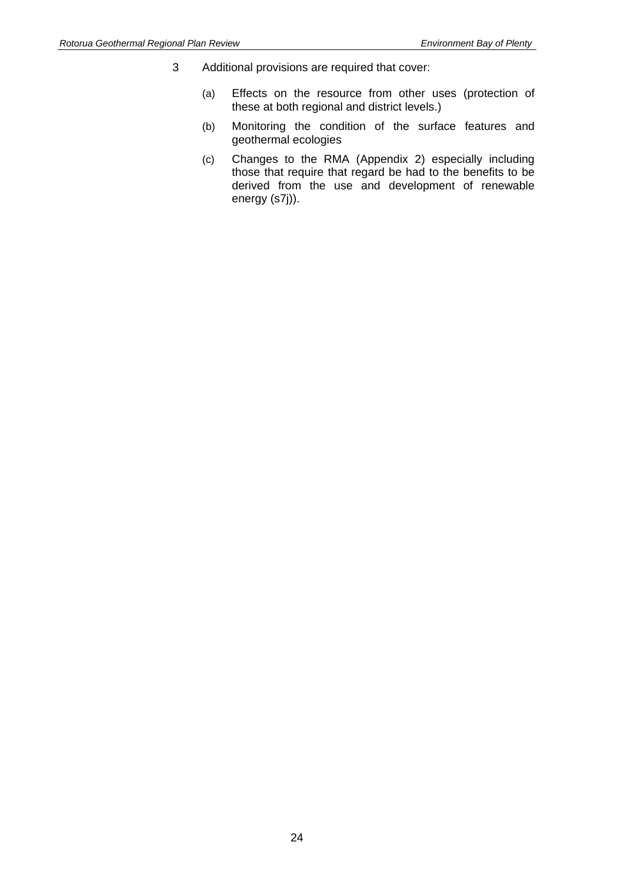- 3 Additional provisions are required that cover:
	- (a) Effects on the resource from other uses (protection of these at both regional and district levels.)
	- (b) Monitoring the condition of the surface features and geothermal ecologies
	- (c) Changes to the RMA (Appendix 2) especially including those that require that regard be had to the benefits to be derived from the use and development of renewable energy (s7j)).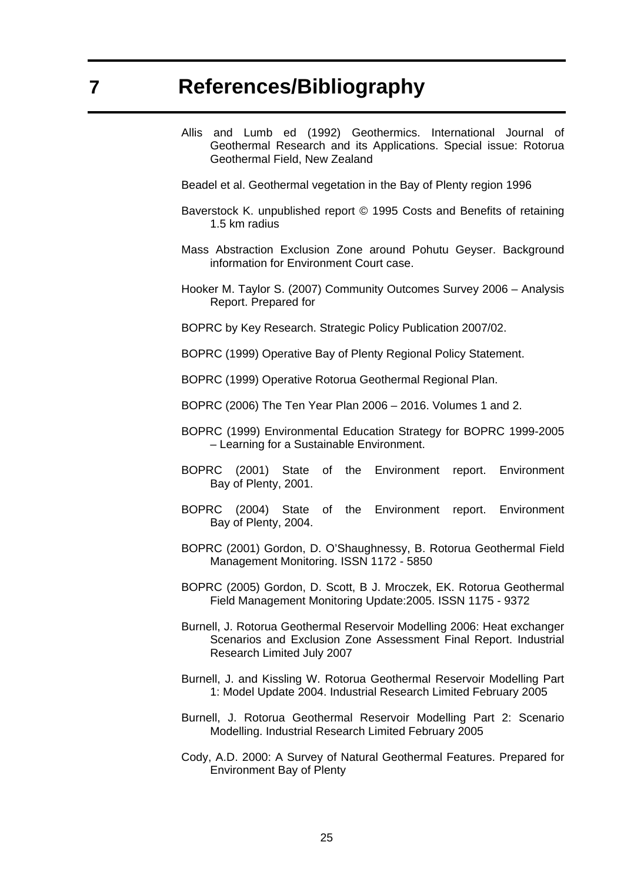- Allis and Lumb ed (1992) Geothermics. International Journal of Geothermal Research and its Applications. Special issue: Rotorua Geothermal Field, New Zealand
- Beadel et al. Geothermal vegetation in the Bay of Plenty region 1996
- Baverstock K. unpublished report © 1995 Costs and Benefits of retaining 1.5 km radius
- Mass Abstraction Exclusion Zone around Pohutu Geyser. Background information for Environment Court case.
- Hooker M. Taylor S. (2007) Community Outcomes Survey 2006 Analysis Report. Prepared for
- BOPRC by Key Research. Strategic Policy Publication 2007/02.
- BOPRC (1999) Operative Bay of Plenty Regional Policy Statement.
- BOPRC (1999) Operative Rotorua Geothermal Regional Plan.
- BOPRC (2006) The Ten Year Plan 2006 2016. Volumes 1 and 2.
- BOPRC (1999) Environmental Education Strategy for BOPRC 1999-2005 – Learning for a Sustainable Environment.
- BOPRC (2001) State of the Environment report. Environment Bay of Plenty, 2001.
- BOPRC (2004) State of the Environment report. Environment Bay of Plenty, 2004.
- BOPRC (2001) Gordon, D. O'Shaughnessy, B. Rotorua Geothermal Field Management Monitoring. ISSN 1172 - 5850
- BOPRC (2005) Gordon, D. Scott, B J. Mroczek, EK. Rotorua Geothermal Field Management Monitoring Update:2005. ISSN 1175 - 9372
- Burnell, J. Rotorua Geothermal Reservoir Modelling 2006: Heat exchanger Scenarios and Exclusion Zone Assessment Final Report. Industrial Research Limited July 2007
- Burnell, J. and Kissling W. Rotorua Geothermal Reservoir Modelling Part 1: Model Update 2004. Industrial Research Limited February 2005
- Burnell, J. Rotorua Geothermal Reservoir Modelling Part 2: Scenario Modelling. Industrial Research Limited February 2005
- Cody, A.D. 2000: A Survey of Natural Geothermal Features. Prepared for Environment Bay of Plenty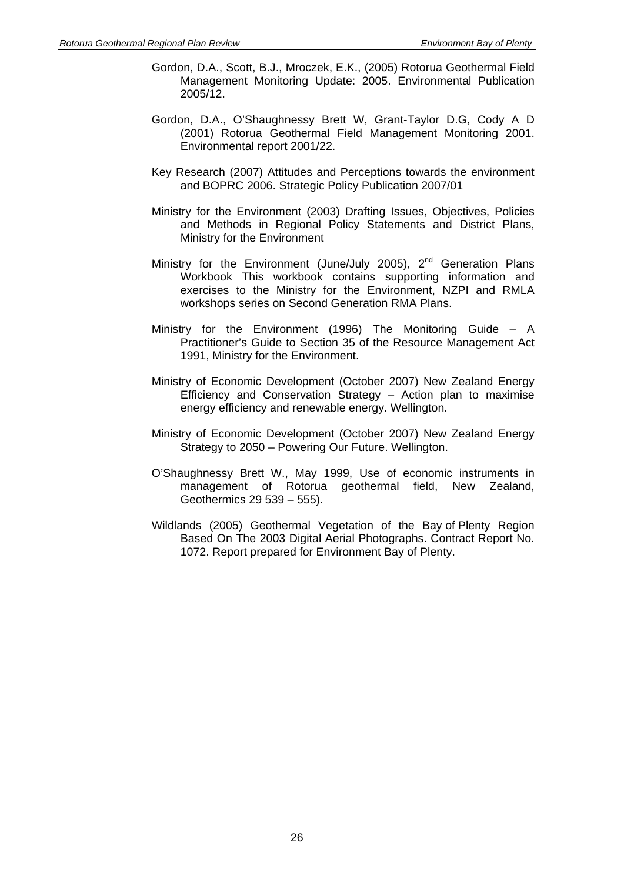- Gordon, D.A., Scott, B.J., Mroczek, E.K., (2005) Rotorua Geothermal Field Management Monitoring Update: 2005. Environmental Publication 2005/12.
- Gordon, D.A., O'Shaughnessy Brett W, Grant-Taylor D.G, Cody A D (2001) Rotorua Geothermal Field Management Monitoring 2001. Environmental report 2001/22.
- Key Research (2007) Attitudes and Perceptions towards the environment and BOPRC 2006. Strategic Policy Publication 2007/01
- Ministry for the Environment (2003) Drafting Issues, Objectives, Policies and Methods in Regional Policy Statements and District Plans, Ministry for the Environment
- Ministry for the Environment (June/July 2005), 2<sup>nd</sup> Generation Plans Workbook This workbook contains supporting information and exercises to the Ministry for the Environment, NZPI and RMLA workshops series on Second Generation RMA Plans.
- Ministry for the Environment (1996) The Monitoring Guide A Practitioner's Guide to Section 35 of the Resource Management Act 1991, Ministry for the Environment.
- Ministry of Economic Development (October 2007) New Zealand Energy Efficiency and Conservation Strategy – Action plan to maximise energy efficiency and renewable energy. Wellington.
- Ministry of Economic Development (October 2007) New Zealand Energy Strategy to 2050 – Powering Our Future. Wellington.
- O'Shaughnessy Brett W., May 1999, Use of economic instruments in management of Rotorua geothermal field, New Zealand, Geothermics 29 539 – 555).
- Wildlands (2005) Geothermal Vegetation of the Bay of Plenty Region Based On The 2003 Digital Aerial Photographs. Contract Report No. 1072. Report prepared for Environment Bay of Plenty.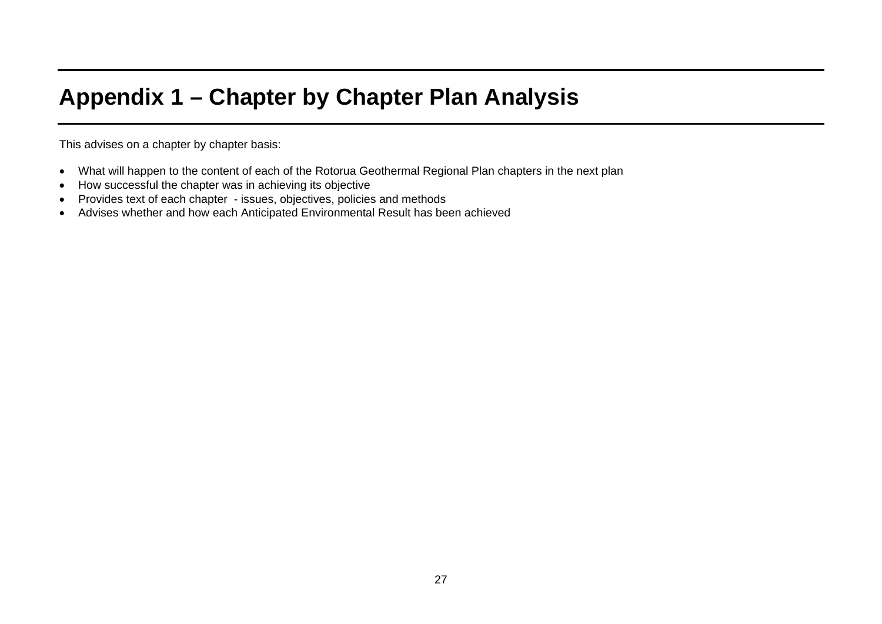# **Appendix 1 – Chapter by Chapter Plan Analysis**

This advises on a chapter by chapter basis:

- What will happen to the content of each of the Rotorua Geothermal Regional Plan chapters in the next plan
- How successful the chapter was in achieving its objective
- Provides text of each chapter issues, objectives, policies and methods
- Advises whether and how each Anticipated Environmental Result has been achieved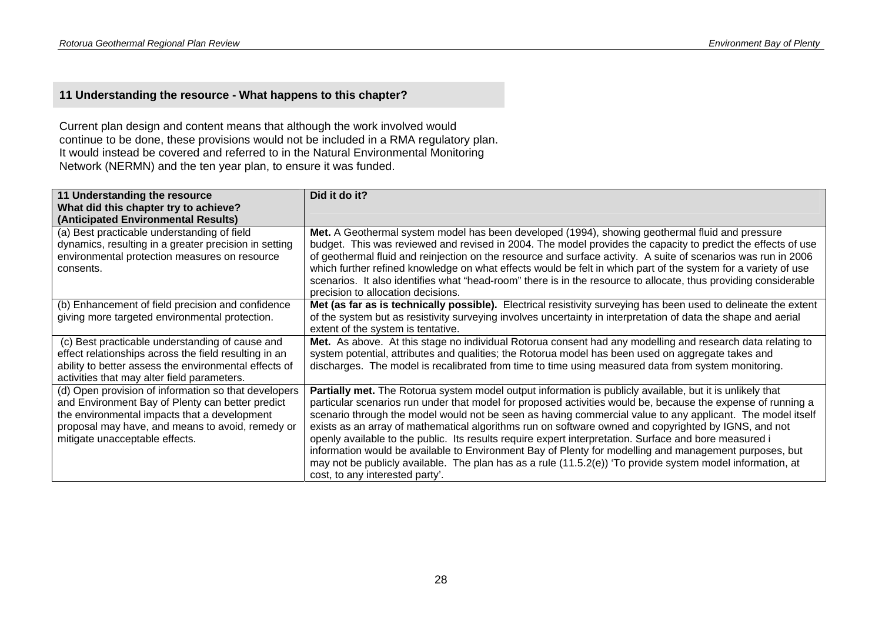### **11 Understanding the resource - What happens to this chapter?**

Current plan design and content means that although the work involved would continue to be done, these provisions would not be included in a RMA regulatory plan. It would instead be covered and referred to in the Natural Environmental Monitoring Network (NERMN) and the ten year plan, to ensure it was funded.

| 11 Understanding the resource<br>What did this chapter try to achieve?                                                                                                                                                                         | Did it do it?                                                                                                                                                                                                                                                                                                                                                                                                                                                                                                                                                                                                                                                                                                                                                                                                        |
|------------------------------------------------------------------------------------------------------------------------------------------------------------------------------------------------------------------------------------------------|----------------------------------------------------------------------------------------------------------------------------------------------------------------------------------------------------------------------------------------------------------------------------------------------------------------------------------------------------------------------------------------------------------------------------------------------------------------------------------------------------------------------------------------------------------------------------------------------------------------------------------------------------------------------------------------------------------------------------------------------------------------------------------------------------------------------|
| (Anticipated Environmental Results)                                                                                                                                                                                                            |                                                                                                                                                                                                                                                                                                                                                                                                                                                                                                                                                                                                                                                                                                                                                                                                                      |
| (a) Best practicable understanding of field<br>dynamics, resulting in a greater precision in setting<br>environmental protection measures on resource<br>consents.                                                                             | Met. A Geothermal system model has been developed (1994), showing geothermal fluid and pressure<br>budget. This was reviewed and revised in 2004. The model provides the capacity to predict the effects of use<br>of geothermal fluid and reinjection on the resource and surface activity. A suite of scenarios was run in 2006<br>which further refined knowledge on what effects would be felt in which part of the system for a variety of use<br>scenarios. It also identifies what "head-room" there is in the resource to allocate, thus providing considerable<br>precision to allocation decisions.                                                                                                                                                                                                        |
| (b) Enhancement of field precision and confidence<br>giving more targeted environmental protection.                                                                                                                                            | Met (as far as is technically possible). Electrical resistivity surveying has been used to delineate the extent<br>of the system but as resistivity surveying involves uncertainty in interpretation of data the shape and aerial<br>extent of the system is tentative.                                                                                                                                                                                                                                                                                                                                                                                                                                                                                                                                              |
| (c) Best practicable understanding of cause and<br>effect relationships across the field resulting in an<br>ability to better assess the environmental effects of<br>activities that may alter field parameters.                               | Met. As above. At this stage no individual Rotorua consent had any modelling and research data relating to<br>system potential, attributes and qualities; the Rotorua model has been used on aggregate takes and<br>discharges. The model is recalibrated from time to time using measured data from system monitoring.                                                                                                                                                                                                                                                                                                                                                                                                                                                                                              |
| (d) Open provision of information so that developers<br>and Environment Bay of Plenty can better predict<br>the environmental impacts that a development<br>proposal may have, and means to avoid, remedy or<br>mitigate unacceptable effects. | Partially met. The Rotorua system model output information is publicly available, but it is unlikely that<br>particular scenarios run under that model for proposed activities would be, because the expense of running a<br>scenario through the model would not be seen as having commercial value to any applicant. The model itself<br>exists as an array of mathematical algorithms run on software owned and copyrighted by IGNS, and not<br>openly available to the public. Its results require expert interpretation. Surface and bore measured i<br>information would be available to Environment Bay of Plenty for modelling and management purposes, but<br>may not be publicly available. The plan has as a rule (11.5.2(e)) 'To provide system model information, at<br>cost, to any interested party'. |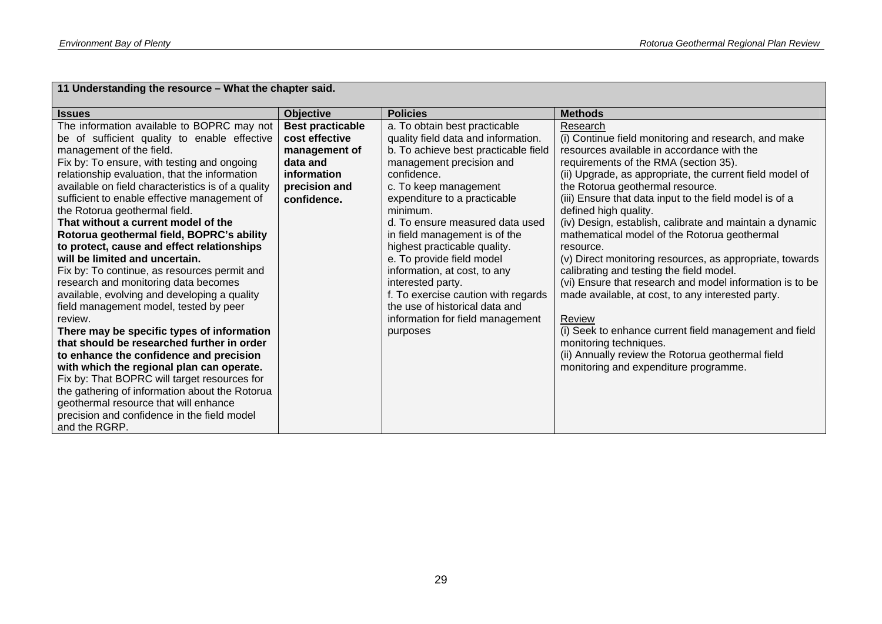| 11 Understanding the resource - What the chapter said.                                             |                         |                                          |                                                                                  |  |
|----------------------------------------------------------------------------------------------------|-------------------------|------------------------------------------|----------------------------------------------------------------------------------|--|
| <b>Issues</b>                                                                                      | <b>Objective</b>        | <b>Policies</b>                          | <b>Methods</b>                                                                   |  |
| The information available to BOPRC may not                                                         | <b>Best practicable</b> | a. To obtain best practicable            | Research                                                                         |  |
| be of sufficient quality to enable effective                                                       | cost effective          | quality field data and information.      | (i) Continue field monitoring and research, and make                             |  |
| management of the field.                                                                           | management of           | b. To achieve best practicable field     | resources available in accordance with the                                       |  |
| Fix by: To ensure, with testing and ongoing                                                        | data and                | management precision and                 | requirements of the RMA (section 35).                                            |  |
| relationship evaluation, that the information                                                      | information             | confidence.                              | (ii) Upgrade, as appropriate, the current field model of                         |  |
| available on field characteristics is of a quality<br>sufficient to enable effective management of | precision and           | c. To keep management                    | the Rotorua geothermal resource.                                                 |  |
| the Rotorua geothermal field.                                                                      | confidence.             | expenditure to a practicable<br>minimum. | (iii) Ensure that data input to the field model is of a<br>defined high quality. |  |
| That without a current model of the                                                                |                         | d. To ensure measured data used          | (iv) Design, establish, calibrate and maintain a dynamic                         |  |
| Rotorua geothermal field, BOPRC's ability                                                          |                         | in field management is of the            | mathematical model of the Rotorua geothermal                                     |  |
| to protect, cause and effect relationships                                                         |                         | highest practicable quality.             | resource.                                                                        |  |
| will be limited and uncertain.                                                                     |                         | e. To provide field model                | (v) Direct monitoring resources, as appropriate, towards                         |  |
| Fix by: To continue, as resources permit and                                                       |                         | information, at cost, to any             | calibrating and testing the field model.                                         |  |
| research and monitoring data becomes                                                               |                         | interested party.                        | (vi) Ensure that research and model information is to be                         |  |
| available, evolving and developing a quality                                                       |                         | f. To exercise caution with regards      | made available, at cost, to any interested party.                                |  |
| field management model, tested by peer                                                             |                         | the use of historical data and           |                                                                                  |  |
| review.                                                                                            |                         | information for field management         | Review                                                                           |  |
| There may be specific types of information                                                         |                         | purposes                                 | (i) Seek to enhance current field management and field                           |  |
| that should be researched further in order                                                         |                         |                                          | monitoring techniques.                                                           |  |
| to enhance the confidence and precision                                                            |                         |                                          | (ii) Annually review the Rotorua geothermal field                                |  |
| with which the regional plan can operate.                                                          |                         |                                          | monitoring and expenditure programme.                                            |  |
| Fix by: That BOPRC will target resources for                                                       |                         |                                          |                                                                                  |  |
| the gathering of information about the Rotorua                                                     |                         |                                          |                                                                                  |  |
| geothermal resource that will enhance                                                              |                         |                                          |                                                                                  |  |
| precision and confidence in the field model                                                        |                         |                                          |                                                                                  |  |
| and the RGRP.                                                                                      |                         |                                          |                                                                                  |  |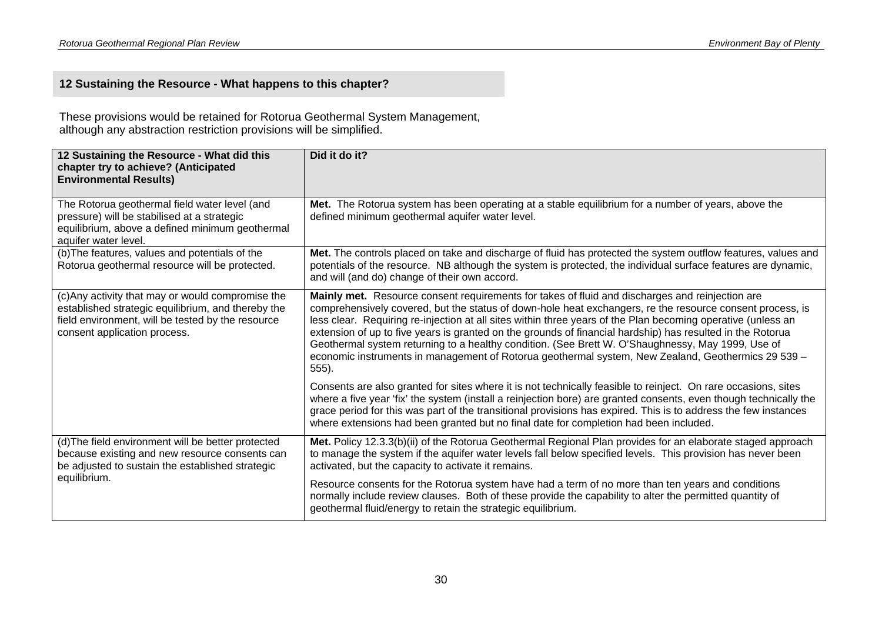### **12 Sustaining the Resource - What happens to this chapter?**

These provisions would be retained for Rotorua Geothermal System Management, although any abstraction restriction provisions will be simplified.

| 12 Sustaining the Resource - What did this<br>chapter try to achieve? (Anticipated<br><b>Environmental Results)</b>                                                                          | Did it do it?                                                                                                                                                                                                                                                                                                                                                                                                                                                                                                                                                                                                                                                     |  |
|----------------------------------------------------------------------------------------------------------------------------------------------------------------------------------------------|-------------------------------------------------------------------------------------------------------------------------------------------------------------------------------------------------------------------------------------------------------------------------------------------------------------------------------------------------------------------------------------------------------------------------------------------------------------------------------------------------------------------------------------------------------------------------------------------------------------------------------------------------------------------|--|
| The Rotorua geothermal field water level (and<br>pressure) will be stabilised at a strategic<br>equilibrium, above a defined minimum geothermal<br>aquifer water level.                      | Met. The Rotorua system has been operating at a stable equilibrium for a number of years, above the<br>defined minimum geothermal aquifer water level.                                                                                                                                                                                                                                                                                                                                                                                                                                                                                                            |  |
| (b) The features, values and potentials of the<br>Rotorua geothermal resource will be protected.                                                                                             | Met. The controls placed on take and discharge of fluid has protected the system outflow features, values and<br>potentials of the resource. NB although the system is protected, the individual surface features are dynamic,<br>and will (and do) change of their own accord.                                                                                                                                                                                                                                                                                                                                                                                   |  |
| (c) Any activity that may or would compromise the<br>established strategic equilibrium, and thereby the<br>field environment, will be tested by the resource<br>consent application process. | Mainly met. Resource consent requirements for takes of fluid and discharges and reinjection are<br>comprehensively covered, but the status of down-hole heat exchangers, re the resource consent process, is<br>less clear. Requiring re-injection at all sites within three years of the Plan becoming operative (unless an<br>extension of up to five years is granted on the grounds of financial hardship) has resulted in the Rotorua<br>Geothermal system returning to a healthy condition. (See Brett W. O'Shaughnessy, May 1999, Use of<br>economic instruments in management of Rotorua geothermal system, New Zealand, Geothermics 29 539 -<br>$555$ ). |  |
|                                                                                                                                                                                              | Consents are also granted for sites where it is not technically feasible to reinject. On rare occasions, sites<br>where a five year 'fix' the system (install a reinjection bore) are granted consents, even though technically the<br>grace period for this was part of the transitional provisions has expired. This is to address the few instances<br>where extensions had been granted but no final date for completion had been included.                                                                                                                                                                                                                   |  |
| (d) The field environment will be better protected<br>because existing and new resource consents can<br>be adjusted to sustain the established strategic                                     | Met. Policy 12.3.3(b)(ii) of the Rotorua Geothermal Regional Plan provides for an elaborate staged approach<br>to manage the system if the aquifer water levels fall below specified levels. This provision has never been<br>activated, but the capacity to activate it remains.                                                                                                                                                                                                                                                                                                                                                                                 |  |
| equilibrium.                                                                                                                                                                                 | Resource consents for the Rotorua system have had a term of no more than ten years and conditions<br>normally include review clauses. Both of these provide the capability to alter the permitted quantity of<br>geothermal fluid/energy to retain the strategic equilibrium.                                                                                                                                                                                                                                                                                                                                                                                     |  |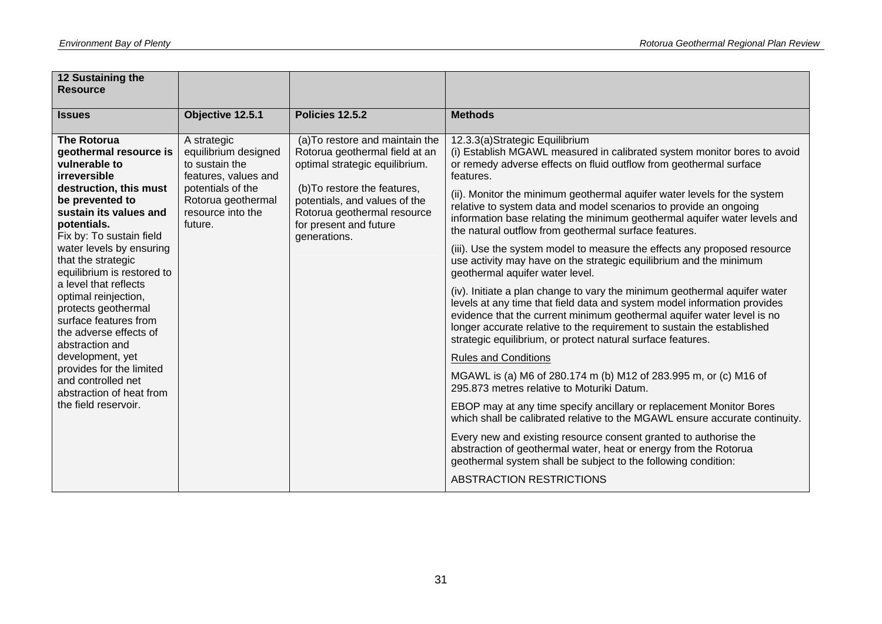| 12 Sustaining the<br><b>Resource</b>                                                                                                                 |                                                                                                                                               |                                                                                                                                                                                                     |                                                                                                                                                                                                                                                                                                                                                                          |
|------------------------------------------------------------------------------------------------------------------------------------------------------|-----------------------------------------------------------------------------------------------------------------------------------------------|-----------------------------------------------------------------------------------------------------------------------------------------------------------------------------------------------------|--------------------------------------------------------------------------------------------------------------------------------------------------------------------------------------------------------------------------------------------------------------------------------------------------------------------------------------------------------------------------|
| <b>Issues</b>                                                                                                                                        | Objective 12.5.1                                                                                                                              | Policies 12.5.2                                                                                                                                                                                     | <b>Methods</b>                                                                                                                                                                                                                                                                                                                                                           |
| <b>The Rotorua</b><br>geothermal resource is<br>vulnerable to<br>irreversible<br>destruction, this must<br>be prevented to<br>sustain its values and | A strategic<br>equilibrium designed<br>to sustain the<br>features, values and<br>potentials of the<br>Rotorua geothermal<br>resource into the | (a) To restore and maintain the<br>Rotorua geothermal field at an<br>optimal strategic equilibrium.<br>(b) To restore the features,<br>potentials, and values of the<br>Rotorua geothermal resource | 12.3.3(a)Strategic Equilibrium<br>(i) Establish MGAWL measured in calibrated system monitor bores to avoid<br>or remedy adverse effects on fluid outflow from geothermal surface<br>features.<br>(ii). Monitor the minimum geothermal aquifer water levels for the system<br>relative to system data and model scenarios to provide an ongoing                           |
| potentials.<br>Fix by: To sustain field                                                                                                              | future.                                                                                                                                       | for present and future<br>generations.                                                                                                                                                              | information base relating the minimum geothermal aquifer water levels and<br>the natural outflow from geothermal surface features.                                                                                                                                                                                                                                       |
| water levels by ensuring<br>that the strategic<br>equilibrium is restored to                                                                         |                                                                                                                                               |                                                                                                                                                                                                     | (iii). Use the system model to measure the effects any proposed resource<br>use activity may have on the strategic equilibrium and the minimum<br>geothermal aquifer water level.                                                                                                                                                                                        |
| a level that reflects<br>optimal reinjection,<br>protects geothermal<br>surface features from<br>the adverse effects of<br>abstraction and           |                                                                                                                                               |                                                                                                                                                                                                     | (iv). Initiate a plan change to vary the minimum geothermal aquifer water<br>levels at any time that field data and system model information provides<br>evidence that the current minimum geothermal aquifer water level is no<br>longer accurate relative to the requirement to sustain the established<br>strategic equilibrium, or protect natural surface features. |
| development, yet                                                                                                                                     |                                                                                                                                               |                                                                                                                                                                                                     | <b>Rules and Conditions</b>                                                                                                                                                                                                                                                                                                                                              |
| provides for the limited<br>and controlled net<br>abstraction of heat from                                                                           |                                                                                                                                               |                                                                                                                                                                                                     | MGAWL is (a) M6 of 280.174 m (b) M12 of 283.995 m, or (c) M16 of<br>295.873 metres relative to Moturiki Datum.                                                                                                                                                                                                                                                           |
| the field reservoir.                                                                                                                                 |                                                                                                                                               |                                                                                                                                                                                                     | EBOP may at any time specify ancillary or replacement Monitor Bores<br>which shall be calibrated relative to the MGAWL ensure accurate continuity.                                                                                                                                                                                                                       |
|                                                                                                                                                      |                                                                                                                                               |                                                                                                                                                                                                     | Every new and existing resource consent granted to authorise the<br>abstraction of geothermal water, heat or energy from the Rotorua<br>geothermal system shall be subject to the following condition:                                                                                                                                                                   |
|                                                                                                                                                      |                                                                                                                                               |                                                                                                                                                                                                     | ABSTRACTION RESTRICTIONS                                                                                                                                                                                                                                                                                                                                                 |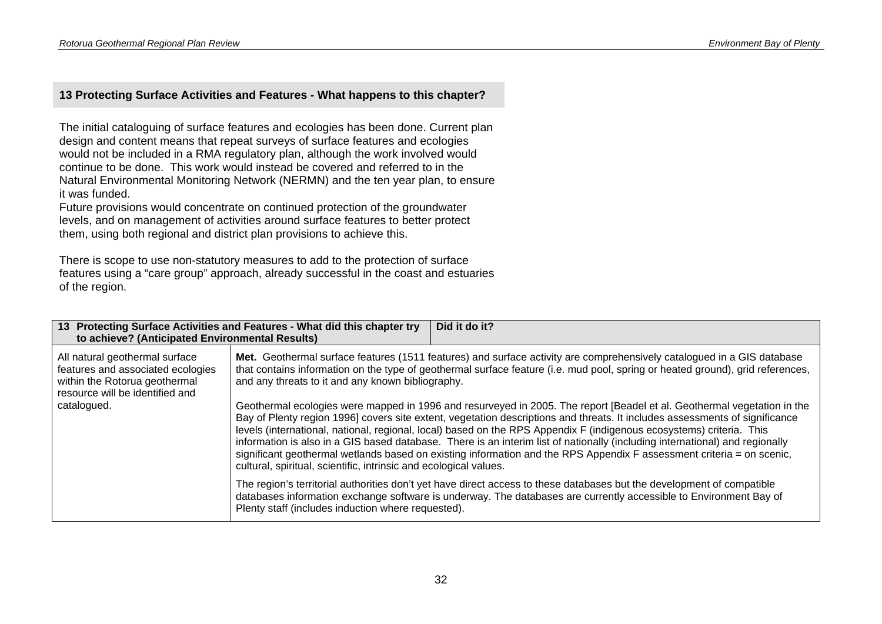#### **13 Protecting Surface Activities and Features - What happens to this chapter?**

The initial cataloguing of surface features and ecologies has been done. Current plan design and content means that repeat surveys of surface features and ecologies would not be included in a RMA regulatory plan, although the work involved would continue to be done. This work would instead be covered and referred to in the Natural Environmental Monitoring Network (NERMN) and the ten year plan, to ensure it was funded.

Future provisions would concentrate on continued protection of the groundwater levels, and on management of activities around surface features to better protect them, using both regional and district plan provisions to achieve this.

There is scope to use non-statutory measures to add to the protection of surface features using a "care group" approach, already successful in the coast and estuaries of the region.

| to achieve? (Anticipated Environmental Results)                                                                                         | 13 Protecting Surface Activities and Features - What did this chapter try                                                                                                                                                                                                                                                                                                                                                                                                                                                                                                                                                                                                                                    | Did it do it? |  |
|-----------------------------------------------------------------------------------------------------------------------------------------|--------------------------------------------------------------------------------------------------------------------------------------------------------------------------------------------------------------------------------------------------------------------------------------------------------------------------------------------------------------------------------------------------------------------------------------------------------------------------------------------------------------------------------------------------------------------------------------------------------------------------------------------------------------------------------------------------------------|---------------|--|
| All natural geothermal surface<br>features and associated ecologies<br>within the Rotorua geothermal<br>resource will be identified and | Met. Geothermal surface features (1511 features) and surface activity are comprehensively catalogued in a GIS database<br>that contains information on the type of geothermal surface feature (i.e. mud pool, spring or heated ground), grid references,<br>and any threats to it and any known bibliography.                                                                                                                                                                                                                                                                                                                                                                                                |               |  |
| catalogued.                                                                                                                             | Geothermal ecologies were mapped in 1996 and resurveyed in 2005. The report [Beadel et al. Geothermal vegetation in the<br>Bay of Plenty region 1996] covers site extent, vegetation descriptions and threats. It includes assessments of significance<br>levels (international, national, regional, local) based on the RPS Appendix F (indigenous ecosystems) criteria. This<br>information is also in a GIS based database. There is an interim list of nationally (including international) and regionally<br>significant geothermal wetlands based on existing information and the RPS Appendix F assessment criteria = on scenic,<br>cultural, spiritual, scientific, intrinsic and ecological values. |               |  |
|                                                                                                                                         | The region's territorial authorities don't yet have direct access to these databases but the development of compatible<br>databases information exchange software is underway. The databases are currently accessible to Environment Bay of<br>Plenty staff (includes induction where requested).                                                                                                                                                                                                                                                                                                                                                                                                            |               |  |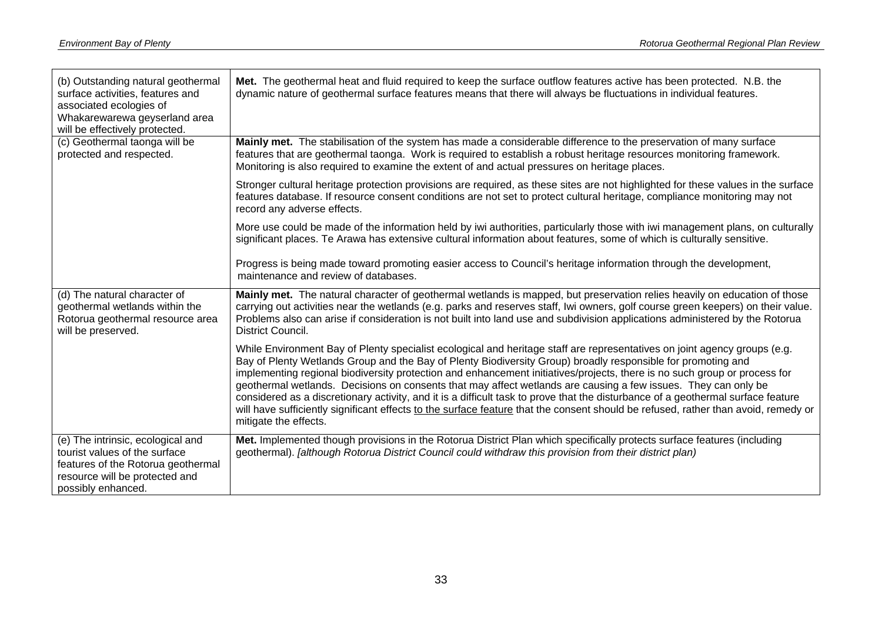| (b) Outstanding natural geothermal<br>surface activities, features and<br>associated ecologies of<br>Whakarewarewa geyserland area<br>will be effectively protected. | Met. The geothermal heat and fluid required to keep the surface outflow features active has been protected. N.B. the<br>dynamic nature of geothermal surface features means that there will always be fluctuations in individual features.                                                                                                                                                                                                                                                                                                                                                                                                                                                                                                                                                  |  |  |  |
|----------------------------------------------------------------------------------------------------------------------------------------------------------------------|---------------------------------------------------------------------------------------------------------------------------------------------------------------------------------------------------------------------------------------------------------------------------------------------------------------------------------------------------------------------------------------------------------------------------------------------------------------------------------------------------------------------------------------------------------------------------------------------------------------------------------------------------------------------------------------------------------------------------------------------------------------------------------------------|--|--|--|
| (c) Geothermal taonga will be<br>protected and respected.                                                                                                            | Mainly met. The stabilisation of the system has made a considerable difference to the preservation of many surface<br>features that are geothermal taonga. Work is required to establish a robust heritage resources monitoring framework.<br>Monitoring is also required to examine the extent of and actual pressures on heritage places.                                                                                                                                                                                                                                                                                                                                                                                                                                                 |  |  |  |
|                                                                                                                                                                      | Stronger cultural heritage protection provisions are required, as these sites are not highlighted for these values in the surface<br>features database. If resource consent conditions are not set to protect cultural heritage, compliance monitoring may not<br>record any adverse effects.                                                                                                                                                                                                                                                                                                                                                                                                                                                                                               |  |  |  |
|                                                                                                                                                                      | More use could be made of the information held by iwi authorities, particularly those with iwi management plans, on culturally<br>significant places. Te Arawa has extensive cultural information about features, some of which is culturally sensitive.                                                                                                                                                                                                                                                                                                                                                                                                                                                                                                                                    |  |  |  |
|                                                                                                                                                                      | Progress is being made toward promoting easier access to Council's heritage information through the development,<br>maintenance and review of databases.                                                                                                                                                                                                                                                                                                                                                                                                                                                                                                                                                                                                                                    |  |  |  |
| (d) The natural character of<br>geothermal wetlands within the<br>Rotorua geothermal resource area<br>will be preserved.                                             | Mainly met. The natural character of geothermal wetlands is mapped, but preservation relies heavily on education of those<br>carrying out activities near the wetlands (e.g. parks and reserves staff, Iwi owners, golf course green keepers) on their value.<br>Problems also can arise if consideration is not built into land use and subdivision applications administered by the Rotorua<br>District Council.                                                                                                                                                                                                                                                                                                                                                                          |  |  |  |
|                                                                                                                                                                      | While Environment Bay of Plenty specialist ecological and heritage staff are representatives on joint agency groups (e.g.<br>Bay of Plenty Wetlands Group and the Bay of Plenty Biodiversity Group) broadly responsible for promoting and<br>implementing regional biodiversity protection and enhancement initiatives/projects, there is no such group or process for<br>geothermal wetlands. Decisions on consents that may affect wetlands are causing a few issues. They can only be<br>considered as a discretionary activity, and it is a difficult task to prove that the disturbance of a geothermal surface feature<br>will have sufficiently significant effects to the surface feature that the consent should be refused, rather than avoid, remedy or<br>mitigate the effects. |  |  |  |
| (e) The intrinsic, ecological and<br>tourist values of the surface<br>features of the Rotorua geothermal<br>resource will be protected and<br>possibly enhanced.     | Met. Implemented though provisions in the Rotorua District Plan which specifically protects surface features (including<br>geothermal). [although Rotorua District Council could withdraw this provision from their district plan)                                                                                                                                                                                                                                                                                                                                                                                                                                                                                                                                                          |  |  |  |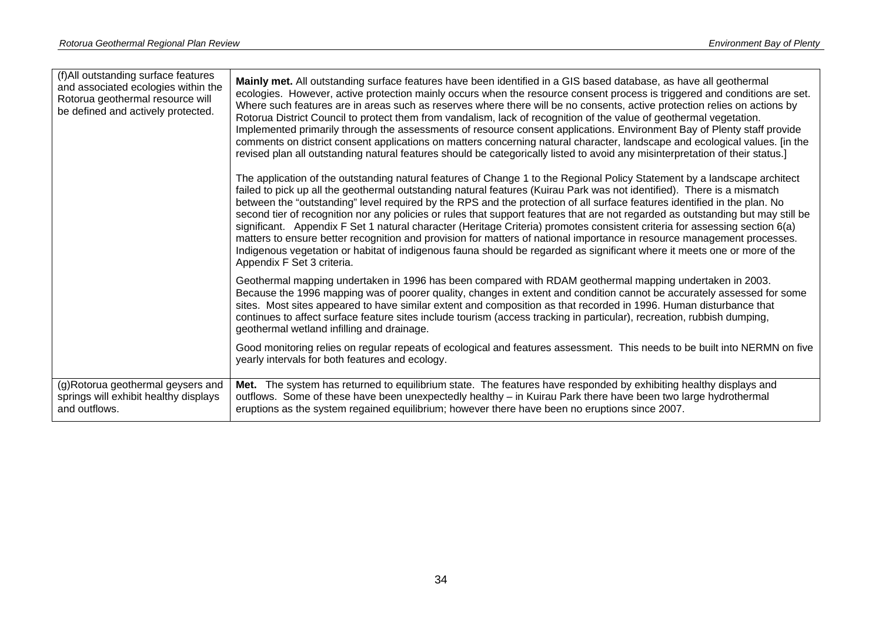| (f) All outstanding surface features<br>and associated ecologies within the<br>Rotorua geothermal resource will<br>be defined and actively protected. | Mainly met. All outstanding surface features have been identified in a GIS based database, as have all geothermal<br>ecologies. However, active protection mainly occurs when the resource consent process is triggered and conditions are set.<br>Where such features are in areas such as reserves where there will be no consents, active protection relies on actions by<br>Rotorua District Council to protect them from vandalism, lack of recognition of the value of geothermal vegetation.<br>Implemented primarily through the assessments of resource consent applications. Environment Bay of Plenty staff provide<br>comments on district consent applications on matters concerning natural character, landscape and ecological values. [in the<br>revised plan all outstanding natural features should be categorically listed to avoid any misinterpretation of their status.]<br>The application of the outstanding natural features of Change 1 to the Regional Policy Statement by a landscape architect<br>failed to pick up all the geothermal outstanding natural features (Kuirau Park was not identified). There is a mismatch<br>between the "outstanding" level required by the RPS and the protection of all surface features identified in the plan. No<br>second tier of recognition nor any policies or rules that support features that are not regarded as outstanding but may still be<br>significant. Appendix F Set 1 natural character (Heritage Criteria) promotes consistent criteria for assessing section 6(a)<br>matters to ensure better recognition and provision for matters of national importance in resource management processes.<br>Indigenous vegetation or habitat of indigenous fauna should be regarded as significant where it meets one or more of the<br>Appendix F Set 3 criteria. |
|-------------------------------------------------------------------------------------------------------------------------------------------------------|---------------------------------------------------------------------------------------------------------------------------------------------------------------------------------------------------------------------------------------------------------------------------------------------------------------------------------------------------------------------------------------------------------------------------------------------------------------------------------------------------------------------------------------------------------------------------------------------------------------------------------------------------------------------------------------------------------------------------------------------------------------------------------------------------------------------------------------------------------------------------------------------------------------------------------------------------------------------------------------------------------------------------------------------------------------------------------------------------------------------------------------------------------------------------------------------------------------------------------------------------------------------------------------------------------------------------------------------------------------------------------------------------------------------------------------------------------------------------------------------------------------------------------------------------------------------------------------------------------------------------------------------------------------------------------------------------------------------------------------------------------------------------------------------------------------------------------------------|
|                                                                                                                                                       | Geothermal mapping undertaken in 1996 has been compared with RDAM geothermal mapping undertaken in 2003.<br>Because the 1996 mapping was of poorer quality, changes in extent and condition cannot be accurately assessed for some<br>sites. Most sites appeared to have similar extent and composition as that recorded in 1996. Human disturbance that<br>continues to affect surface feature sites include tourism (access tracking in particular), recreation, rubbish dumping,<br>geothermal wetland infilling and drainage.                                                                                                                                                                                                                                                                                                                                                                                                                                                                                                                                                                                                                                                                                                                                                                                                                                                                                                                                                                                                                                                                                                                                                                                                                                                                                                           |
|                                                                                                                                                       | Good monitoring relies on regular repeats of ecological and features assessment. This needs to be built into NERMN on five<br>yearly intervals for both features and ecology.                                                                                                                                                                                                                                                                                                                                                                                                                                                                                                                                                                                                                                                                                                                                                                                                                                                                                                                                                                                                                                                                                                                                                                                                                                                                                                                                                                                                                                                                                                                                                                                                                                                               |
| (g)Rotorua geothermal geysers and<br>springs will exhibit healthy displays<br>and outflows.                                                           | Met. The system has returned to equilibrium state. The features have responded by exhibiting healthy displays and<br>outflows. Some of these have been unexpectedly healthy – in Kuirau Park there have been two large hydrothermal<br>eruptions as the system regained equilibrium; however there have been no eruptions since 2007.                                                                                                                                                                                                                                                                                                                                                                                                                                                                                                                                                                                                                                                                                                                                                                                                                                                                                                                                                                                                                                                                                                                                                                                                                                                                                                                                                                                                                                                                                                       |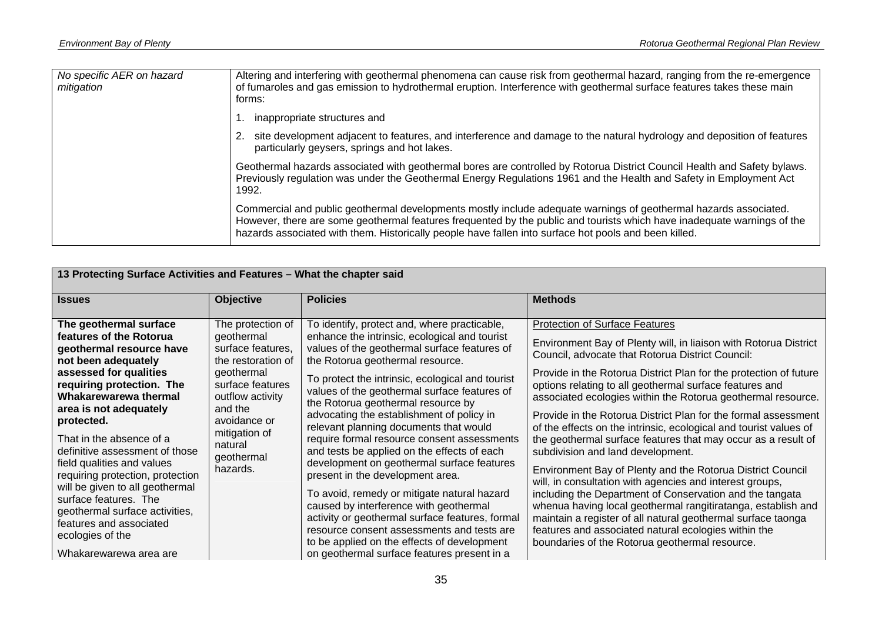| No specific AER on hazard<br>mitigation | Altering and interfering with geothermal phenomena can cause risk from geothermal hazard, ranging from the re-emergence<br>of fumaroles and gas emission to hydrothermal eruption. Interference with geothermal surface features takes these main<br>forms:                                                                                          |
|-----------------------------------------|------------------------------------------------------------------------------------------------------------------------------------------------------------------------------------------------------------------------------------------------------------------------------------------------------------------------------------------------------|
|                                         | inappropriate structures and                                                                                                                                                                                                                                                                                                                         |
|                                         | site development adjacent to features, and interference and damage to the natural hydrology and deposition of features<br>particularly geysers, springs and hot lakes.                                                                                                                                                                               |
|                                         | Geothermal hazards associated with geothermal bores are controlled by Rotorua District Council Health and Safety bylaws.<br>Previously regulation was under the Geothermal Energy Regulations 1961 and the Health and Safety in Employment Act<br>1992.                                                                                              |
|                                         | Commercial and public geothermal developments mostly include adequate warnings of geothermal hazards associated.<br>However, there are some geothermal features frequented by the public and tourists which have inadequate warnings of the<br>hazards associated with them. Historically people have fallen into surface hot pools and been killed. |

| 13 Protecting Surface Activities and Features - What the chapter said                                                                                                                                                                                                                                                                                                                                                                                                                                                               |                                                                                                                                                                                                                   |                                                                                                                                                                                                                                                                                                                                                                                                                                                                                                                                                                                                                                                                                                                                                                                                                                                                                            |                                                                                                                                                                                                                                                                                                                                                                                                                                                                                                                                                                                                                                                                                                                                                                                                                                                                                                                                                                                                                                            |  |
|-------------------------------------------------------------------------------------------------------------------------------------------------------------------------------------------------------------------------------------------------------------------------------------------------------------------------------------------------------------------------------------------------------------------------------------------------------------------------------------------------------------------------------------|-------------------------------------------------------------------------------------------------------------------------------------------------------------------------------------------------------------------|--------------------------------------------------------------------------------------------------------------------------------------------------------------------------------------------------------------------------------------------------------------------------------------------------------------------------------------------------------------------------------------------------------------------------------------------------------------------------------------------------------------------------------------------------------------------------------------------------------------------------------------------------------------------------------------------------------------------------------------------------------------------------------------------------------------------------------------------------------------------------------------------|--------------------------------------------------------------------------------------------------------------------------------------------------------------------------------------------------------------------------------------------------------------------------------------------------------------------------------------------------------------------------------------------------------------------------------------------------------------------------------------------------------------------------------------------------------------------------------------------------------------------------------------------------------------------------------------------------------------------------------------------------------------------------------------------------------------------------------------------------------------------------------------------------------------------------------------------------------------------------------------------------------------------------------------------|--|
| <b>Issues</b>                                                                                                                                                                                                                                                                                                                                                                                                                                                                                                                       | <b>Objective</b>                                                                                                                                                                                                  | <b>Policies</b>                                                                                                                                                                                                                                                                                                                                                                                                                                                                                                                                                                                                                                                                                                                                                                                                                                                                            | <b>Methods</b>                                                                                                                                                                                                                                                                                                                                                                                                                                                                                                                                                                                                                                                                                                                                                                                                                                                                                                                                                                                                                             |  |
| The geothermal surface<br>features of the Rotorua<br>geothermal resource have<br>not been adequately<br>assessed for qualities<br>requiring protection. The<br>Whakarewarewa thermal<br>area is not adequately<br>protected.<br>That in the absence of a<br>definitive assessment of those<br>field qualities and values<br>requiring protection, protection<br>will be given to all geothermal<br>surface features. The<br>geothermal surface activities,<br>features and associated<br>ecologies of the<br>Whakarewarewa area are | The protection of<br>geothermal<br>surface features,<br>the restoration of<br>geothermal<br>surface features<br>outflow activity<br>and the<br>avoidance or<br>mitigation of<br>natural<br>geothermal<br>hazards. | To identify, protect and, where practicable,<br>enhance the intrinsic, ecological and tourist<br>values of the geothermal surface features of<br>the Rotorua geothermal resource.<br>To protect the intrinsic, ecological and tourist<br>values of the geothermal surface features of<br>the Rotorua geothermal resource by<br>advocating the establishment of policy in<br>relevant planning documents that would<br>require formal resource consent assessments<br>and tests be applied on the effects of each<br>development on geothermal surface features<br>present in the development area.<br>To avoid, remedy or mitigate natural hazard<br>caused by interference with geothermal<br>activity or geothermal surface features, formal<br>resource consent assessments and tests are<br>to be applied on the effects of development<br>on geothermal surface features present in a | <b>Protection of Surface Features</b><br>Environment Bay of Plenty will, in liaison with Rotorua District<br>Council, advocate that Rotorua District Council:<br>Provide in the Rotorua District Plan for the protection of future<br>options relating to all geothermal surface features and<br>associated ecologies within the Rotorua geothermal resource.<br>Provide in the Rotorua District Plan for the formal assessment<br>of the effects on the intrinsic, ecological and tourist values of<br>the geothermal surface features that may occur as a result of<br>subdivision and land development.<br>Environment Bay of Plenty and the Rotorua District Council<br>will, in consultation with agencies and interest groups,<br>including the Department of Conservation and the tangata<br>whenua having local geothermal rangitiratanga, establish and<br>maintain a register of all natural geothermal surface taonga<br>features and associated natural ecologies within the<br>boundaries of the Rotorua geothermal resource. |  |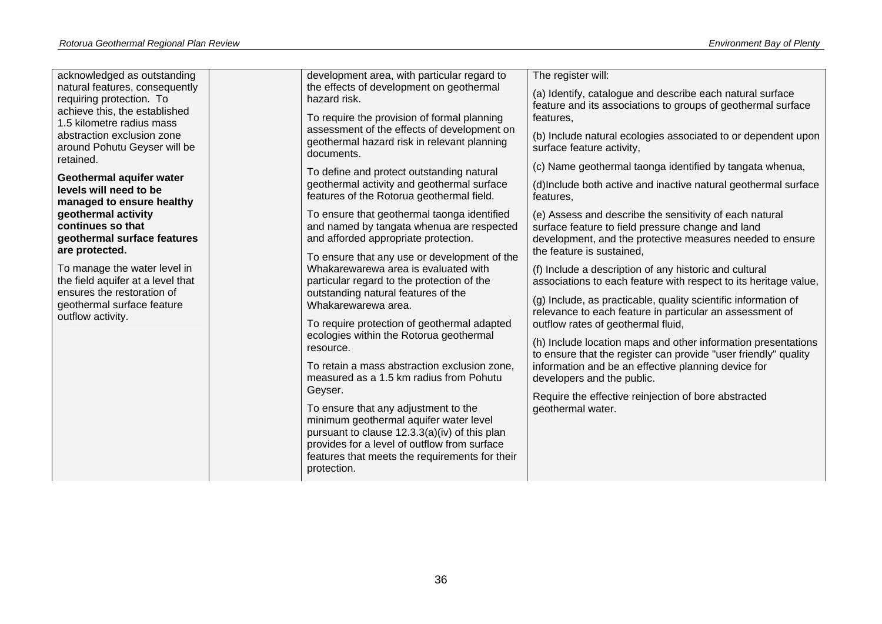| acknowledged as outstanding                                | development area, with particular regard to                                                | The register will:                                                                                                     |
|------------------------------------------------------------|--------------------------------------------------------------------------------------------|------------------------------------------------------------------------------------------------------------------------|
| natural features, consequently<br>requiring protection. To | the effects of development on geothermal<br>hazard risk.                                   | (a) Identify, catalogue and describe each natural surface                                                              |
| achieve this, the established                              |                                                                                            | feature and its associations to groups of geothermal surface                                                           |
| 1.5 kilometre radius mass                                  | To require the provision of formal planning<br>assessment of the effects of development on | features,                                                                                                              |
| abstraction exclusion zone<br>around Pohutu Geyser will be | geothermal hazard risk in relevant planning                                                | (b) Include natural ecologies associated to or dependent upon<br>surface feature activity,                             |
| retained.                                                  | documents.                                                                                 |                                                                                                                        |
| Geothermal aquifer water                                   | To define and protect outstanding natural                                                  | (c) Name geothermal taonga identified by tangata whenua,                                                               |
| levels will need to be<br>managed to ensure healthy        | geothermal activity and geothermal surface<br>features of the Rotorua geothermal field.    | (d) Include both active and inactive natural geothermal surface<br>features,                                           |
| geothermal activity                                        | To ensure that geothermal taonga identified                                                | (e) Assess and describe the sensitivity of each natural                                                                |
| continues so that<br>geothermal surface features           | and named by tangata whenua are respected<br>and afforded appropriate protection.          | surface feature to field pressure change and land                                                                      |
| are protected.                                             |                                                                                            | development, and the protective measures needed to ensure<br>the feature is sustained.                                 |
| To manage the water level in                               | To ensure that any use or development of the<br>Whakarewarewa area is evaluated with       | (f) Include a description of any historic and cultural                                                                 |
| the field aquifer at a level that                          | particular regard to the protection of the                                                 | associations to each feature with respect to its heritage value,                                                       |
| ensures the restoration of<br>geothermal surface feature   | outstanding natural features of the<br>Whakarewarewa area.                                 | (g) Include, as practicable, quality scientific information of                                                         |
| outflow activity.                                          |                                                                                            | relevance to each feature in particular an assessment of                                                               |
|                                                            | To require protection of geothermal adapted<br>ecologies within the Rotorua geothermal     | outflow rates of geothermal fluid,                                                                                     |
|                                                            | resource.                                                                                  | (h) Include location maps and other information presentations                                                          |
|                                                            | To retain a mass abstraction exclusion zone,                                               | to ensure that the register can provide "user friendly" quality<br>information and be an effective planning device for |
|                                                            | measured as a 1.5 km radius from Pohutu                                                    | developers and the public.                                                                                             |
|                                                            | Geyser.                                                                                    | Require the effective reinjection of bore abstracted                                                                   |
|                                                            | To ensure that any adjustment to the                                                       | geothermal water.                                                                                                      |
|                                                            | minimum geothermal aquifer water level<br>pursuant to clause 12.3.3(a)(iv) of this plan    |                                                                                                                        |
|                                                            | provides for a level of outflow from surface                                               |                                                                                                                        |
|                                                            | features that meets the requirements for their<br>protection.                              |                                                                                                                        |
|                                                            |                                                                                            |                                                                                                                        |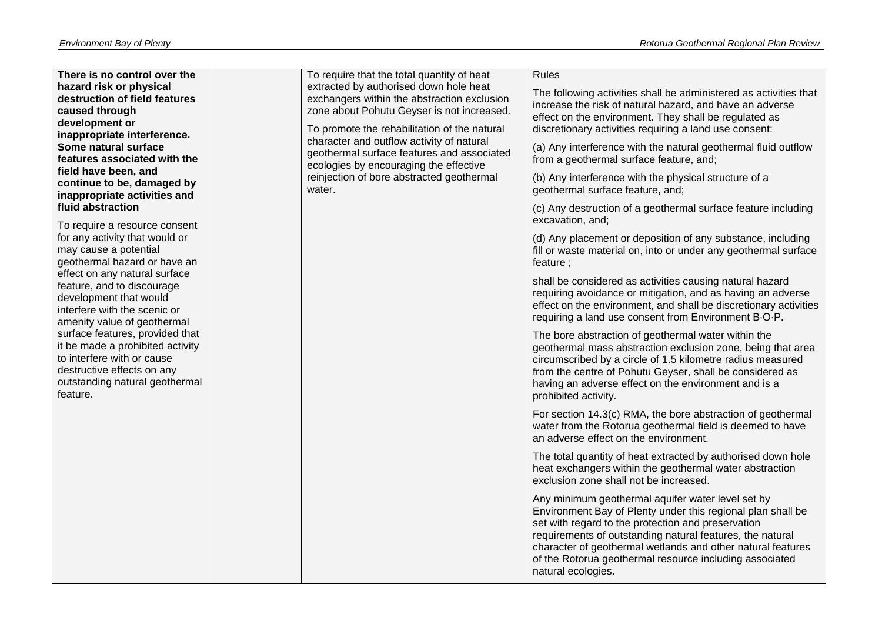**There is no control over the hazard risk or physical destruction of field features caused through development or inappropriate interference. Some natural surface features associated with the field have been, and continue to be, damaged by inappropriate activities and fluid abstraction** 

To require a resource consent for any activity that would or may cause a potential geothermal hazard or have an effect on any natural surface feature, and to discourage development that would interfere with the scenic or amenity value of geothermal surface features, provided that it be made a prohibited activity to interfere with or cause destructive effects on any outstanding natural geothermal feature.

To require that the total quantity of heat extracted by authorised down hole heat exchangers within the abstraction exclusion zone about Pohutu Geyser is not increased.

To promote the rehabilitation of the natural character and outflow activity of natural geothermal surface features and associated ecologies by encouraging the effective reinjection of bore abstracted geothermal water.

#### Rules

The following activities shall be administered as activities that increase the risk of natural hazard, and have an adverse effect on the environment. They shall be regulated as discretionary activities requiring a land use consent:

(a) Any interference with the natural geothermal fluid outflow from a geothermal surface feature, and;

(b) Any interference with the physical structure of a geothermal surface feature, and;

(c) Any destruction of a geothermal surface feature including excavation, and;

(d) Any placement or deposition of any substance, including fill or waste material on, into or under any geothermal surface feature ;

shall be considered as activities causing natural hazard requiring avoidance or mitigation, and as having an adverse effect on the environment, and shall be discretionary activities requiring a land use consent from Environment B·O·P.

The bore abstraction of geothermal water within the geothermal mass abstraction exclusion zone, being that area circumscribed by a circle of 1.5 kilometre radius measured from the centre of Pohutu Geyser, shall be considered as having an adverse effect on the environment and is a prohibited activity.

For section 14.3(c) RMA, the bore abstraction of geothermal water from the Rotorua geothermal field is deemed to have an adverse effect on the environment.

The total quantity of heat extracted by authorised down hole heat exchangers within the geothermal water abstraction exclusion zone shall not be increased.

Any minimum geothermal aquifer water level set by Environment Bay of Plenty under this regional plan shall be set with regard to the protection and preservation requirements of outstanding natural features, the natural character of geothermal wetlands and other natural features of the Rotorua geothermal resource including associated natural ecologies**.**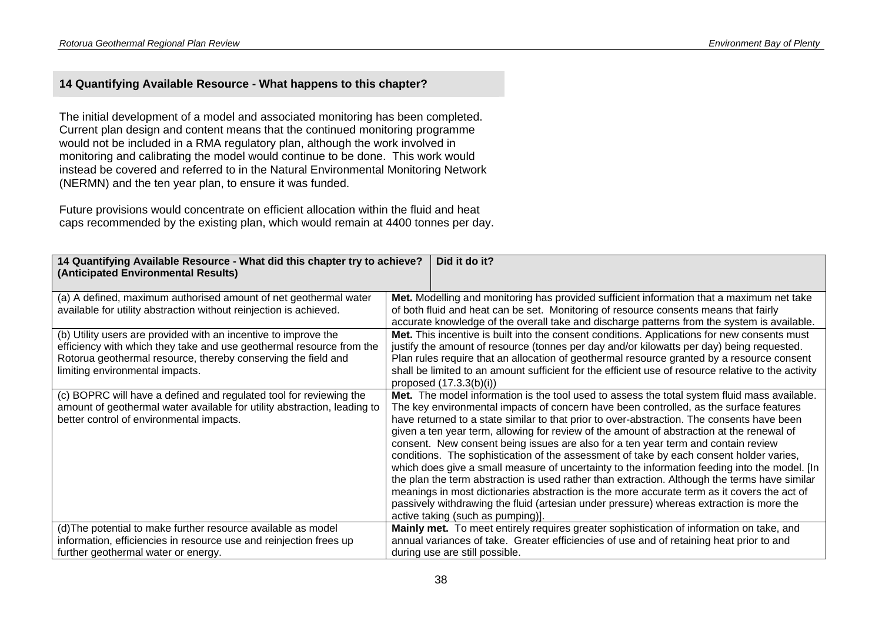#### **14 Quantifying Available Resource - What happens to this chapter?**

The initial development of a model and associated monitoring has been completed. Current plan design and content means that the continued monitoring programme would not be included in a RMA regulatory plan, although the work involved in monitoring and calibrating the model would continue to be done. This work would instead be covered and referred to in the Natural Environmental Monitoring Network (NERMN) and the ten year plan, to ensure it was funded.

Future provisions would concentrate on efficient allocation within the fluid and heat caps recommended by the existing plan, which would remain at 4400 tonnes per day.

| Did it do it?<br>14 Quantifying Available Resource - What did this chapter try to achieve? |                                                                                                     |  |  |
|--------------------------------------------------------------------------------------------|-----------------------------------------------------------------------------------------------------|--|--|
| (Anticipated Environmental Results)                                                        |                                                                                                     |  |  |
|                                                                                            |                                                                                                     |  |  |
|                                                                                            |                                                                                                     |  |  |
| (a) A defined, maximum authorised amount of net geothermal water                           | Met. Modelling and monitoring has provided sufficient information that a maximum net take           |  |  |
| available for utility abstraction without reinjection is achieved.                         | of both fluid and heat can be set. Monitoring of resource consents means that fairly                |  |  |
|                                                                                            | accurate knowledge of the overall take and discharge patterns from the system is available.         |  |  |
| (b) Utility users are provided with an incentive to improve the                            | Met. This incentive is built into the consent conditions. Applications for new consents must        |  |  |
| efficiency with which they take and use geothermal resource from the                       | justify the amount of resource (tonnes per day and/or kilowatts per day) being requested.           |  |  |
| Rotorua geothermal resource, thereby conserving the field and                              | Plan rules require that an allocation of geothermal resource granted by a resource consent          |  |  |
| limiting environmental impacts.                                                            | shall be limited to an amount sufficient for the efficient use of resource relative to the activity |  |  |
|                                                                                            | proposed $(17.3.3(b)(i))$                                                                           |  |  |
| (c) BOPRC will have a defined and regulated tool for reviewing the                         | Met. The model information is the tool used to assess the total system fluid mass available.        |  |  |
| amount of geothermal water available for utility abstraction, leading to                   | The key environmental impacts of concern have been controlled, as the surface features              |  |  |
| better control of environmental impacts.                                                   | have returned to a state similar to that prior to over-abstraction. The consents have been          |  |  |
|                                                                                            | given a ten year term, allowing for review of the amount of abstraction at the renewal of           |  |  |
|                                                                                            | consent. New consent being issues are also for a ten year term and contain review                   |  |  |
|                                                                                            |                                                                                                     |  |  |
|                                                                                            | conditions. The sophistication of the assessment of take by each consent holder varies,             |  |  |
|                                                                                            | which does give a small measure of uncertainty to the information feeding into the model. [In       |  |  |
|                                                                                            | the plan the term abstraction is used rather than extraction. Although the terms have similar       |  |  |
|                                                                                            | meanings in most dictionaries abstraction is the more accurate term as it covers the act of         |  |  |
|                                                                                            | passively withdrawing the fluid (artesian under pressure) whereas extraction is more the            |  |  |
|                                                                                            | active taking (such as pumping)].                                                                   |  |  |
| (d) The potential to make further resource available as model                              | Mainly met. To meet entirely requires greater sophistication of information on take, and            |  |  |
| information, efficiencies in resource use and reinjection frees up                         | annual variances of take. Greater efficiencies of use and of retaining heat prior to and            |  |  |
| further geothermal water or energy.                                                        | during use are still possible.                                                                      |  |  |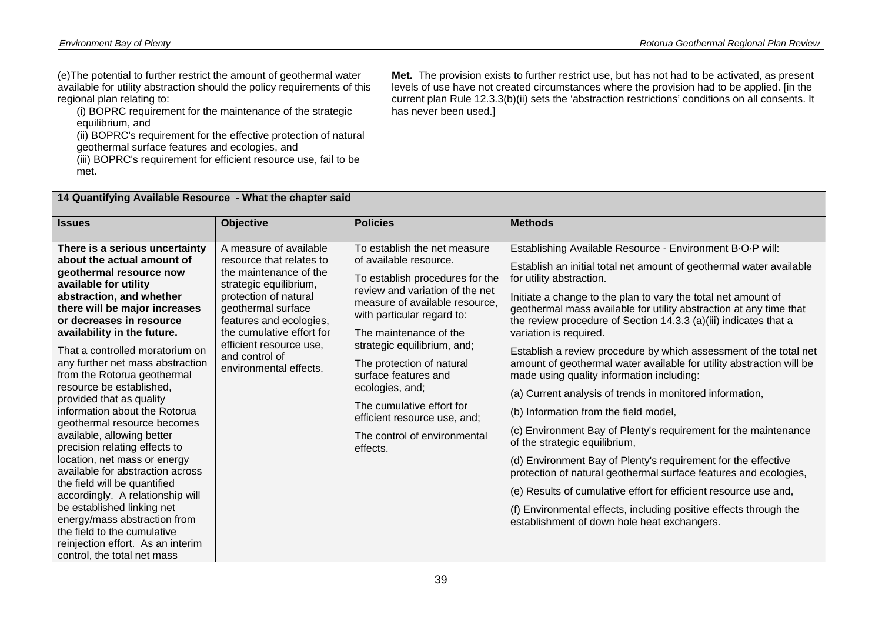| (e) The potential to further restrict the amount of geothermal water<br>available for utility abstraction should the policy requirements of this<br>regional plan relating to:<br>(i) BOPRC requirement for the maintenance of the strategic<br>has never been used.]<br>equilibrium, and<br>(ii) BOPRC's requirement for the effective protection of natural<br>geothermal surface features and ecologies, and<br>(iii) BOPRC's requirement for efficient resource use, fail to be<br>met. | Met. The provision exists to further restrict use, but has not had to be activated, as present<br>levels of use have not created circumstances where the provision had to be applied. [in the<br>current plan Rule 12.3.3(b)(ii) sets the 'abstraction restrictions' conditions on all consents. It |
|---------------------------------------------------------------------------------------------------------------------------------------------------------------------------------------------------------------------------------------------------------------------------------------------------------------------------------------------------------------------------------------------------------------------------------------------------------------------------------------------|-----------------------------------------------------------------------------------------------------------------------------------------------------------------------------------------------------------------------------------------------------------------------------------------------------|
|---------------------------------------------------------------------------------------------------------------------------------------------------------------------------------------------------------------------------------------------------------------------------------------------------------------------------------------------------------------------------------------------------------------------------------------------------------------------------------------------|-----------------------------------------------------------------------------------------------------------------------------------------------------------------------------------------------------------------------------------------------------------------------------------------------------|

| 14 Quantifying Available Resource - What the chapter said                                                                                                                                                                                                                                                                                                                                                                                                                                                                                                                                                                                                                                                                                                                                                                                      |                                                                                                                                                                                                                                                                                      |                                                                                                                                                                                                                                                                                                                                                                                                                                        |                                                                                                                                                                                                                                                                                                                                                                                                                                                                                                                                                                                                                                                                                                                                                                                                                                                                                                                                                                                                                                                                                                                                   |  |
|------------------------------------------------------------------------------------------------------------------------------------------------------------------------------------------------------------------------------------------------------------------------------------------------------------------------------------------------------------------------------------------------------------------------------------------------------------------------------------------------------------------------------------------------------------------------------------------------------------------------------------------------------------------------------------------------------------------------------------------------------------------------------------------------------------------------------------------------|--------------------------------------------------------------------------------------------------------------------------------------------------------------------------------------------------------------------------------------------------------------------------------------|----------------------------------------------------------------------------------------------------------------------------------------------------------------------------------------------------------------------------------------------------------------------------------------------------------------------------------------------------------------------------------------------------------------------------------------|-----------------------------------------------------------------------------------------------------------------------------------------------------------------------------------------------------------------------------------------------------------------------------------------------------------------------------------------------------------------------------------------------------------------------------------------------------------------------------------------------------------------------------------------------------------------------------------------------------------------------------------------------------------------------------------------------------------------------------------------------------------------------------------------------------------------------------------------------------------------------------------------------------------------------------------------------------------------------------------------------------------------------------------------------------------------------------------------------------------------------------------|--|
| <b>Issues</b>                                                                                                                                                                                                                                                                                                                                                                                                                                                                                                                                                                                                                                                                                                                                                                                                                                  | <b>Objective</b>                                                                                                                                                                                                                                                                     | <b>Policies</b>                                                                                                                                                                                                                                                                                                                                                                                                                        | <b>Methods</b>                                                                                                                                                                                                                                                                                                                                                                                                                                                                                                                                                                                                                                                                                                                                                                                                                                                                                                                                                                                                                                                                                                                    |  |
| There is a serious uncertainty<br>about the actual amount of<br>geothermal resource now<br>available for utility<br>abstraction, and whether<br>there will be major increases<br>or decreases in resource<br>availability in the future.<br>That a controlled moratorium on<br>any further net mass abstraction<br>from the Rotorua geothermal<br>resource be established.<br>provided that as quality<br>information about the Rotorua<br>geothermal resource becomes<br>available, allowing better<br>precision relating effects to<br>location, net mass or energy<br>available for abstraction across<br>the field will be quantified<br>accordingly. A relationship will<br>be established linking net<br>energy/mass abstraction from<br>the field to the cumulative<br>reinjection effort. As an interim<br>control, the total net mass | A measure of available<br>resource that relates to<br>the maintenance of the<br>strategic equilibrium,<br>protection of natural<br>geothermal surface<br>features and ecologies,<br>the cumulative effort for<br>efficient resource use.<br>and control of<br>environmental effects. | To establish the net measure<br>of available resource.<br>To establish procedures for the<br>review and variation of the net<br>measure of available resource.<br>with particular regard to:<br>The maintenance of the<br>strategic equilibrium, and;<br>The protection of natural<br>surface features and<br>ecologies, and;<br>The cumulative effort for<br>efficient resource use, and;<br>The control of environmental<br>effects. | Establishing Available Resource - Environment B-O-P will:<br>Establish an initial total net amount of geothermal water available<br>for utility abstraction.<br>Initiate a change to the plan to vary the total net amount of<br>geothermal mass available for utility abstraction at any time that<br>the review procedure of Section 14.3.3 (a)(iii) indicates that a<br>variation is required.<br>Establish a review procedure by which assessment of the total net<br>amount of geothermal water available for utility abstraction will be<br>made using quality information including:<br>(a) Current analysis of trends in monitored information,<br>(b) Information from the field model,<br>(c) Environment Bay of Plenty's requirement for the maintenance<br>of the strategic equilibrium,<br>(d) Environment Bay of Plenty's requirement for the effective<br>protection of natural geothermal surface features and ecologies,<br>(e) Results of cumulative effort for efficient resource use and,<br>(f) Environmental effects, including positive effects through the<br>establishment of down hole heat exchangers. |  |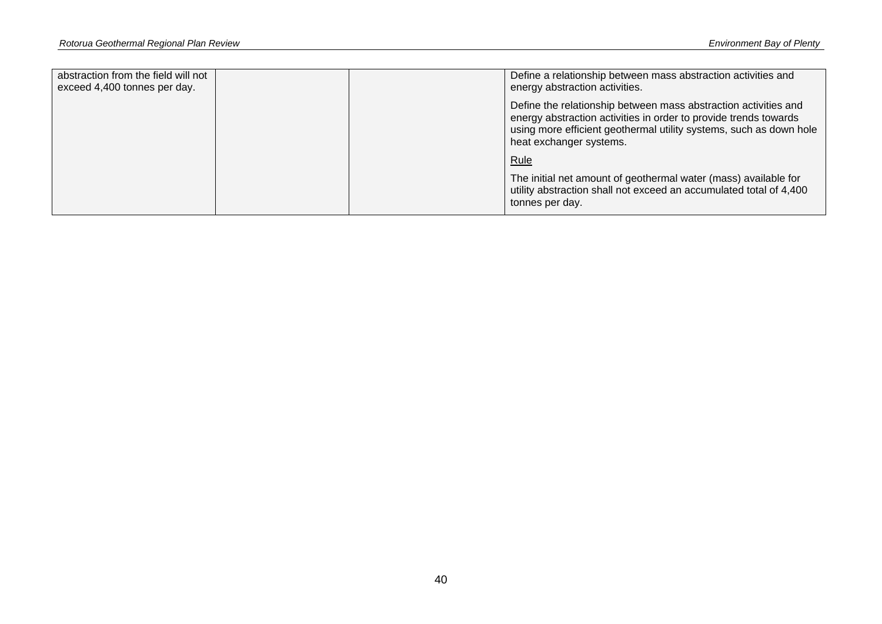| abstraction from the field will not<br>exceed 4,400 tonnes per day. |  | Define a relationship between mass abstraction activities and<br>energy abstraction activities.                                                                                                                                      |
|---------------------------------------------------------------------|--|--------------------------------------------------------------------------------------------------------------------------------------------------------------------------------------------------------------------------------------|
|                                                                     |  | Define the relationship between mass abstraction activities and<br>energy abstraction activities in order to provide trends towards<br>using more efficient geothermal utility systems, such as down hole<br>heat exchanger systems. |
|                                                                     |  | Rule                                                                                                                                                                                                                                 |
|                                                                     |  | The initial net amount of geothermal water (mass) available for<br>utility abstraction shall not exceed an accumulated total of 4,400<br>tonnes per day.                                                                             |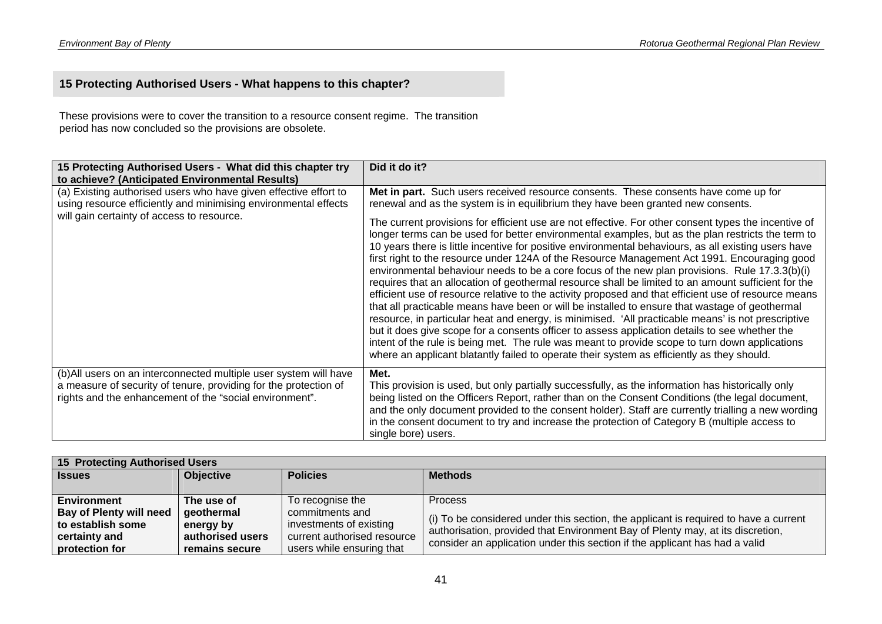### **15 Protecting Authorised Users - What happens to this chapter?**

These provisions were to cover the transition to a resource consent regime. The transition period has now concluded so the provisions are obsolete.

| 15 Protecting Authorised Users - What did this chapter try<br>to achieve? (Anticipated Environmental Results)                                                                                    | Did it do it?                                                                                                                                                                                                                                                                                                                                                                                                                                                                                                                                                                                                                                                                                                                                                                                                                                                                                                                                                                                                                                                                                                                                                                                                                                |
|--------------------------------------------------------------------------------------------------------------------------------------------------------------------------------------------------|----------------------------------------------------------------------------------------------------------------------------------------------------------------------------------------------------------------------------------------------------------------------------------------------------------------------------------------------------------------------------------------------------------------------------------------------------------------------------------------------------------------------------------------------------------------------------------------------------------------------------------------------------------------------------------------------------------------------------------------------------------------------------------------------------------------------------------------------------------------------------------------------------------------------------------------------------------------------------------------------------------------------------------------------------------------------------------------------------------------------------------------------------------------------------------------------------------------------------------------------|
| (a) Existing authorised users who have given effective effort to<br>using resource efficiently and minimising environmental effects                                                              | Met in part. Such users received resource consents. These consents have come up for<br>renewal and as the system is in equilibrium they have been granted new consents.                                                                                                                                                                                                                                                                                                                                                                                                                                                                                                                                                                                                                                                                                                                                                                                                                                                                                                                                                                                                                                                                      |
| will gain certainty of access to resource.                                                                                                                                                       | The current provisions for efficient use are not effective. For other consent types the incentive of<br>longer terms can be used for better environmental examples, but as the plan restricts the term to<br>10 years there is little incentive for positive environmental behaviours, as all existing users have<br>first right to the resource under 124A of the Resource Management Act 1991. Encouraging good<br>environmental behaviour needs to be a core focus of the new plan provisions. Rule 17.3.3(b)(i)<br>requires that an allocation of geothermal resource shall be limited to an amount sufficient for the<br>efficient use of resource relative to the activity proposed and that efficient use of resource means<br>that all practicable means have been or will be installed to ensure that wastage of geothermal<br>resource, in particular heat and energy, is minimised. 'All practicable means' is not prescriptive<br>but it does give scope for a consents officer to assess application details to see whether the<br>intent of the rule is being met. The rule was meant to provide scope to turn down applications<br>where an applicant blatantly failed to operate their system as efficiently as they should. |
| (b) All users on an interconnected multiple user system will have<br>a measure of security of tenure, providing for the protection of<br>rights and the enhancement of the "social environment". | Met.<br>This provision is used, but only partially successfully, as the information has historically only<br>being listed on the Officers Report, rather than on the Consent Conditions (the legal document,<br>and the only document provided to the consent holder). Staff are currently trialling a new wording<br>in the consent document to try and increase the protection of Category B (multiple access to<br>single bore) users.                                                                                                                                                                                                                                                                                                                                                                                                                                                                                                                                                                                                                                                                                                                                                                                                    |

| <b>15 Protecting Authorised Users</b> |                  |                             |                                                                                                                                                               |
|---------------------------------------|------------------|-----------------------------|---------------------------------------------------------------------------------------------------------------------------------------------------------------|
| <b>Issues</b>                         | <b>Objective</b> | <b>Policies</b>             | <b>Methods</b>                                                                                                                                                |
|                                       |                  |                             |                                                                                                                                                               |
| Environment                           | The use of       | To recognise the            | <b>Process</b>                                                                                                                                                |
| <b>Bay of Plenty will need</b>        | geothermal       | commitments and             |                                                                                                                                                               |
| to establish some                     | energy by        | investments of existing     | (i) To be considered under this section, the applicant is required to have a current                                                                          |
| certainty and                         | authorised users | current authorised resource | authorisation, provided that Environment Bay of Plenty may, at its discretion,<br>consider an application under this section if the applicant has had a valid |
| protection for                        | remains secure   | users while ensuring that   |                                                                                                                                                               |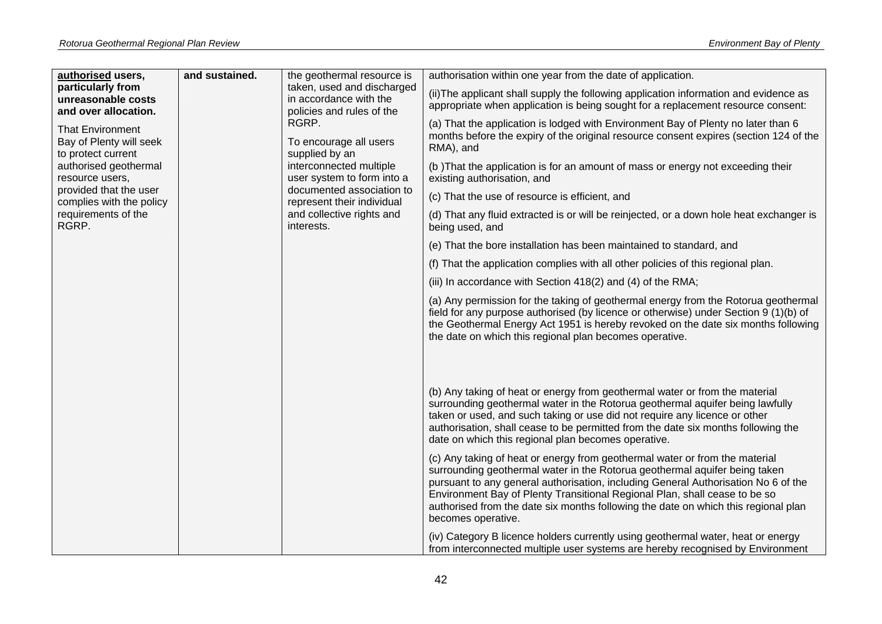| authorised users,                                                        | and sustained. | the geothermal resource is                                                                                 | authorisation within one year from the date of application.                                                                                                                                                                                                                                                                                                                                                                               |  |  |  |  |                                                                                                                |  |  |                                                                                                            |  |                                                                                                                                                                                         |
|--------------------------------------------------------------------------|----------------|------------------------------------------------------------------------------------------------------------|-------------------------------------------------------------------------------------------------------------------------------------------------------------------------------------------------------------------------------------------------------------------------------------------------------------------------------------------------------------------------------------------------------------------------------------------|--|--|--|--|----------------------------------------------------------------------------------------------------------------|--|--|------------------------------------------------------------------------------------------------------------|--|-----------------------------------------------------------------------------------------------------------------------------------------------------------------------------------------|
| particularly from<br>unreasonable costs<br>and over allocation.          |                | taken, used and discharged<br>in accordance with the<br>policies and rules of the                          | (ii) The applicant shall supply the following application information and evidence as<br>appropriate when application is being sought for a replacement resource consent:                                                                                                                                                                                                                                                                 |  |  |  |  |                                                                                                                |  |  |                                                                                                            |  |                                                                                                                                                                                         |
| <b>That Environment</b><br>Bay of Plenty will seek<br>to protect current |                | RGRP.<br>To encourage all users<br>supplied by an<br>interconnected multiple<br>user system to form into a |                                                                                                                                                                                                                                                                                                                                                                                                                                           |  |  |  |  |                                                                                                                |  |  |                                                                                                            |  | (a) That the application is lodged with Environment Bay of Plenty no later than 6<br>months before the expiry of the original resource consent expires (section 124 of the<br>RMA), and |
| authorised geothermal<br>resource users,                                 |                |                                                                                                            |                                                                                                                                                                                                                                                                                                                                                                                                                                           |  |  |  |  | (b) That the application is for an amount of mass or energy not exceeding their<br>existing authorisation, and |  |  |                                                                                                            |  |                                                                                                                                                                                         |
| provided that the user<br>complies with the policy                       |                | documented association to<br>represent their individual                                                    | (c) That the use of resource is efficient, and                                                                                                                                                                                                                                                                                                                                                                                            |  |  |  |  |                                                                                                                |  |  |                                                                                                            |  |                                                                                                                                                                                         |
| requirements of the<br>RGRP.                                             |                | and collective rights and<br>interests.                                                                    |                                                                                                                                                                                                                                                                                                                                                                                                                                           |  |  |  |  |                                                                                                                |  |  | (d) That any fluid extracted is or will be reinjected, or a down hole heat exchanger is<br>being used, and |  |                                                                                                                                                                                         |
|                                                                          |                |                                                                                                            | (e) That the bore installation has been maintained to standard, and                                                                                                                                                                                                                                                                                                                                                                       |  |  |  |  |                                                                                                                |  |  |                                                                                                            |  |                                                                                                                                                                                         |
|                                                                          |                |                                                                                                            | (f) That the application complies with all other policies of this regional plan.                                                                                                                                                                                                                                                                                                                                                          |  |  |  |  |                                                                                                                |  |  |                                                                                                            |  |                                                                                                                                                                                         |
|                                                                          |                |                                                                                                            | (iii) In accordance with Section 418(2) and (4) of the RMA;                                                                                                                                                                                                                                                                                                                                                                               |  |  |  |  |                                                                                                                |  |  |                                                                                                            |  |                                                                                                                                                                                         |
|                                                                          |                |                                                                                                            | (a) Any permission for the taking of geothermal energy from the Rotorua geothermal<br>field for any purpose authorised (by licence or otherwise) under Section 9 (1)(b) of<br>the Geothermal Energy Act 1951 is hereby revoked on the date six months following<br>the date on which this regional plan becomes operative.                                                                                                                |  |  |  |  |                                                                                                                |  |  |                                                                                                            |  |                                                                                                                                                                                         |
|                                                                          |                |                                                                                                            | (b) Any taking of heat or energy from geothermal water or from the material<br>surrounding geothermal water in the Rotorua geothermal aquifer being lawfully<br>taken or used, and such taking or use did not require any licence or other<br>authorisation, shall cease to be permitted from the date six months following the<br>date on which this regional plan becomes operative.                                                    |  |  |  |  |                                                                                                                |  |  |                                                                                                            |  |                                                                                                                                                                                         |
|                                                                          |                |                                                                                                            | (c) Any taking of heat or energy from geothermal water or from the material<br>surrounding geothermal water in the Rotorua geothermal aquifer being taken<br>pursuant to any general authorisation, including General Authorisation No 6 of the<br>Environment Bay of Plenty Transitional Regional Plan, shall cease to be so<br>authorised from the date six months following the date on which this regional plan<br>becomes operative. |  |  |  |  |                                                                                                                |  |  |                                                                                                            |  |                                                                                                                                                                                         |
|                                                                          |                |                                                                                                            | (iv) Category B licence holders currently using geothermal water, heat or energy<br>from interconnected multiple user systems are hereby recognised by Environment                                                                                                                                                                                                                                                                        |  |  |  |  |                                                                                                                |  |  |                                                                                                            |  |                                                                                                                                                                                         |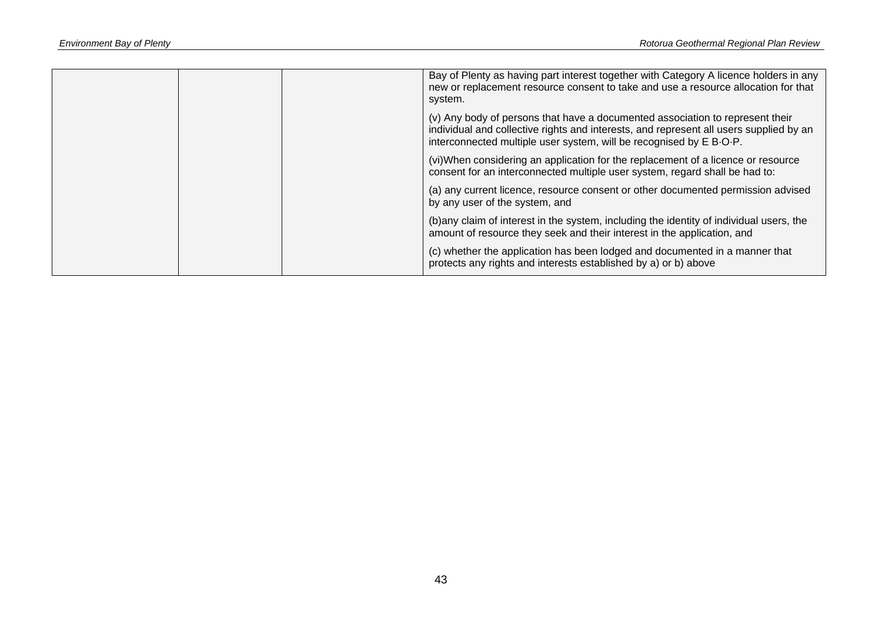|  | Bay of Plenty as having part interest together with Category A licence holders in any<br>new or replacement resource consent to take and use a resource allocation for that<br>system.                                                         |
|--|------------------------------------------------------------------------------------------------------------------------------------------------------------------------------------------------------------------------------------------------|
|  | (v) Any body of persons that have a documented association to represent their<br>individual and collective rights and interests, and represent all users supplied by an<br>interconnected multiple user system, will be recognised by E B-O-P. |
|  | (vi)When considering an application for the replacement of a licence or resource<br>consent for an interconnected multiple user system, regard shall be had to:                                                                                |
|  | (a) any current licence, resource consent or other documented permission advised<br>by any user of the system, and                                                                                                                             |
|  | (b) any claim of interest in the system, including the identity of individual users, the<br>amount of resource they seek and their interest in the application, and                                                                            |
|  | (c) whether the application has been lodged and documented in a manner that<br>protects any rights and interests established by a) or b) above                                                                                                 |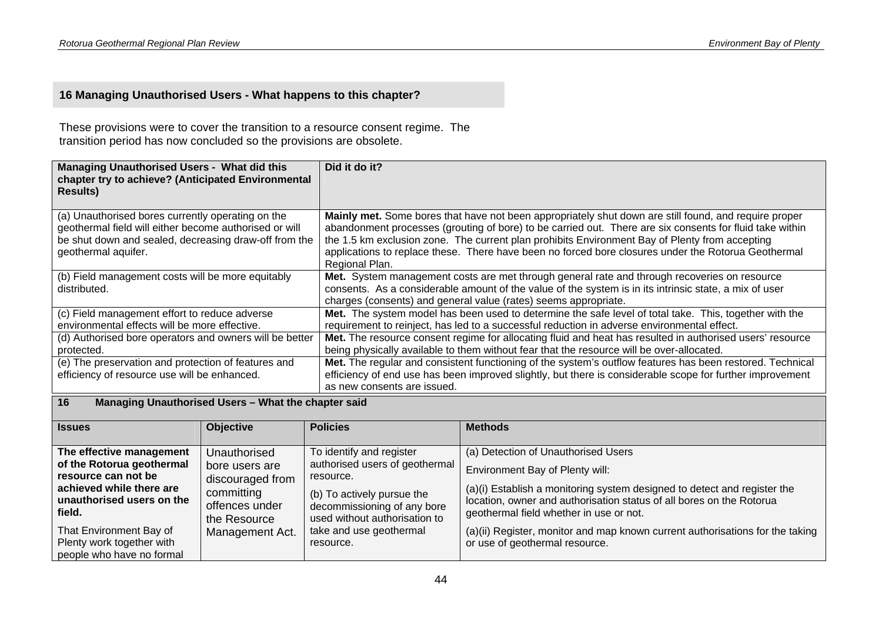### **16 Managing Unauthorised Users - What happens to this chapter?**

These provisions were to cover the transition to a resource consent regime. The transition period has now concluded so the provisions are obsolete.

| <b>Managing Unauthorised Users - What did this</b><br>chapter try to achieve? (Anticipated Environmental<br><b>Results)</b>                                                                 | Did it do it?                                                                                                                                                                                                                                                                                                                                                                                                                                |
|---------------------------------------------------------------------------------------------------------------------------------------------------------------------------------------------|----------------------------------------------------------------------------------------------------------------------------------------------------------------------------------------------------------------------------------------------------------------------------------------------------------------------------------------------------------------------------------------------------------------------------------------------|
| (a) Unauthorised bores currently operating on the<br>geothermal field will either become authorised or will<br>be shut down and sealed, decreasing draw-off from the<br>geothermal aquifer. | Mainly met. Some bores that have not been appropriately shut down are still found, and require proper<br>abandonment processes (grouting of bore) to be carried out. There are six consents for fluid take within<br>the 1.5 km exclusion zone. The current plan prohibits Environment Bay of Plenty from accepting<br>applications to replace these. There have been no forced bore closures under the Rotorua Geothermal<br>Regional Plan. |
| (b) Field management costs will be more equitably<br>distributed.                                                                                                                           | Met. System management costs are met through general rate and through recoveries on resource<br>consents. As a considerable amount of the value of the system is in its intrinsic state, a mix of user<br>charges (consents) and general value (rates) seems appropriate.                                                                                                                                                                    |
| (c) Field management effort to reduce adverse<br>environmental effects will be more effective.                                                                                              | Met. The system model has been used to determine the safe level of total take. This, together with the<br>requirement to reinject, has led to a successful reduction in adverse environmental effect.                                                                                                                                                                                                                                        |
| (d) Authorised bore operators and owners will be better<br>protected.                                                                                                                       | Met. The resource consent regime for allocating fluid and heat has resulted in authorised users' resource<br>being physically available to them without fear that the resource will be over-allocated.                                                                                                                                                                                                                                       |
| (e) The preservation and protection of features and<br>efficiency of resource use will be enhanced.                                                                                         | Met. The regular and consistent functioning of the system's outflow features has been restored. Technical<br>efficiency of end use has been improved slightly, but there is considerable scope for further improvement<br>as new consents are issued.                                                                                                                                                                                        |

#### **16 Managing Unauthorised Users – What the chapter said**

| <b>Issues</b>                                                                     | <b>Objective</b>                             | <b>Policies</b>                                                                            | <b>Methods</b>                                                                                                                                                                              |
|-----------------------------------------------------------------------------------|----------------------------------------------|--------------------------------------------------------------------------------------------|---------------------------------------------------------------------------------------------------------------------------------------------------------------------------------------------|
|                                                                                   |                                              |                                                                                            |                                                                                                                                                                                             |
| The effective management                                                          | Unauthorised                                 | To identify and register                                                                   | (a) Detection of Unauthorised Users                                                                                                                                                         |
| of the Rotorua geothermal<br>resource can not be                                  | bore users are<br>discouraged from           | authorised users of geothermal<br>resource.                                                | Environment Bay of Plenty will:                                                                                                                                                             |
| achieved while there are<br>unauthorised users on the<br>field.                   | committing<br>offences under<br>the Resource | (b) To actively pursue the<br>decommissioning of any bore<br>used without authorisation to | (a)(i) Establish a monitoring system designed to detect and register the<br>location, owner and authorisation status of all bores on the Rotorua<br>geothermal field whether in use or not. |
| That Environment Bay of<br>Plenty work together with<br>people who have no formal | Management Act.                              | take and use geothermal<br>resource.                                                       | (a)(ii) Register, monitor and map known current authorisations for the taking<br>or use of geothermal resource.                                                                             |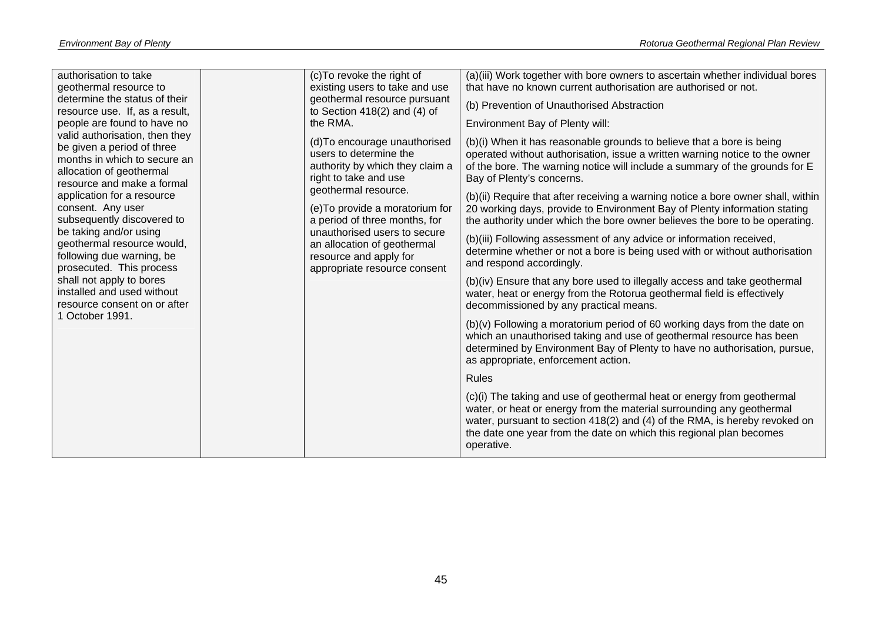| authorisation to take<br>geothermal resource to<br>determine the status of their                                     | (c) To revoke the right of<br>existing users to take and use<br>geothermal resource pursuant                          | (a)(iii) Work together with bore owners to ascertain whether individual bores<br>that have no known current authorisation are authorised or not.<br>(b) Prevention of Unauthorised Abstraction                                                                                                                     |
|----------------------------------------------------------------------------------------------------------------------|-----------------------------------------------------------------------------------------------------------------------|--------------------------------------------------------------------------------------------------------------------------------------------------------------------------------------------------------------------------------------------------------------------------------------------------------------------|
| resource use. If, as a result,<br>people are found to have no<br>valid authorisation, then they                      | to Section $418(2)$ and $(4)$ of<br>the RMA.                                                                          | Environment Bay of Plenty will:                                                                                                                                                                                                                                                                                    |
| be given a period of three<br>months in which to secure an<br>allocation of geothermal<br>resource and make a formal | (d) To encourage unauthorised<br>users to determine the<br>authority by which they claim a<br>right to take and use   | (b)(i) When it has reasonable grounds to believe that a bore is being<br>operated without authorisation, issue a written warning notice to the owner<br>of the bore. The warning notice will include a summary of the grounds for E<br>Bay of Plenty's concerns.                                                   |
| application for a resource<br>consent. Any user<br>subsequently discovered to                                        | geothermal resource.<br>(e) To provide a moratorium for<br>a period of three months, for                              | (b)(ii) Require that after receiving a warning notice a bore owner shall, within<br>20 working days, provide to Environment Bay of Plenty information stating<br>the authority under which the bore owner believes the bore to be operating.                                                                       |
| be taking and/or using<br>geothermal resource would,<br>following due warning, be<br>prosecuted. This process        | unauthorised users to secure<br>an allocation of geothermal<br>resource and apply for<br>appropriate resource consent | (b)(iii) Following assessment of any advice or information received,<br>determine whether or not a bore is being used with or without authorisation<br>and respond accordingly.                                                                                                                                    |
| shall not apply to bores<br>installed and used without<br>resource consent on or after                               |                                                                                                                       | (b)(iv) Ensure that any bore used to illegally access and take geothermal<br>water, heat or energy from the Rotorua geothermal field is effectively<br>decommissioned by any practical means.                                                                                                                      |
| October 1991.                                                                                                        |                                                                                                                       | (b)(v) Following a moratorium period of 60 working days from the date on<br>which an unauthorised taking and use of geothermal resource has been<br>determined by Environment Bay of Plenty to have no authorisation, pursue,<br>as appropriate, enforcement action.                                               |
|                                                                                                                      |                                                                                                                       | <b>Rules</b>                                                                                                                                                                                                                                                                                                       |
|                                                                                                                      |                                                                                                                       | (c)(i) The taking and use of geothermal heat or energy from geothermal<br>water, or heat or energy from the material surrounding any geothermal<br>water, pursuant to section 418(2) and (4) of the RMA, is hereby revoked on<br>the date one year from the date on which this regional plan becomes<br>operative. |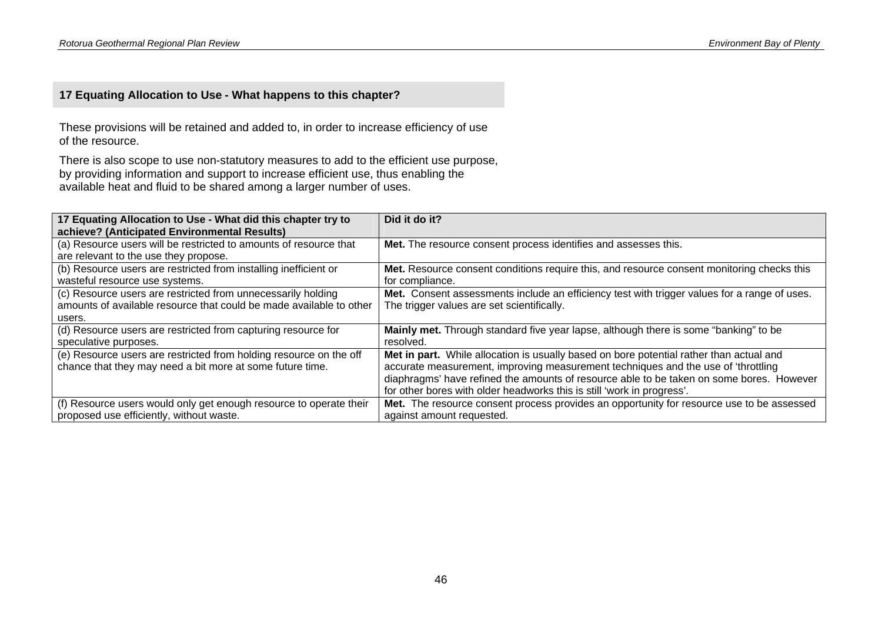### **17 Equating Allocation to Use - What happens to this chapter?**

These provisions will be retained and added to, in order to increase efficiency of use of the resource.

There is also scope to use non-statutory measures to add to the efficient use purpose, by providing information and support to increase efficient use, thus enabling the available heat and fluid to be shared among a larger number of uses.

| 17 Equating Allocation to Use - What did this chapter try to<br>achieve? (Anticipated Environmental Results)                                  | Did it do it?                                                                                                                                                                                                                                                                                                                                      |
|-----------------------------------------------------------------------------------------------------------------------------------------------|----------------------------------------------------------------------------------------------------------------------------------------------------------------------------------------------------------------------------------------------------------------------------------------------------------------------------------------------------|
| (a) Resource users will be restricted to amounts of resource that<br>are relevant to the use they propose.                                    | Met. The resource consent process identifies and assesses this.                                                                                                                                                                                                                                                                                    |
| (b) Resource users are restricted from installing inefficient or<br>wasteful resource use systems.                                            | Met. Resource consent conditions require this, and resource consent monitoring checks this<br>for compliance.                                                                                                                                                                                                                                      |
| (c) Resource users are restricted from unnecessarily holding<br>amounts of available resource that could be made available to other<br>users. | Met. Consent assessments include an efficiency test with trigger values for a range of uses.<br>The trigger values are set scientifically.                                                                                                                                                                                                         |
| (d) Resource users are restricted from capturing resource for<br>speculative purposes.                                                        | Mainly met. Through standard five year lapse, although there is some "banking" to be<br>resolved.                                                                                                                                                                                                                                                  |
| (e) Resource users are restricted from holding resource on the off<br>chance that they may need a bit more at some future time.               | Met in part. While allocation is usually based on bore potential rather than actual and<br>accurate measurement, improving measurement techniques and the use of 'throttling<br>diaphragms' have refined the amounts of resource able to be taken on some bores. However<br>for other bores with older headworks this is still 'work in progress'. |
| (f) Resource users would only get enough resource to operate their<br>proposed use efficiently, without waste.                                | Met. The resource consent process provides an opportunity for resource use to be assessed<br>against amount requested.                                                                                                                                                                                                                             |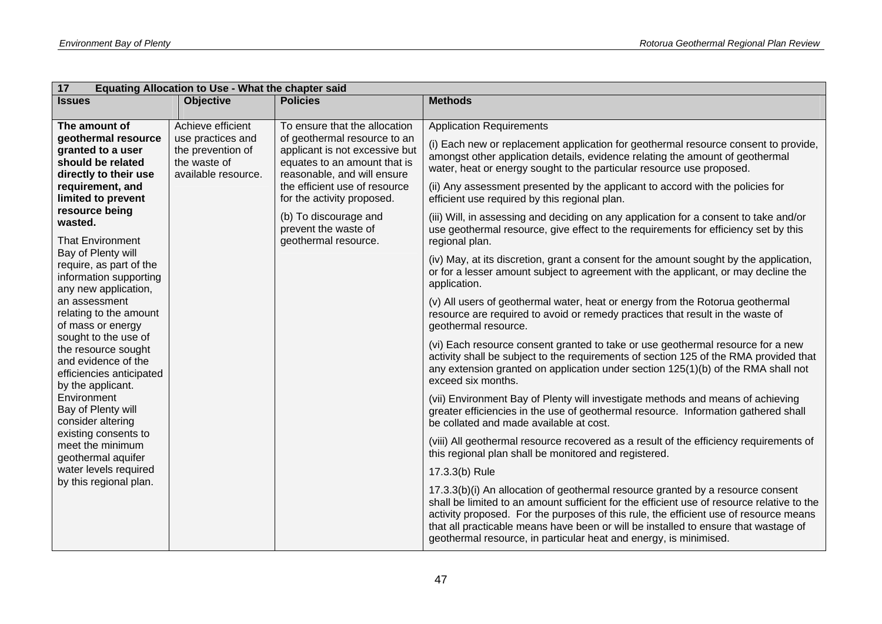| 17                                                                                                                                                                                                                              | Equating Allocation to Use - What the chapter said                                                                                                                                                                                                                                            |                                                                                                                                                                                                                                                                                                        |                                                                                                                                                                                                                                                                                                                                                                                                                                                                                                                                                                                                                                                                                                                 |  |
|---------------------------------------------------------------------------------------------------------------------------------------------------------------------------------------------------------------------------------|-----------------------------------------------------------------------------------------------------------------------------------------------------------------------------------------------------------------------------------------------------------------------------------------------|--------------------------------------------------------------------------------------------------------------------------------------------------------------------------------------------------------------------------------------------------------------------------------------------------------|-----------------------------------------------------------------------------------------------------------------------------------------------------------------------------------------------------------------------------------------------------------------------------------------------------------------------------------------------------------------------------------------------------------------------------------------------------------------------------------------------------------------------------------------------------------------------------------------------------------------------------------------------------------------------------------------------------------------|--|
| <b>Issues</b>                                                                                                                                                                                                                   | <b>Objective</b>                                                                                                                                                                                                                                                                              | <b>Policies</b>                                                                                                                                                                                                                                                                                        | <b>Methods</b>                                                                                                                                                                                                                                                                                                                                                                                                                                                                                                                                                                                                                                                                                                  |  |
| The amount of<br>geothermal resource<br>granted to a user<br>should be related<br>directly to their use<br>requirement, and<br>limited to prevent<br>resource being<br>wasted.<br><b>That Environment</b><br>Bay of Plenty will | Achieve efficient<br>use practices and<br>the prevention of<br>the waste of<br>available resource.                                                                                                                                                                                            | To ensure that the allocation<br>of geothermal resource to an<br>applicant is not excessive but<br>equates to an amount that is<br>reasonable, and will ensure<br>the efficient use of resource<br>for the activity proposed.<br>(b) To discourage and<br>prevent the waste of<br>geothermal resource. | <b>Application Requirements</b><br>(i) Each new or replacement application for geothermal resource consent to provide,<br>amongst other application details, evidence relating the amount of geothermal<br>water, heat or energy sought to the particular resource use proposed.<br>(ii) Any assessment presented by the applicant to accord with the policies for<br>efficient use required by this regional plan.<br>(iii) Will, in assessing and deciding on any application for a consent to take and/or<br>use geothermal resource, give effect to the requirements for efficiency set by this<br>regional plan.<br>(iv) May, at its discretion, grant a consent for the amount sought by the application, |  |
| require, as part of the<br>information supporting<br>any new application,<br>an assessment<br>relating to the amount<br>of mass or energy<br>sought to the use of                                                               | or for a lesser amount subject to agreement with the applicant, or may decline the<br>application.<br>(v) All users of geothermal water, heat or energy from the Rotorua geothermal<br>resource are required to avoid or remedy practices that result in the waste of<br>geothermal resource. |                                                                                                                                                                                                                                                                                                        |                                                                                                                                                                                                                                                                                                                                                                                                                                                                                                                                                                                                                                                                                                                 |  |
| the resource sought<br>and evidence of the<br>efficiencies anticipated<br>by the applicant.                                                                                                                                     |                                                                                                                                                                                                                                                                                               |                                                                                                                                                                                                                                                                                                        | (vi) Each resource consent granted to take or use geothermal resource for a new<br>activity shall be subject to the requirements of section 125 of the RMA provided that<br>any extension granted on application under section 125(1)(b) of the RMA shall not<br>exceed six months.                                                                                                                                                                                                                                                                                                                                                                                                                             |  |
| Environment<br>Bay of Plenty will<br>consider altering                                                                                                                                                                          |                                                                                                                                                                                                                                                                                               |                                                                                                                                                                                                                                                                                                        | (vii) Environment Bay of Plenty will investigate methods and means of achieving<br>greater efficiencies in the use of geothermal resource. Information gathered shall<br>be collated and made available at cost.                                                                                                                                                                                                                                                                                                                                                                                                                                                                                                |  |
| existing consents to<br>meet the minimum<br>geothermal aquifer                                                                                                                                                                  |                                                                                                                                                                                                                                                                                               |                                                                                                                                                                                                                                                                                                        | (viii) All geothermal resource recovered as a result of the efficiency requirements of<br>this regional plan shall be monitored and registered.                                                                                                                                                                                                                                                                                                                                                                                                                                                                                                                                                                 |  |
| water levels required                                                                                                                                                                                                           |                                                                                                                                                                                                                                                                                               |                                                                                                                                                                                                                                                                                                        | 17.3.3(b) Rule                                                                                                                                                                                                                                                                                                                                                                                                                                                                                                                                                                                                                                                                                                  |  |
| by this regional plan.                                                                                                                                                                                                          |                                                                                                                                                                                                                                                                                               |                                                                                                                                                                                                                                                                                                        | 17.3.3(b)(i) An allocation of geothermal resource granted by a resource consent<br>shall be limited to an amount sufficient for the efficient use of resource relative to the<br>activity proposed. For the purposes of this rule, the efficient use of resource means<br>that all practicable means have been or will be installed to ensure that wastage of<br>geothermal resource, in particular heat and energy, is minimised.                                                                                                                                                                                                                                                                              |  |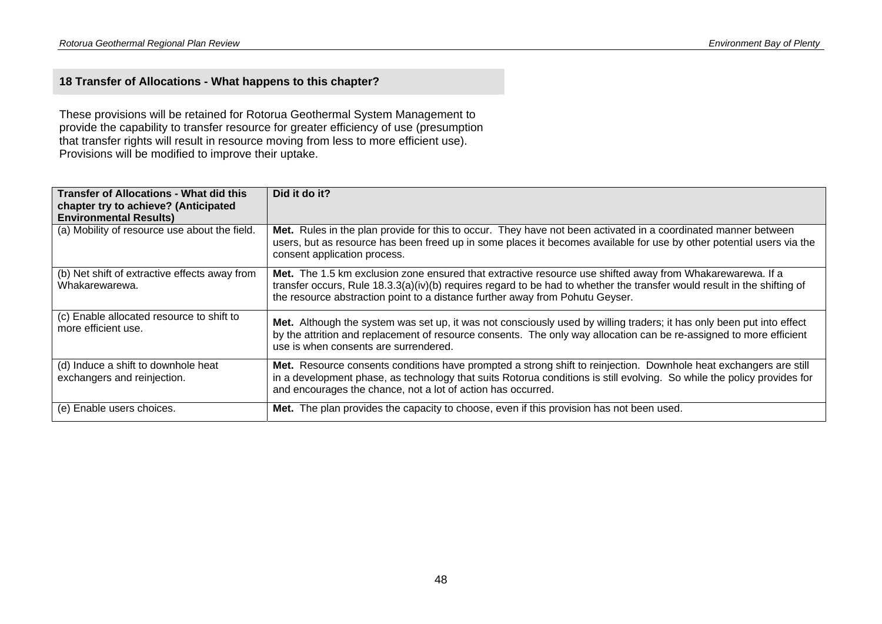### **18 Transfer of Allocations - What happens to this chapter?**

These provisions will be retained for Rotorua Geothermal System Management to provide the capability to transfer resource for greater efficiency of use (presumption that transfer rights will result in resource moving from less to more efficient use). Provisions will be modified to improve their uptake.

| <b>Transfer of Allocations - What did this</b><br>chapter try to achieve? (Anticipated<br><b>Environmental Results)</b> | Did it do it?                                                                                                                                                                                                                                                                                                          |
|-------------------------------------------------------------------------------------------------------------------------|------------------------------------------------------------------------------------------------------------------------------------------------------------------------------------------------------------------------------------------------------------------------------------------------------------------------|
| (a) Mobility of resource use about the field.                                                                           | Met. Rules in the plan provide for this to occur. They have not been activated in a coordinated manner between<br>users, but as resource has been freed up in some places it becomes available for use by other potential users via the<br>consent application process.                                                |
| (b) Net shift of extractive effects away from<br>Whakarewarewa.                                                         | Met. The 1.5 km exclusion zone ensured that extractive resource use shifted away from Whakarewarewa. If a<br>transfer occurs, Rule 18.3.3(a)(iv)(b) requires regard to be had to whether the transfer would result in the shifting of<br>the resource abstraction point to a distance further away from Pohutu Geyser. |
| (c) Enable allocated resource to shift to<br>more efficient use.                                                        | Met. Although the system was set up, it was not consciously used by willing traders; it has only been put into effect<br>by the attrition and replacement of resource consents. The only way allocation can be re-assigned to more efficient<br>use is when consents are surrendered.                                  |
| (d) Induce a shift to downhole heat<br>exchangers and reinjection.                                                      | Met. Resource consents conditions have prompted a strong shift to reinjection. Downhole heat exchangers are still<br>in a development phase, as technology that suits Rotorua conditions is still evolving. So while the policy provides for<br>and encourages the chance, not a lot of action has occurred.           |
| (e) Enable users choices.                                                                                               | Met. The plan provides the capacity to choose, even if this provision has not been used.                                                                                                                                                                                                                               |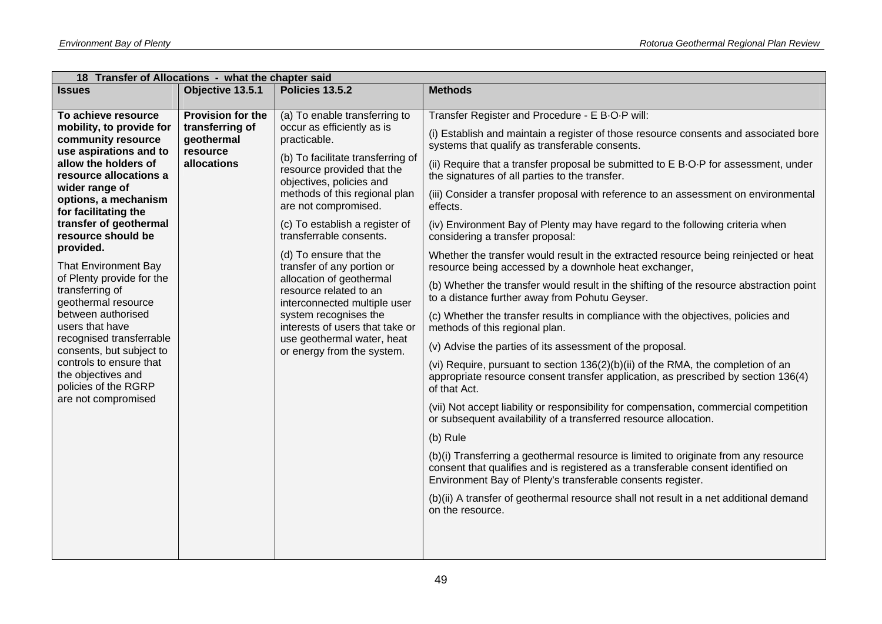| 18 Transfer of Allocations - what the chapter said                                                              |                                                                                         |                                                                                                                                                                                                                                                                    |                                                                                                                                                                                                                                        |  |
|-----------------------------------------------------------------------------------------------------------------|-----------------------------------------------------------------------------------------|--------------------------------------------------------------------------------------------------------------------------------------------------------------------------------------------------------------------------------------------------------------------|----------------------------------------------------------------------------------------------------------------------------------------------------------------------------------------------------------------------------------------|--|
| <b>Issues</b>                                                                                                   | Objective 13.5.1                                                                        | Policies 13.5.2                                                                                                                                                                                                                                                    | <b>Methods</b>                                                                                                                                                                                                                         |  |
| To achieve resource                                                                                             | <b>Provision for the</b>                                                                | (a) To enable transferring to                                                                                                                                                                                                                                      | Transfer Register and Procedure - E B-O-P will:                                                                                                                                                                                        |  |
| mobility, to provide for<br>community resource<br>use aspirations and to                                        | occur as efficiently as is<br>transferring of<br>geothermal<br>practicable.<br>resource | (i) Establish and maintain a register of those resource consents and associated bore<br>systems that qualify as transferable consents.                                                                                                                             |                                                                                                                                                                                                                                        |  |
| allow the holders of<br>resource allocations a                                                                  | allocations                                                                             | (b) To facilitate transferring of<br>resource provided that the<br>objectives, policies and<br>methods of this regional plan<br>are not compromised.                                                                                                               | (ii) Require that a transfer proposal be submitted to E B-O-P for assessment, under<br>the signatures of all parties to the transfer.                                                                                                  |  |
| wider range of<br>options, a mechanism<br>for facilitating the                                                  |                                                                                         |                                                                                                                                                                                                                                                                    | (iii) Consider a transfer proposal with reference to an assessment on environmental<br>effects.                                                                                                                                        |  |
| transfer of geothermal<br>resource should be                                                                    |                                                                                         | (c) To establish a register of<br>transferrable consents.                                                                                                                                                                                                          | (iv) Environment Bay of Plenty may have regard to the following criteria when<br>considering a transfer proposal:                                                                                                                      |  |
| provided.<br><b>That Environment Bay</b><br>of Plenty provide for the<br>transferring of<br>geothermal resource |                                                                                         | (d) To ensure that the<br>transfer of any portion or<br>allocation of geothermal<br>resource related to an<br>interconnected multiple user<br>system recognises the<br>interests of users that take or<br>use geothermal water, heat<br>or energy from the system. | Whether the transfer would result in the extracted resource being reinjected or heat<br>resource being accessed by a downhole heat exchanger,                                                                                          |  |
|                                                                                                                 |                                                                                         |                                                                                                                                                                                                                                                                    | (b) Whether the transfer would result in the shifting of the resource abstraction point<br>to a distance further away from Pohutu Geyser.                                                                                              |  |
| between authorised<br>users that have                                                                           |                                                                                         |                                                                                                                                                                                                                                                                    | (c) Whether the transfer results in compliance with the objectives, policies and<br>methods of this regional plan.                                                                                                                     |  |
| recognised transferrable<br>consents, but subject to                                                            |                                                                                         |                                                                                                                                                                                                                                                                    | (v) Advise the parties of its assessment of the proposal.                                                                                                                                                                              |  |
| controls to ensure that<br>the objectives and<br>policies of the RGRP                                           |                                                                                         | (vi) Require, pursuant to section 136(2)(b)(ii) of the RMA, the completion of an<br>appropriate resource consent transfer application, as prescribed by section 136(4)<br>of that Act.                                                                             |                                                                                                                                                                                                                                        |  |
| are not compromised                                                                                             |                                                                                         | (vii) Not accept liability or responsibility for compensation, commercial competition<br>or subsequent availability of a transferred resource allocation.                                                                                                          |                                                                                                                                                                                                                                        |  |
|                                                                                                                 |                                                                                         |                                                                                                                                                                                                                                                                    | (b) Rule                                                                                                                                                                                                                               |  |
|                                                                                                                 |                                                                                         |                                                                                                                                                                                                                                                                    | (b)(i) Transferring a geothermal resource is limited to originate from any resource<br>consent that qualifies and is registered as a transferable consent identified on<br>Environment Bay of Plenty's transferable consents register. |  |
|                                                                                                                 |                                                                                         |                                                                                                                                                                                                                                                                    | (b)(ii) A transfer of geothermal resource shall not result in a net additional demand<br>on the resource.                                                                                                                              |  |
|                                                                                                                 |                                                                                         |                                                                                                                                                                                                                                                                    |                                                                                                                                                                                                                                        |  |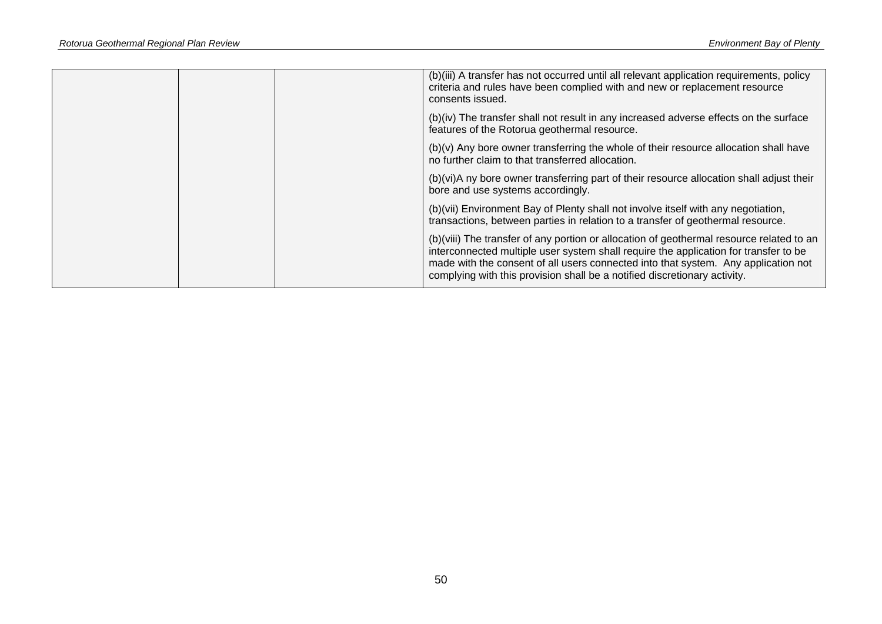|  | (b)(iii) A transfer has not occurred until all relevant application requirements, policy<br>criteria and rules have been complied with and new or replacement resource<br>consents issued.                                                                                                                                                          |
|--|-----------------------------------------------------------------------------------------------------------------------------------------------------------------------------------------------------------------------------------------------------------------------------------------------------------------------------------------------------|
|  | (b)(iv) The transfer shall not result in any increased adverse effects on the surface<br>features of the Rotorua geothermal resource.                                                                                                                                                                                                               |
|  | (b)(v) Any bore owner transferring the whole of their resource allocation shall have<br>no further claim to that transferred allocation.                                                                                                                                                                                                            |
|  | (b)(vi)A ny bore owner transferring part of their resource allocation shall adjust their<br>bore and use systems accordingly.                                                                                                                                                                                                                       |
|  | (b)(vii) Environment Bay of Plenty shall not involve itself with any negotiation,<br>transactions, between parties in relation to a transfer of geothermal resource.                                                                                                                                                                                |
|  | (b)(viii) The transfer of any portion or allocation of geothermal resource related to an<br>interconnected multiple user system shall require the application for transfer to be<br>made with the consent of all users connected into that system. Any application not<br>complying with this provision shall be a notified discretionary activity. |
|  |                                                                                                                                                                                                                                                                                                                                                     |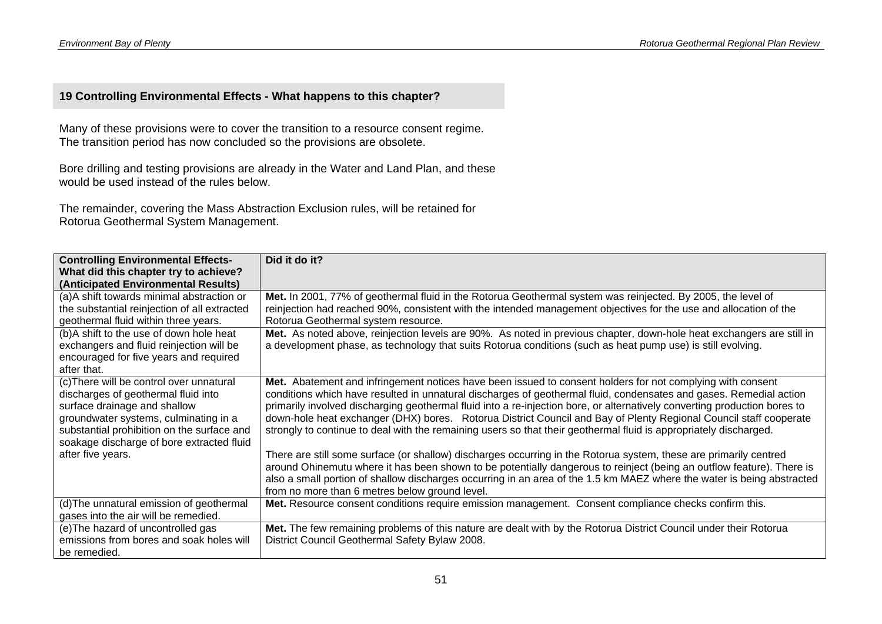### **19 Controlling Environmental Effects - What happens to this chapter?**

Many of these provisions were to cover the transition to a resource consent regime. The transition period has now concluded so the provisions are obsolete.

Bore drilling and testing provisions are already in the Water and Land Plan, and these would be used instead of the rules below.

The remainder, covering the Mass Abstraction Exclusion rules, will be retained for Rotorua Geothermal System Management.

| <b>Controlling Environmental Effects-</b>                                                                                                                                                                                                                                | Did it do it?                                                                                                                                                                                                                                                                                                                                                                                                                                                                                                                                                                                                                                                                                                                                                                                                                                                                                                                                                                                                                     |
|--------------------------------------------------------------------------------------------------------------------------------------------------------------------------------------------------------------------------------------------------------------------------|-----------------------------------------------------------------------------------------------------------------------------------------------------------------------------------------------------------------------------------------------------------------------------------------------------------------------------------------------------------------------------------------------------------------------------------------------------------------------------------------------------------------------------------------------------------------------------------------------------------------------------------------------------------------------------------------------------------------------------------------------------------------------------------------------------------------------------------------------------------------------------------------------------------------------------------------------------------------------------------------------------------------------------------|
| What did this chapter try to achieve?                                                                                                                                                                                                                                    |                                                                                                                                                                                                                                                                                                                                                                                                                                                                                                                                                                                                                                                                                                                                                                                                                                                                                                                                                                                                                                   |
| (Anticipated Environmental Results)                                                                                                                                                                                                                                      |                                                                                                                                                                                                                                                                                                                                                                                                                                                                                                                                                                                                                                                                                                                                                                                                                                                                                                                                                                                                                                   |
| (a)A shift towards minimal abstraction or<br>the substantial reinjection of all extracted<br>geothermal fluid within three years.                                                                                                                                        | Met. In 2001, 77% of geothermal fluid in the Rotorua Geothermal system was reinjected. By 2005, the level of<br>reinjection had reached 90%, consistent with the intended management objectives for the use and allocation of the<br>Rotorua Geothermal system resource.                                                                                                                                                                                                                                                                                                                                                                                                                                                                                                                                                                                                                                                                                                                                                          |
| (b)A shift to the use of down hole heat<br>exchangers and fluid reinjection will be<br>encouraged for five years and required<br>after that.                                                                                                                             | Met. As noted above, reinjection levels are 90%. As noted in previous chapter, down-hole heat exchangers are still in<br>a development phase, as technology that suits Rotorua conditions (such as heat pump use) is still evolving.                                                                                                                                                                                                                                                                                                                                                                                                                                                                                                                                                                                                                                                                                                                                                                                              |
| (c) There will be control over unnatural<br>discharges of geothermal fluid into<br>surface drainage and shallow<br>groundwater systems, culminating in a<br>substantial prohibition on the surface and<br>soakage discharge of bore extracted fluid<br>after five years. | Met. Abatement and infringement notices have been issued to consent holders for not complying with consent<br>conditions which have resulted in unnatural discharges of geothermal fluid, condensates and gases. Remedial action<br>primarily involved discharging geothermal fluid into a re-injection bore, or alternatively converting production bores to<br>down-hole heat exchanger (DHX) bores. Rotorua District Council and Bay of Plenty Regional Council staff cooperate<br>strongly to continue to deal with the remaining users so that their geothermal fluid is appropriately discharged.<br>There are still some surface (or shallow) discharges occurring in the Rotorua system, these are primarily centred<br>around Ohinemutu where it has been shown to be potentially dangerous to reinject (being an outflow feature). There is<br>also a small portion of shallow discharges occurring in an area of the 1.5 km MAEZ where the water is being abstracted<br>from no more than 6 metres below ground level. |
| (d) The unnatural emission of geothermal<br>gases into the air will be remedied.                                                                                                                                                                                         | Met. Resource consent conditions require emission management. Consent compliance checks confirm this.                                                                                                                                                                                                                                                                                                                                                                                                                                                                                                                                                                                                                                                                                                                                                                                                                                                                                                                             |
| (e) The hazard of uncontrolled gas<br>emissions from bores and soak holes will<br>be remedied.                                                                                                                                                                           | Met. The few remaining problems of this nature are dealt with by the Rotorua District Council under their Rotorua<br>District Council Geothermal Safety Bylaw 2008.                                                                                                                                                                                                                                                                                                                                                                                                                                                                                                                                                                                                                                                                                                                                                                                                                                                               |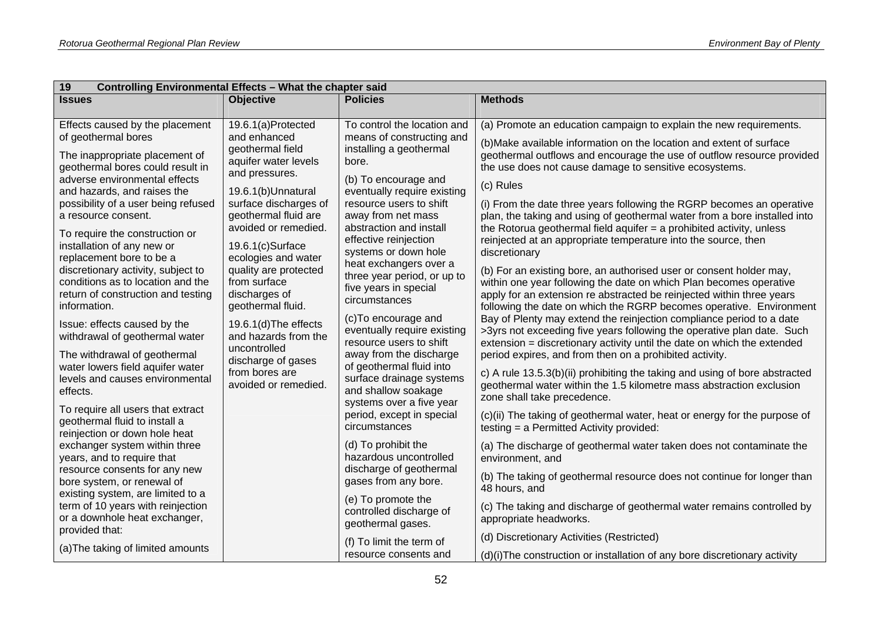| 19<br>Controlling Environmental Effects - What the chapter said                                                                                                                                                                                                                                                                                                                                                                                                                                                                                                                                                                                                                                                   |                                                                                                                                                                                                                                                                                                                                                                                                                                                            |                                                                                                                                                                                                                                                                                                                                                                                                                                                                                                                                                                                                                                          |                                                                                                                                                                                                                                                                                                                                                                                                                                                                                                                                                                                                                                                                                                                                                                                                                                                                                                                                                                                                                                                                                                                                                                                                                                                                                                                                                                                                                                                                        |
|-------------------------------------------------------------------------------------------------------------------------------------------------------------------------------------------------------------------------------------------------------------------------------------------------------------------------------------------------------------------------------------------------------------------------------------------------------------------------------------------------------------------------------------------------------------------------------------------------------------------------------------------------------------------------------------------------------------------|------------------------------------------------------------------------------------------------------------------------------------------------------------------------------------------------------------------------------------------------------------------------------------------------------------------------------------------------------------------------------------------------------------------------------------------------------------|------------------------------------------------------------------------------------------------------------------------------------------------------------------------------------------------------------------------------------------------------------------------------------------------------------------------------------------------------------------------------------------------------------------------------------------------------------------------------------------------------------------------------------------------------------------------------------------------------------------------------------------|------------------------------------------------------------------------------------------------------------------------------------------------------------------------------------------------------------------------------------------------------------------------------------------------------------------------------------------------------------------------------------------------------------------------------------------------------------------------------------------------------------------------------------------------------------------------------------------------------------------------------------------------------------------------------------------------------------------------------------------------------------------------------------------------------------------------------------------------------------------------------------------------------------------------------------------------------------------------------------------------------------------------------------------------------------------------------------------------------------------------------------------------------------------------------------------------------------------------------------------------------------------------------------------------------------------------------------------------------------------------------------------------------------------------------------------------------------------------|
| <b>Issues</b>                                                                                                                                                                                                                                                                                                                                                                                                                                                                                                                                                                                                                                                                                                     | <b>Objective</b>                                                                                                                                                                                                                                                                                                                                                                                                                                           | <b>Policies</b>                                                                                                                                                                                                                                                                                                                                                                                                                                                                                                                                                                                                                          | <b>Methods</b>                                                                                                                                                                                                                                                                                                                                                                                                                                                                                                                                                                                                                                                                                                                                                                                                                                                                                                                                                                                                                                                                                                                                                                                                                                                                                                                                                                                                                                                         |
| Effects caused by the placement<br>of geothermal bores<br>The inappropriate placement of<br>geothermal bores could result in<br>adverse environmental effects<br>and hazards, and raises the<br>possibility of a user being refused<br>a resource consent.<br>To require the construction or<br>installation of any new or<br>replacement bore to be a<br>discretionary activity, subject to<br>conditions as to location and the<br>return of construction and testing<br>information.<br>Issue: effects caused by the<br>withdrawal of geothermal water<br>The withdrawal of geothermal<br>water lowers field aquifer water<br>levels and causes environmental<br>effects.<br>To require all users that extract | 19.6.1(a)Protected<br>and enhanced<br>geothermal field<br>aquifer water levels<br>and pressures.<br>19.6.1(b)Unnatural<br>surface discharges of<br>geothermal fluid are<br>avoided or remedied.<br>19.6.1(c)Surface<br>ecologies and water<br>quality are protected<br>from surface<br>discharges of<br>geothermal fluid.<br>19.6.1(d) The effects<br>and hazards from the<br>uncontrolled<br>discharge of gases<br>from bores are<br>avoided or remedied. | To control the location and<br>means of constructing and<br>installing a geothermal<br>bore.<br>(b) To encourage and<br>eventually require existing<br>resource users to shift<br>away from net mass<br>abstraction and install<br>effective reinjection<br>systems or down hole<br>heat exchangers over a<br>three year period, or up to<br>five years in special<br>circumstances<br>(c) To encourage and<br>eventually require existing<br>resource users to shift<br>away from the discharge<br>of geothermal fluid into<br>surface drainage systems<br>and shallow soakage<br>systems over a five year<br>period, except in special | (a) Promote an education campaign to explain the new requirements.<br>(b) Make available information on the location and extent of surface<br>geothermal outflows and encourage the use of outflow resource provided<br>the use does not cause damage to sensitive ecosystems.<br>(c) Rules<br>(i) From the date three years following the RGRP becomes an operative<br>plan, the taking and using of geothermal water from a bore installed into<br>the Rotorua geothermal field aquifer $=$ a prohibited activity, unless<br>reinjected at an appropriate temperature into the source, then<br>discretionary<br>(b) For an existing bore, an authorised user or consent holder may,<br>within one year following the date on which Plan becomes operative<br>apply for an extension re abstracted be reinjected within three years<br>following the date on which the RGRP becomes operative. Environment<br>Bay of Plenty may extend the reinjection compliance period to a date<br>>3yrs not exceeding five years following the operative plan date. Such<br>extension = discretionary activity until the date on which the extended<br>period expires, and from then on a prohibited activity.<br>c) A rule 13.5.3(b)(ii) prohibiting the taking and using of bore abstracted<br>geothermal water within the 1.5 kilometre mass abstraction exclusion<br>zone shall take precedence.<br>(c)(ii) The taking of geothermal water, heat or energy for the purpose of |
| geothermal fluid to install a<br>reinjection or down hole heat<br>exchanger system within three<br>years, and to require that<br>resource consents for any new<br>bore system, or renewal of<br>existing system, are limited to a<br>term of 10 years with reinjection<br>or a downhole heat exchanger,<br>provided that:                                                                                                                                                                                                                                                                                                                                                                                         |                                                                                                                                                                                                                                                                                                                                                                                                                                                            | circumstances<br>(d) To prohibit the<br>hazardous uncontrolled<br>discharge of geothermal<br>gases from any bore.<br>(e) To promote the<br>controlled discharge of<br>geothermal gases.                                                                                                                                                                                                                                                                                                                                                                                                                                                  | testing = a Permitted Activity provided:<br>(a) The discharge of geothermal water taken does not contaminate the<br>environment, and<br>(b) The taking of geothermal resource does not continue for longer than<br>48 hours, and<br>(c) The taking and discharge of geothermal water remains controlled by<br>appropriate headworks.                                                                                                                                                                                                                                                                                                                                                                                                                                                                                                                                                                                                                                                                                                                                                                                                                                                                                                                                                                                                                                                                                                                                   |
| (a) The taking of limited amounts                                                                                                                                                                                                                                                                                                                                                                                                                                                                                                                                                                                                                                                                                 |                                                                                                                                                                                                                                                                                                                                                                                                                                                            | (f) To limit the term of<br>resource consents and                                                                                                                                                                                                                                                                                                                                                                                                                                                                                                                                                                                        | (d) Discretionary Activities (Restricted)<br>(d)(i) The construction or installation of any bore discretionary activity                                                                                                                                                                                                                                                                                                                                                                                                                                                                                                                                                                                                                                                                                                                                                                                                                                                                                                                                                                                                                                                                                                                                                                                                                                                                                                                                                |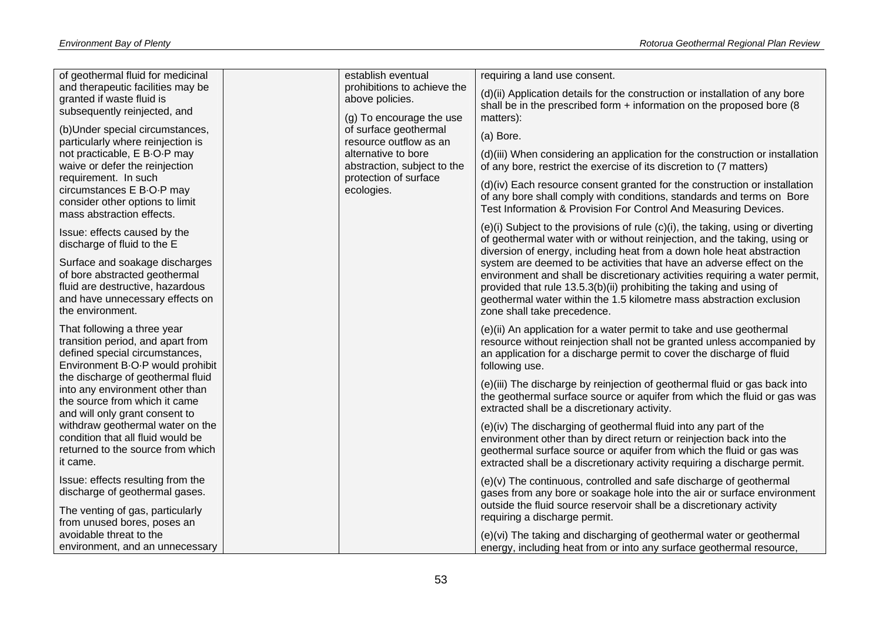| and therapeutic facilities may be<br>prohibitions to achieve the<br>(d)(ii) Application details for the construction or installation of any bore<br>granted if waste fluid is<br>above policies.<br>shall be in the prescribed form + information on the proposed bore (8<br>subsequently reinjected, and<br>(g) To encourage the use<br>matters):<br>(b) Under special circumstances,<br>of surface geothermal<br>(a) Bore.<br>particularly where reinjection is<br>resource outflow as an<br>not practicable, E B-O-P may<br>alternative to bore<br>(d)(iii) When considering an application for the construction or installation<br>waive or defer the reinjection<br>abstraction, subject to the<br>of any bore, restrict the exercise of its discretion to (7 matters)<br>requirement. In such<br>protection of surface<br>(d)(iv) Each resource consent granted for the construction or installation<br>circumstances E B-O-P may<br>ecologies.<br>of any bore shall comply with conditions, standards and terms on Bore<br>consider other options to limit<br>Test Information & Provision For Control And Measuring Devices.<br>mass abstraction effects.<br>$(e)(i)$ Subject to the provisions of rule $(c)(i)$ , the taking, using or diverting<br>Issue: effects caused by the<br>of geothermal water with or without reinjection, and the taking, using or<br>discharge of fluid to the E<br>diversion of energy, including heat from a down hole heat abstraction<br>Surface and soakage discharges<br>system are deemed to be activities that have an adverse effect on the<br>of bore abstracted geothermal<br>environment and shall be discretionary activities requiring a water permit,<br>fluid are destructive, hazardous<br>provided that rule 13.5.3(b)(ii) prohibiting the taking and using of<br>and have unnecessary effects on<br>geothermal water within the 1.5 kilometre mass abstraction exclusion<br>the environment.<br>zone shall take precedence. |                                   |                    |                               |
|-------------------------------------------------------------------------------------------------------------------------------------------------------------------------------------------------------------------------------------------------------------------------------------------------------------------------------------------------------------------------------------------------------------------------------------------------------------------------------------------------------------------------------------------------------------------------------------------------------------------------------------------------------------------------------------------------------------------------------------------------------------------------------------------------------------------------------------------------------------------------------------------------------------------------------------------------------------------------------------------------------------------------------------------------------------------------------------------------------------------------------------------------------------------------------------------------------------------------------------------------------------------------------------------------------------------------------------------------------------------------------------------------------------------------------------------------------------------------------------------------------------------------------------------------------------------------------------------------------------------------------------------------------------------------------------------------------------------------------------------------------------------------------------------------------------------------------------------------------------------------------------------------------------------------------------------------------------------------------------|-----------------------------------|--------------------|-------------------------------|
|                                                                                                                                                                                                                                                                                                                                                                                                                                                                                                                                                                                                                                                                                                                                                                                                                                                                                                                                                                                                                                                                                                                                                                                                                                                                                                                                                                                                                                                                                                                                                                                                                                                                                                                                                                                                                                                                                                                                                                                     | of geothermal fluid for medicinal | establish eventual | requiring a land use consent. |
|                                                                                                                                                                                                                                                                                                                                                                                                                                                                                                                                                                                                                                                                                                                                                                                                                                                                                                                                                                                                                                                                                                                                                                                                                                                                                                                                                                                                                                                                                                                                                                                                                                                                                                                                                                                                                                                                                                                                                                                     |                                   |                    |                               |
|                                                                                                                                                                                                                                                                                                                                                                                                                                                                                                                                                                                                                                                                                                                                                                                                                                                                                                                                                                                                                                                                                                                                                                                                                                                                                                                                                                                                                                                                                                                                                                                                                                                                                                                                                                                                                                                                                                                                                                                     |                                   |                    |                               |
|                                                                                                                                                                                                                                                                                                                                                                                                                                                                                                                                                                                                                                                                                                                                                                                                                                                                                                                                                                                                                                                                                                                                                                                                                                                                                                                                                                                                                                                                                                                                                                                                                                                                                                                                                                                                                                                                                                                                                                                     |                                   |                    |                               |
|                                                                                                                                                                                                                                                                                                                                                                                                                                                                                                                                                                                                                                                                                                                                                                                                                                                                                                                                                                                                                                                                                                                                                                                                                                                                                                                                                                                                                                                                                                                                                                                                                                                                                                                                                                                                                                                                                                                                                                                     |                                   |                    |                               |
|                                                                                                                                                                                                                                                                                                                                                                                                                                                                                                                                                                                                                                                                                                                                                                                                                                                                                                                                                                                                                                                                                                                                                                                                                                                                                                                                                                                                                                                                                                                                                                                                                                                                                                                                                                                                                                                                                                                                                                                     |                                   |                    |                               |
|                                                                                                                                                                                                                                                                                                                                                                                                                                                                                                                                                                                                                                                                                                                                                                                                                                                                                                                                                                                                                                                                                                                                                                                                                                                                                                                                                                                                                                                                                                                                                                                                                                                                                                                                                                                                                                                                                                                                                                                     |                                   |                    |                               |
|                                                                                                                                                                                                                                                                                                                                                                                                                                                                                                                                                                                                                                                                                                                                                                                                                                                                                                                                                                                                                                                                                                                                                                                                                                                                                                                                                                                                                                                                                                                                                                                                                                                                                                                                                                                                                                                                                                                                                                                     |                                   |                    |                               |
|                                                                                                                                                                                                                                                                                                                                                                                                                                                                                                                                                                                                                                                                                                                                                                                                                                                                                                                                                                                                                                                                                                                                                                                                                                                                                                                                                                                                                                                                                                                                                                                                                                                                                                                                                                                                                                                                                                                                                                                     |                                   |                    |                               |
|                                                                                                                                                                                                                                                                                                                                                                                                                                                                                                                                                                                                                                                                                                                                                                                                                                                                                                                                                                                                                                                                                                                                                                                                                                                                                                                                                                                                                                                                                                                                                                                                                                                                                                                                                                                                                                                                                                                                                                                     |                                   |                    |                               |
|                                                                                                                                                                                                                                                                                                                                                                                                                                                                                                                                                                                                                                                                                                                                                                                                                                                                                                                                                                                                                                                                                                                                                                                                                                                                                                                                                                                                                                                                                                                                                                                                                                                                                                                                                                                                                                                                                                                                                                                     |                                   |                    |                               |
|                                                                                                                                                                                                                                                                                                                                                                                                                                                                                                                                                                                                                                                                                                                                                                                                                                                                                                                                                                                                                                                                                                                                                                                                                                                                                                                                                                                                                                                                                                                                                                                                                                                                                                                                                                                                                                                                                                                                                                                     |                                   |                    |                               |
|                                                                                                                                                                                                                                                                                                                                                                                                                                                                                                                                                                                                                                                                                                                                                                                                                                                                                                                                                                                                                                                                                                                                                                                                                                                                                                                                                                                                                                                                                                                                                                                                                                                                                                                                                                                                                                                                                                                                                                                     |                                   |                    |                               |
|                                                                                                                                                                                                                                                                                                                                                                                                                                                                                                                                                                                                                                                                                                                                                                                                                                                                                                                                                                                                                                                                                                                                                                                                                                                                                                                                                                                                                                                                                                                                                                                                                                                                                                                                                                                                                                                                                                                                                                                     |                                   |                    |                               |
|                                                                                                                                                                                                                                                                                                                                                                                                                                                                                                                                                                                                                                                                                                                                                                                                                                                                                                                                                                                                                                                                                                                                                                                                                                                                                                                                                                                                                                                                                                                                                                                                                                                                                                                                                                                                                                                                                                                                                                                     |                                   |                    |                               |
|                                                                                                                                                                                                                                                                                                                                                                                                                                                                                                                                                                                                                                                                                                                                                                                                                                                                                                                                                                                                                                                                                                                                                                                                                                                                                                                                                                                                                                                                                                                                                                                                                                                                                                                                                                                                                                                                                                                                                                                     |                                   |                    |                               |
|                                                                                                                                                                                                                                                                                                                                                                                                                                                                                                                                                                                                                                                                                                                                                                                                                                                                                                                                                                                                                                                                                                                                                                                                                                                                                                                                                                                                                                                                                                                                                                                                                                                                                                                                                                                                                                                                                                                                                                                     |                                   |                    |                               |
|                                                                                                                                                                                                                                                                                                                                                                                                                                                                                                                                                                                                                                                                                                                                                                                                                                                                                                                                                                                                                                                                                                                                                                                                                                                                                                                                                                                                                                                                                                                                                                                                                                                                                                                                                                                                                                                                                                                                                                                     |                                   |                    |                               |
|                                                                                                                                                                                                                                                                                                                                                                                                                                                                                                                                                                                                                                                                                                                                                                                                                                                                                                                                                                                                                                                                                                                                                                                                                                                                                                                                                                                                                                                                                                                                                                                                                                                                                                                                                                                                                                                                                                                                                                                     |                                   |                    |                               |
|                                                                                                                                                                                                                                                                                                                                                                                                                                                                                                                                                                                                                                                                                                                                                                                                                                                                                                                                                                                                                                                                                                                                                                                                                                                                                                                                                                                                                                                                                                                                                                                                                                                                                                                                                                                                                                                                                                                                                                                     |                                   |                    |                               |
| That following a three year<br>(e)(ii) An application for a water permit to take and use geothermal                                                                                                                                                                                                                                                                                                                                                                                                                                                                                                                                                                                                                                                                                                                                                                                                                                                                                                                                                                                                                                                                                                                                                                                                                                                                                                                                                                                                                                                                                                                                                                                                                                                                                                                                                                                                                                                                                 |                                   |                    |                               |
| transition period, and apart from<br>resource without reinjection shall not be granted unless accompanied by                                                                                                                                                                                                                                                                                                                                                                                                                                                                                                                                                                                                                                                                                                                                                                                                                                                                                                                                                                                                                                                                                                                                                                                                                                                                                                                                                                                                                                                                                                                                                                                                                                                                                                                                                                                                                                                                        |                                   |                    |                               |
| defined special circumstances,<br>an application for a discharge permit to cover the discharge of fluid                                                                                                                                                                                                                                                                                                                                                                                                                                                                                                                                                                                                                                                                                                                                                                                                                                                                                                                                                                                                                                                                                                                                                                                                                                                                                                                                                                                                                                                                                                                                                                                                                                                                                                                                                                                                                                                                             |                                   |                    |                               |
| Environment B-O-P would prohibit<br>following use.                                                                                                                                                                                                                                                                                                                                                                                                                                                                                                                                                                                                                                                                                                                                                                                                                                                                                                                                                                                                                                                                                                                                                                                                                                                                                                                                                                                                                                                                                                                                                                                                                                                                                                                                                                                                                                                                                                                                  |                                   |                    |                               |
| the discharge of geothermal fluid<br>(e)(iii) The discharge by reinjection of geothermal fluid or gas back into                                                                                                                                                                                                                                                                                                                                                                                                                                                                                                                                                                                                                                                                                                                                                                                                                                                                                                                                                                                                                                                                                                                                                                                                                                                                                                                                                                                                                                                                                                                                                                                                                                                                                                                                                                                                                                                                     |                                   |                    |                               |
| into any environment other than<br>the geothermal surface source or aquifer from which the fluid or gas was                                                                                                                                                                                                                                                                                                                                                                                                                                                                                                                                                                                                                                                                                                                                                                                                                                                                                                                                                                                                                                                                                                                                                                                                                                                                                                                                                                                                                                                                                                                                                                                                                                                                                                                                                                                                                                                                         |                                   |                    |                               |
| the source from which it came<br>extracted shall be a discretionary activity.                                                                                                                                                                                                                                                                                                                                                                                                                                                                                                                                                                                                                                                                                                                                                                                                                                                                                                                                                                                                                                                                                                                                                                                                                                                                                                                                                                                                                                                                                                                                                                                                                                                                                                                                                                                                                                                                                                       |                                   |                    |                               |
| and will only grant consent to                                                                                                                                                                                                                                                                                                                                                                                                                                                                                                                                                                                                                                                                                                                                                                                                                                                                                                                                                                                                                                                                                                                                                                                                                                                                                                                                                                                                                                                                                                                                                                                                                                                                                                                                                                                                                                                                                                                                                      |                                   |                    |                               |
| withdraw geothermal water on the<br>(e)(iv) The discharging of geothermal fluid into any part of the                                                                                                                                                                                                                                                                                                                                                                                                                                                                                                                                                                                                                                                                                                                                                                                                                                                                                                                                                                                                                                                                                                                                                                                                                                                                                                                                                                                                                                                                                                                                                                                                                                                                                                                                                                                                                                                                                |                                   |                    |                               |
| condition that all fluid would be<br>environment other than by direct return or reinjection back into the<br>returned to the source from which                                                                                                                                                                                                                                                                                                                                                                                                                                                                                                                                                                                                                                                                                                                                                                                                                                                                                                                                                                                                                                                                                                                                                                                                                                                                                                                                                                                                                                                                                                                                                                                                                                                                                                                                                                                                                                      |                                   |                    |                               |
| geothermal surface source or aquifer from which the fluid or gas was<br>it came.                                                                                                                                                                                                                                                                                                                                                                                                                                                                                                                                                                                                                                                                                                                                                                                                                                                                                                                                                                                                                                                                                                                                                                                                                                                                                                                                                                                                                                                                                                                                                                                                                                                                                                                                                                                                                                                                                                    |                                   |                    |                               |
| extracted shall be a discretionary activity requiring a discharge permit.                                                                                                                                                                                                                                                                                                                                                                                                                                                                                                                                                                                                                                                                                                                                                                                                                                                                                                                                                                                                                                                                                                                                                                                                                                                                                                                                                                                                                                                                                                                                                                                                                                                                                                                                                                                                                                                                                                           |                                   |                    |                               |
| Issue: effects resulting from the<br>(e)(v) The continuous, controlled and safe discharge of geothermal                                                                                                                                                                                                                                                                                                                                                                                                                                                                                                                                                                                                                                                                                                                                                                                                                                                                                                                                                                                                                                                                                                                                                                                                                                                                                                                                                                                                                                                                                                                                                                                                                                                                                                                                                                                                                                                                             |                                   |                    |                               |
| discharge of geothermal gases.<br>gases from any bore or soakage hole into the air or surface environment                                                                                                                                                                                                                                                                                                                                                                                                                                                                                                                                                                                                                                                                                                                                                                                                                                                                                                                                                                                                                                                                                                                                                                                                                                                                                                                                                                                                                                                                                                                                                                                                                                                                                                                                                                                                                                                                           |                                   |                    |                               |
| outside the fluid source reservoir shall be a discretionary activity<br>The venting of gas, particularly                                                                                                                                                                                                                                                                                                                                                                                                                                                                                                                                                                                                                                                                                                                                                                                                                                                                                                                                                                                                                                                                                                                                                                                                                                                                                                                                                                                                                                                                                                                                                                                                                                                                                                                                                                                                                                                                            |                                   |                    |                               |
| requiring a discharge permit.<br>from unused bores, poses an                                                                                                                                                                                                                                                                                                                                                                                                                                                                                                                                                                                                                                                                                                                                                                                                                                                                                                                                                                                                                                                                                                                                                                                                                                                                                                                                                                                                                                                                                                                                                                                                                                                                                                                                                                                                                                                                                                                        |                                   |                    |                               |
| avoidable threat to the<br>(e)(vi) The taking and discharging of geothermal water or geothermal                                                                                                                                                                                                                                                                                                                                                                                                                                                                                                                                                                                                                                                                                                                                                                                                                                                                                                                                                                                                                                                                                                                                                                                                                                                                                                                                                                                                                                                                                                                                                                                                                                                                                                                                                                                                                                                                                     |                                   |                    |                               |
| environment, and an unnecessary<br>energy, including heat from or into any surface geothermal resource,                                                                                                                                                                                                                                                                                                                                                                                                                                                                                                                                                                                                                                                                                                                                                                                                                                                                                                                                                                                                                                                                                                                                                                                                                                                                                                                                                                                                                                                                                                                                                                                                                                                                                                                                                                                                                                                                             |                                   |                    |                               |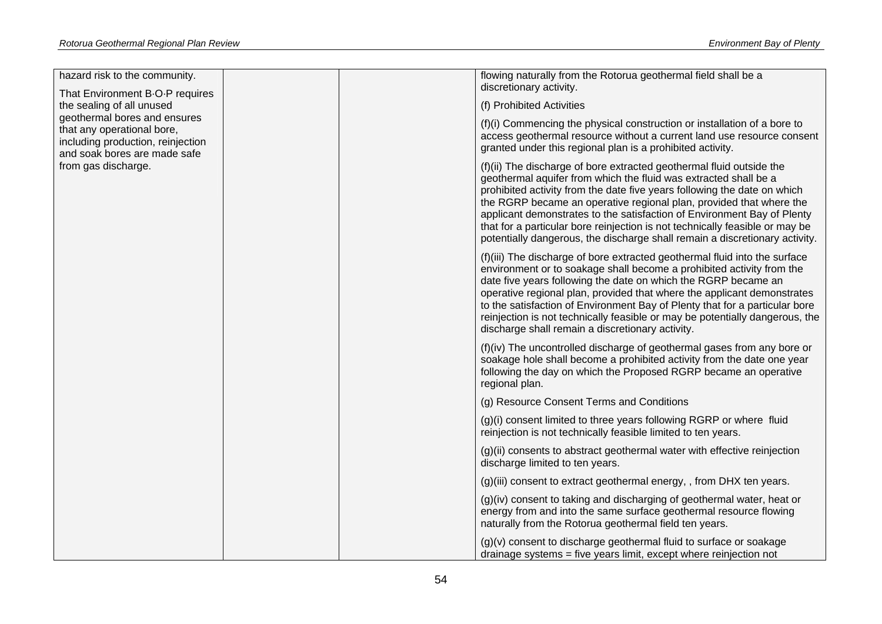| hazard risk to the community.                                                                                                                                                                                          |  | flowing naturally from the Rotorua geothermal field shall be a<br>discretionary activity.                                                                                                                                                                                                                                                                                                                                                                                                                                             |
|------------------------------------------------------------------------------------------------------------------------------------------------------------------------------------------------------------------------|--|---------------------------------------------------------------------------------------------------------------------------------------------------------------------------------------------------------------------------------------------------------------------------------------------------------------------------------------------------------------------------------------------------------------------------------------------------------------------------------------------------------------------------------------|
| That Environment B-O-P requires<br>the sealing of all unused<br>geothermal bores and ensures<br>that any operational bore,<br>including production, reinjection<br>and soak bores are made safe<br>from gas discharge. |  | (f) Prohibited Activities                                                                                                                                                                                                                                                                                                                                                                                                                                                                                                             |
|                                                                                                                                                                                                                        |  | $(f)(i)$ Commencing the physical construction or installation of a bore to<br>access geothermal resource without a current land use resource consent<br>granted under this regional plan is a prohibited activity.                                                                                                                                                                                                                                                                                                                    |
|                                                                                                                                                                                                                        |  | (f)(ii) The discharge of bore extracted geothermal fluid outside the<br>geothermal aquifer from which the fluid was extracted shall be a<br>prohibited activity from the date five years following the date on which<br>the RGRP became an operative regional plan, provided that where the<br>applicant demonstrates to the satisfaction of Environment Bay of Plenty<br>that for a particular bore reinjection is not technically feasible or may be<br>potentially dangerous, the discharge shall remain a discretionary activity. |
|                                                                                                                                                                                                                        |  | (f)(iii) The discharge of bore extracted geothermal fluid into the surface<br>environment or to soakage shall become a prohibited activity from the<br>date five years following the date on which the RGRP became an<br>operative regional plan, provided that where the applicant demonstrates<br>to the satisfaction of Environment Bay of Plenty that for a particular bore<br>reinjection is not technically feasible or may be potentially dangerous, the<br>discharge shall remain a discretionary activity.                   |
|                                                                                                                                                                                                                        |  | (f)(iv) The uncontrolled discharge of geothermal gases from any bore or<br>soakage hole shall become a prohibited activity from the date one year<br>following the day on which the Proposed RGRP became an operative<br>regional plan.                                                                                                                                                                                                                                                                                               |
|                                                                                                                                                                                                                        |  | (g) Resource Consent Terms and Conditions                                                                                                                                                                                                                                                                                                                                                                                                                                                                                             |
|                                                                                                                                                                                                                        |  | (g)(i) consent limited to three years following RGRP or where fluid<br>reinjection is not technically feasible limited to ten years.                                                                                                                                                                                                                                                                                                                                                                                                  |
|                                                                                                                                                                                                                        |  | (g)(ii) consents to abstract geothermal water with effective reinjection<br>discharge limited to ten years.                                                                                                                                                                                                                                                                                                                                                                                                                           |
|                                                                                                                                                                                                                        |  | (g)(iii) consent to extract geothermal energy, , from DHX ten years.                                                                                                                                                                                                                                                                                                                                                                                                                                                                  |
|                                                                                                                                                                                                                        |  | (g)(iv) consent to taking and discharging of geothermal water, heat or<br>energy from and into the same surface geothermal resource flowing<br>naturally from the Rotorua geothermal field ten years.                                                                                                                                                                                                                                                                                                                                 |
|                                                                                                                                                                                                                        |  | (g)(v) consent to discharge geothermal fluid to surface or soakage<br>drainage systems = five years limit, except where reinjection not                                                                                                                                                                                                                                                                                                                                                                                               |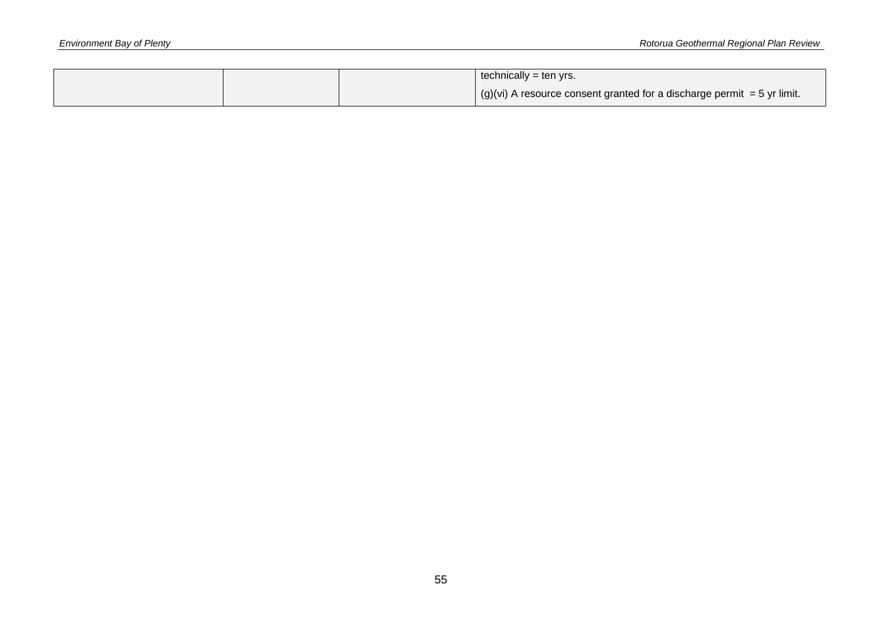|  | technically = ten yrs.                                                      |
|--|-----------------------------------------------------------------------------|
|  | $ $ (g)(vi) A resource consent granted for a discharge permit = 5 yr limit. |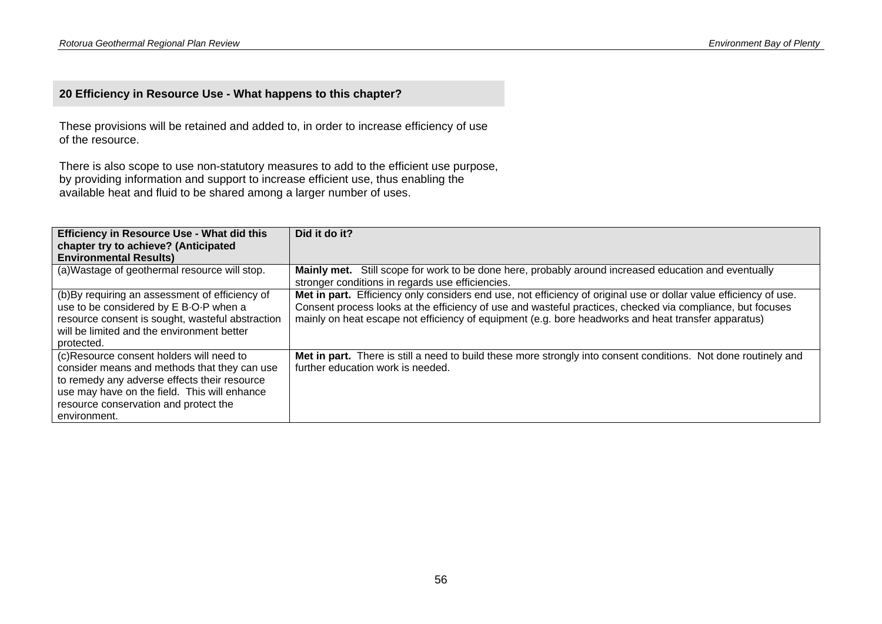### **20 Efficiency in Resource Use - What happens to this chapter?**

These provisions will be retained and added to, in order to increase efficiency of use of the resource.

There is also scope to use non-statutory measures to add to the efficient use purpose, by providing information and support to increase efficient use, thus enabling the available heat and fluid to be shared among a larger number of uses.

| <b>Efficiency in Resource Use - What did this</b><br>chapter try to achieve? (Anticipated                                                                                                                                                         | Did it do it?                                                                                                                                                                                                                                                                                                                          |
|---------------------------------------------------------------------------------------------------------------------------------------------------------------------------------------------------------------------------------------------------|----------------------------------------------------------------------------------------------------------------------------------------------------------------------------------------------------------------------------------------------------------------------------------------------------------------------------------------|
| <b>Environmental Results)</b>                                                                                                                                                                                                                     |                                                                                                                                                                                                                                                                                                                                        |
| (a) Wastage of geothermal resource will stop.                                                                                                                                                                                                     | Mainly met. Still scope for work to be done here, probably around increased education and eventually<br>stronger conditions in regards use efficiencies.                                                                                                                                                                               |
| (b) By requiring an assessment of efficiency of<br>use to be considered by E B-O-P when a<br>resource consent is sought, wasteful abstraction<br>will be limited and the environment better<br>protected.                                         | Met in part. Efficiency only considers end use, not efficiency of original use or dollar value efficiency of use.<br>Consent process looks at the efficiency of use and wasteful practices, checked via compliance, but focuses<br>mainly on heat escape not efficiency of equipment (e.g. bore headworks and heat transfer apparatus) |
| (c)Resource consent holders will need to<br>consider means and methods that they can use<br>to remedy any adverse effects their resource<br>use may have on the field. This will enhance<br>resource conservation and protect the<br>environment. | Met in part. There is still a need to build these more strongly into consent conditions. Not done routinely and<br>further education work is needed.                                                                                                                                                                                   |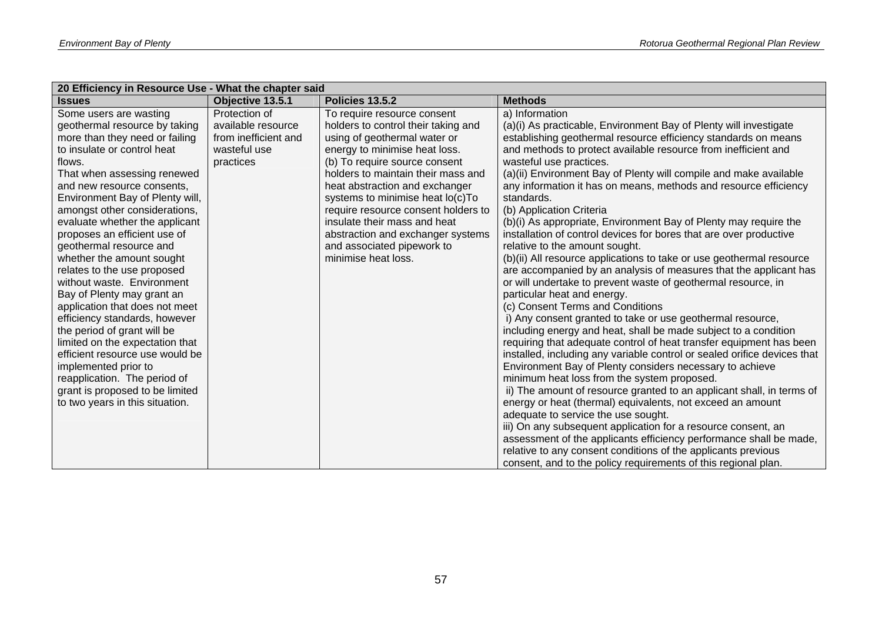| 20 Efficiency in Resource Use - What the chapter said |                      |                                     |                                                                          |  |
|-------------------------------------------------------|----------------------|-------------------------------------|--------------------------------------------------------------------------|--|
| <b>Issues</b>                                         | Objective 13.5.1     | Policies 13.5.2                     | <b>Methods</b>                                                           |  |
| Some users are wasting                                | Protection of        | To require resource consent         | a) Information                                                           |  |
| geothermal resource by taking                         | available resource   | holders to control their taking and | (a)(i) As practicable, Environment Bay of Plenty will investigate        |  |
| more than they need or failing                        | from inefficient and | using of geothermal water or        | establishing geothermal resource efficiency standards on means           |  |
| to insulate or control heat                           | wasteful use         | energy to minimise heat loss.       | and methods to protect available resource from inefficient and           |  |
| flows.                                                | practices            | (b) To require source consent       | wasteful use practices.                                                  |  |
| That when assessing renewed                           |                      | holders to maintain their mass and  | (a)(ii) Environment Bay of Plenty will compile and make available        |  |
| and new resource consents,                            |                      | heat abstraction and exchanger      | any information it has on means, methods and resource efficiency         |  |
| Environment Bay of Plenty will,                       |                      | systems to minimise heat lo(c)To    | standards.                                                               |  |
| amongst other considerations,                         |                      | require resource consent holders to | (b) Application Criteria                                                 |  |
| evaluate whether the applicant                        |                      | insulate their mass and heat        | (b)(i) As appropriate, Environment Bay of Plenty may require the         |  |
| proposes an efficient use of                          |                      | abstraction and exchanger systems   | installation of control devices for bores that are over productive       |  |
| geothermal resource and                               |                      | and associated pipework to          | relative to the amount sought.                                           |  |
| whether the amount sought                             |                      | minimise heat loss.                 | (b)(ii) All resource applications to take or use geothermal resource     |  |
| relates to the use proposed                           |                      |                                     | are accompanied by an analysis of measures that the applicant has        |  |
| without waste. Environment                            |                      |                                     | or will undertake to prevent waste of geothermal resource, in            |  |
| Bay of Plenty may grant an                            |                      |                                     | particular heat and energy.                                              |  |
| application that does not meet                        |                      |                                     | (c) Consent Terms and Conditions                                         |  |
| efficiency standards, however                         |                      |                                     | i) Any consent granted to take or use geothermal resource,               |  |
| the period of grant will be                           |                      |                                     | including energy and heat, shall be made subject to a condition          |  |
| limited on the expectation that                       |                      |                                     | requiring that adequate control of heat transfer equipment has been      |  |
| efficient resource use would be                       |                      |                                     | installed, including any variable control or sealed orifice devices that |  |
| implemented prior to                                  |                      |                                     | Environment Bay of Plenty considers necessary to achieve                 |  |
| reapplication. The period of                          |                      |                                     | minimum heat loss from the system proposed.                              |  |
| grant is proposed to be limited                       |                      |                                     | ii) The amount of resource granted to an applicant shall, in terms of    |  |
| to two years in this situation.                       |                      |                                     | energy or heat (thermal) equivalents, not exceed an amount               |  |
|                                                       |                      |                                     | adequate to service the use sought.                                      |  |
|                                                       |                      |                                     | iii) On any subsequent application for a resource consent, an            |  |
|                                                       |                      |                                     | assessment of the applicants efficiency performance shall be made,       |  |
|                                                       |                      |                                     | relative to any consent conditions of the applicants previous            |  |
|                                                       |                      |                                     | consent, and to the policy requirements of this regional plan.           |  |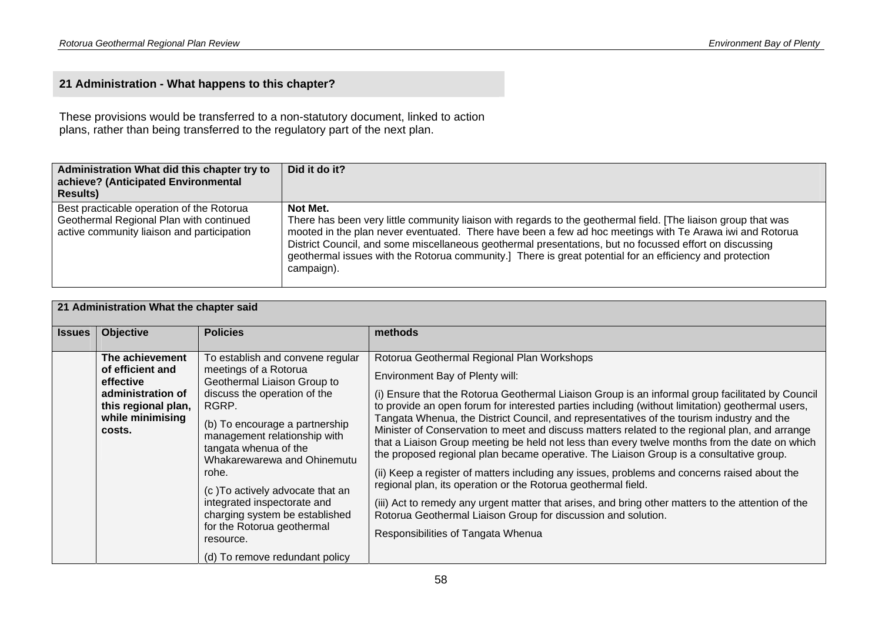### **21 Administration - What happens to this chapter?**

These provisions would be transferred to a non-statutory document, linked to action plans, rather than being transferred to the regulatory part of the next plan.

| Administration What did this chapter try to<br>achieve? (Anticipated Environmental<br><b>Results)</b>                              | Did it do it?                                                                                                                                                                                                                                                                                                                                                                                                                                                               |
|------------------------------------------------------------------------------------------------------------------------------------|-----------------------------------------------------------------------------------------------------------------------------------------------------------------------------------------------------------------------------------------------------------------------------------------------------------------------------------------------------------------------------------------------------------------------------------------------------------------------------|
| Best practicable operation of the Rotorua<br>Geothermal Regional Plan with continued<br>active community liaison and participation | Not Met.<br>There has been very little community liaison with regards to the geothermal field. [The liaison group that was<br>mooted in the plan never eventuated. There have been a few ad hoc meetings with Te Arawa iwi and Rotorua<br>District Council, and some miscellaneous geothermal presentations, but no focussed effort on discussing<br>geothermal issues with the Rotorua community.] There is great potential for an efficiency and protection<br>campaign). |

| 21 Administration What the chapter said |                                                                                                                            |                                                                                                                                                                                                                                                                                                                                                                                                                                                        |                                                                                                                                                                                                                                                                                                                                                                                                                                                                                                                                                                                                                                                                                                                                                                                                                                                                                                                                                                                                                                                                |
|-----------------------------------------|----------------------------------------------------------------------------------------------------------------------------|--------------------------------------------------------------------------------------------------------------------------------------------------------------------------------------------------------------------------------------------------------------------------------------------------------------------------------------------------------------------------------------------------------------------------------------------------------|----------------------------------------------------------------------------------------------------------------------------------------------------------------------------------------------------------------------------------------------------------------------------------------------------------------------------------------------------------------------------------------------------------------------------------------------------------------------------------------------------------------------------------------------------------------------------------------------------------------------------------------------------------------------------------------------------------------------------------------------------------------------------------------------------------------------------------------------------------------------------------------------------------------------------------------------------------------------------------------------------------------------------------------------------------------|
| <b>Issues</b>                           | <b>Objective</b>                                                                                                           | <b>Policies</b>                                                                                                                                                                                                                                                                                                                                                                                                                                        | methods                                                                                                                                                                                                                                                                                                                                                                                                                                                                                                                                                                                                                                                                                                                                                                                                                                                                                                                                                                                                                                                        |
|                                         | The achievement<br>of efficient and<br>effective<br>administration of<br>this regional plan,<br>while minimising<br>costs. | To establish and convene regular<br>meetings of a Rotorua<br>Geothermal Liaison Group to<br>discuss the operation of the<br>RGRP.<br>(b) To encourage a partnership<br>management relationship with<br>tangata whenua of the<br>Whakarewarewa and Ohinemutu<br>rohe.<br>(c) To actively advocate that an<br>integrated inspectorate and<br>charging system be established<br>for the Rotorua geothermal<br>resource.<br>(d) To remove redundant policy | Rotorua Geothermal Regional Plan Workshops<br>Environment Bay of Plenty will:<br>(i) Ensure that the Rotorua Geothermal Liaison Group is an informal group facilitated by Council<br>to provide an open forum for interested parties including (without limitation) geothermal users,<br>Tangata Whenua, the District Council, and representatives of the tourism industry and the<br>Minister of Conservation to meet and discuss matters related to the regional plan, and arrange<br>that a Liaison Group meeting be held not less than every twelve months from the date on which<br>the proposed regional plan became operative. The Liaison Group is a consultative group.<br>(ii) Keep a register of matters including any issues, problems and concerns raised about the<br>regional plan, its operation or the Rotorua geothermal field.<br>(iii) Act to remedy any urgent matter that arises, and bring other matters to the attention of the<br>Rotorua Geothermal Liaison Group for discussion and solution.<br>Responsibilities of Tangata Whenua |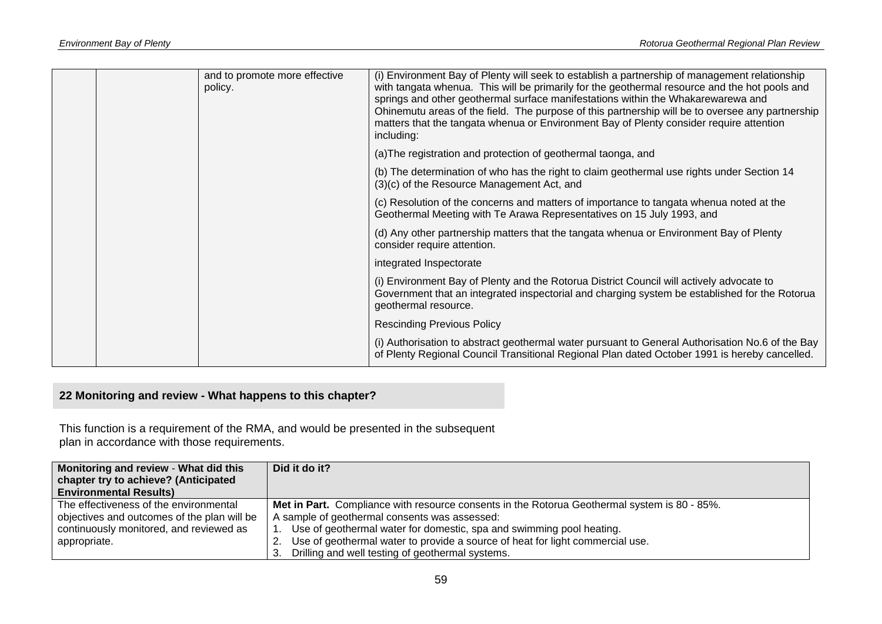|  | and to promote more effective<br>policy. | (i) Environment Bay of Plenty will seek to establish a partnership of management relationship<br>with tangata whenua. This will be primarily for the geothermal resource and the hot pools and<br>springs and other geothermal surface manifestations within the Whakarewarewa and<br>Ohinemutu areas of the field. The purpose of this partnership will be to oversee any partnership<br>matters that the tangata whenua or Environment Bay of Plenty consider require attention<br>including: |
|--|------------------------------------------|-------------------------------------------------------------------------------------------------------------------------------------------------------------------------------------------------------------------------------------------------------------------------------------------------------------------------------------------------------------------------------------------------------------------------------------------------------------------------------------------------|
|  |                                          | (a) The registration and protection of geothermal taonga, and                                                                                                                                                                                                                                                                                                                                                                                                                                   |
|  |                                          | (b) The determination of who has the right to claim geothermal use rights under Section 14<br>(3)(c) of the Resource Management Act, and                                                                                                                                                                                                                                                                                                                                                        |
|  |                                          | (c) Resolution of the concerns and matters of importance to tangata whenua noted at the<br>Geothermal Meeting with Te Arawa Representatives on 15 July 1993, and                                                                                                                                                                                                                                                                                                                                |
|  |                                          | (d) Any other partnership matters that the tangata whenua or Environment Bay of Plenty<br>consider require attention.                                                                                                                                                                                                                                                                                                                                                                           |
|  |                                          | integrated Inspectorate                                                                                                                                                                                                                                                                                                                                                                                                                                                                         |
|  |                                          | (i) Environment Bay of Plenty and the Rotorua District Council will actively advocate to<br>Government that an integrated inspectorial and charging system be established for the Rotorua<br>geothermal resource.                                                                                                                                                                                                                                                                               |
|  |                                          | <b>Rescinding Previous Policy</b>                                                                                                                                                                                                                                                                                                                                                                                                                                                               |
|  |                                          | (i) Authorisation to abstract geothermal water pursuant to General Authorisation No.6 of the Bay<br>of Plenty Regional Council Transitional Regional Plan dated October 1991 is hereby cancelled.                                                                                                                                                                                                                                                                                               |

# **22 Monitoring and review - What happens to this chapter?**

This function is a requirement of the RMA, and would be presented in the subsequent plan in accordance with those requirements.

| Monitoring and review - What did this       | Did it do it?                                                                                       |  |  |
|---------------------------------------------|-----------------------------------------------------------------------------------------------------|--|--|
| chapter try to achieve? (Anticipated        |                                                                                                     |  |  |
| <b>Environmental Results)</b>               |                                                                                                     |  |  |
| The effectiveness of the environmental      | <b>Met in Part.</b> Compliance with resource consents in the Rotorua Geothermal system is 80 - 85%. |  |  |
| objectives and outcomes of the plan will be | A sample of geothermal consents was assessed:                                                       |  |  |
| continuously monitored, and reviewed as     | Use of geothermal water for domestic, spa and swimming pool heating.                                |  |  |
| appropriate.                                | 2. Use of geothermal water to provide a source of heat for light commercial use.                    |  |  |
|                                             | Drilling and well testing of geothermal systems.<br>3.                                              |  |  |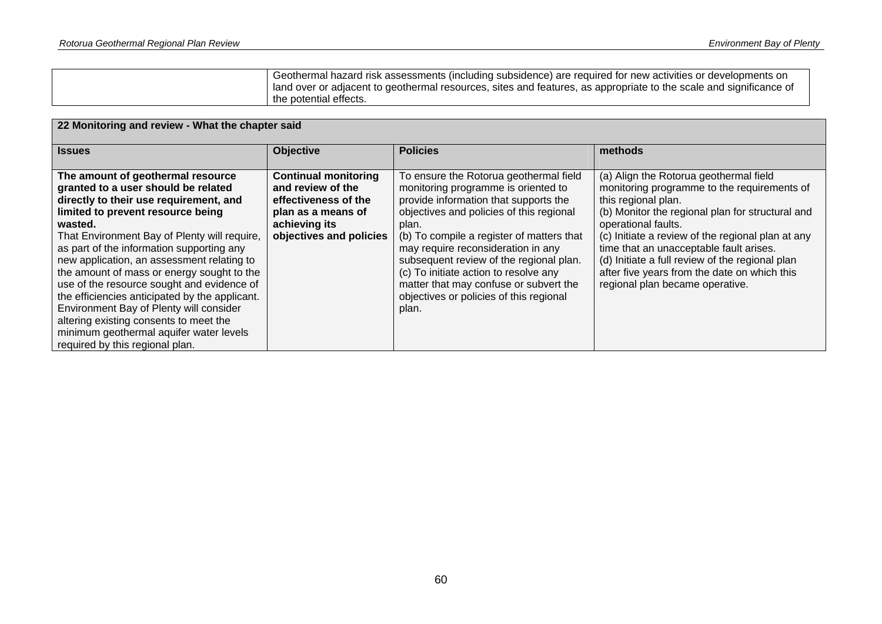| Geothermal hazard risk assessments (including subsidence) are required for new activities or developments on       |
|--------------------------------------------------------------------------------------------------------------------|
| land over or adjacent to geothermal resources, sites and features, as appropriate to the scale and significance of |
| the potential effects.                                                                                             |

| 22 Monitoring and review - What the chapter said                                                                                                                                                                                                                                                                                                                                                                                                                                                                                                                                                                               |                                                                                                                                            |                                                                                                                                                                                                                                                                                                                                                                                                                                                  |                                                                                                                                                                                                                                                                                                                                                                                                                               |  |  |
|--------------------------------------------------------------------------------------------------------------------------------------------------------------------------------------------------------------------------------------------------------------------------------------------------------------------------------------------------------------------------------------------------------------------------------------------------------------------------------------------------------------------------------------------------------------------------------------------------------------------------------|--------------------------------------------------------------------------------------------------------------------------------------------|--------------------------------------------------------------------------------------------------------------------------------------------------------------------------------------------------------------------------------------------------------------------------------------------------------------------------------------------------------------------------------------------------------------------------------------------------|-------------------------------------------------------------------------------------------------------------------------------------------------------------------------------------------------------------------------------------------------------------------------------------------------------------------------------------------------------------------------------------------------------------------------------|--|--|
| <b>Issues</b>                                                                                                                                                                                                                                                                                                                                                                                                                                                                                                                                                                                                                  | <b>Objective</b>                                                                                                                           | <b>Policies</b>                                                                                                                                                                                                                                                                                                                                                                                                                                  | methods                                                                                                                                                                                                                                                                                                                                                                                                                       |  |  |
| The amount of geothermal resource<br>granted to a user should be related<br>directly to their use requirement, and<br>limited to prevent resource being<br>wasted.<br>That Environment Bay of Plenty will require,<br>as part of the information supporting any<br>new application, an assessment relating to<br>the amount of mass or energy sought to the<br>use of the resource sought and evidence of<br>the efficiencies anticipated by the applicant.<br>Environment Bay of Plenty will consider<br>altering existing consents to meet the<br>minimum geothermal aquifer water levels<br>required by this regional plan. | <b>Continual monitoring</b><br>and review of the<br>effectiveness of the<br>plan as a means of<br>achieving its<br>objectives and policies | To ensure the Rotorua geothermal field<br>monitoring programme is oriented to<br>provide information that supports the<br>objectives and policies of this regional<br>plan.<br>(b) To compile a register of matters that<br>may require reconsideration in any<br>subsequent review of the regional plan.<br>(c) To initiate action to resolve any<br>matter that may confuse or subvert the<br>objectives or policies of this regional<br>plan. | (a) Align the Rotorua geothermal field<br>monitoring programme to the requirements of<br>this regional plan.<br>(b) Monitor the regional plan for structural and<br>operational faults.<br>(c) Initiate a review of the regional plan at any<br>time that an unacceptable fault arises.<br>(d) Initiate a full review of the regional plan<br>after five years from the date on which this<br>regional plan became operative. |  |  |